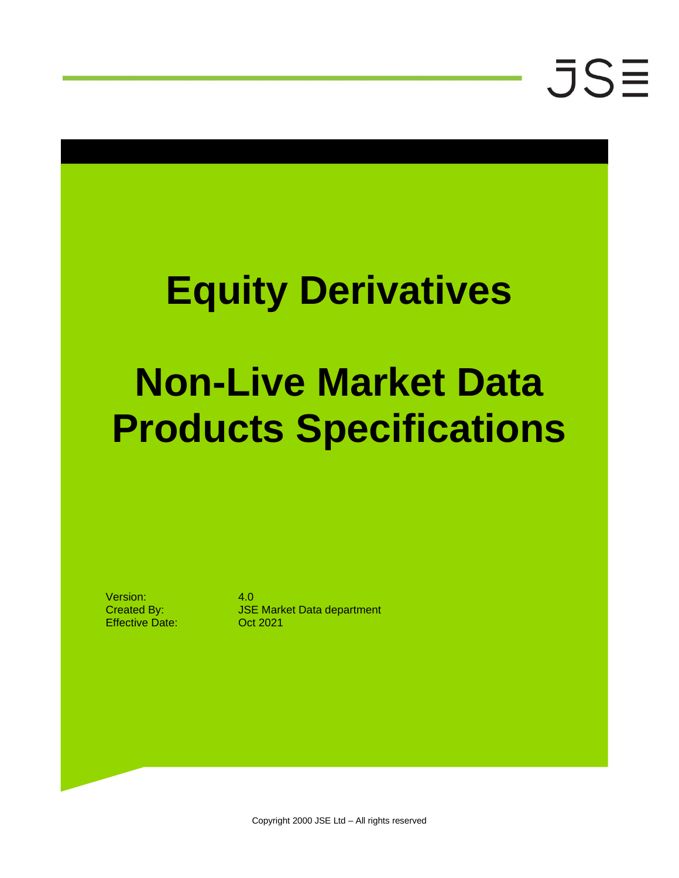### **Equity Derivatives**

### **Non-Live Market Data Products Specifications**

Version: 4.0 Effective Date: Oct 2021

Created By: JSE Market Data department

Copyright 2000 JSE Ltd – All rights reserved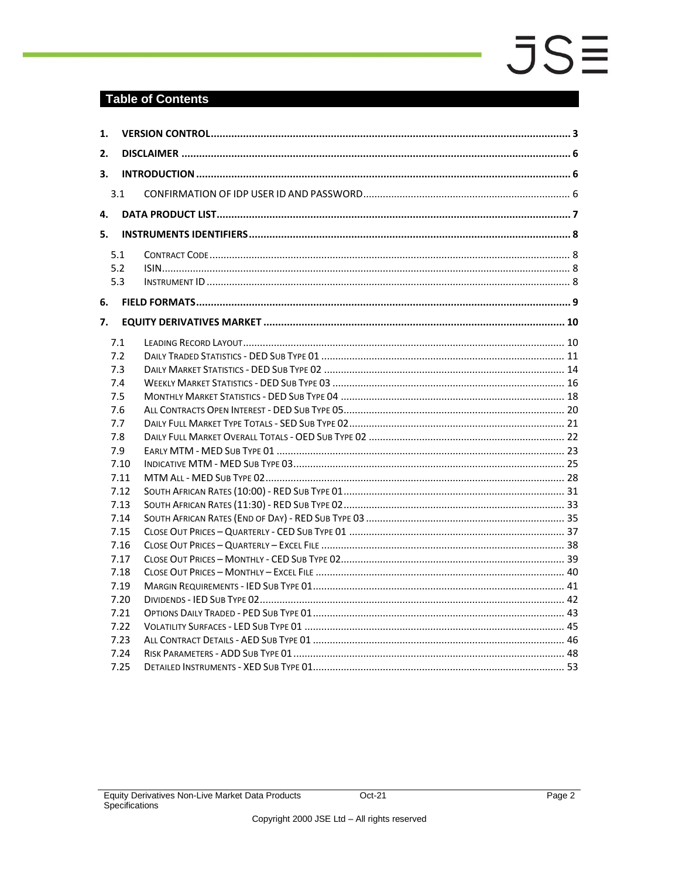### **Table of Contents**

| 1. |      |  |  |  |  |  |  |  |  |
|----|------|--|--|--|--|--|--|--|--|
| 2. |      |  |  |  |  |  |  |  |  |
| 3. |      |  |  |  |  |  |  |  |  |
|    |      |  |  |  |  |  |  |  |  |
|    | 3.1  |  |  |  |  |  |  |  |  |
| 4. |      |  |  |  |  |  |  |  |  |
| 5. |      |  |  |  |  |  |  |  |  |
|    | 5.1  |  |  |  |  |  |  |  |  |
|    | 5.2  |  |  |  |  |  |  |  |  |
|    | 5.3  |  |  |  |  |  |  |  |  |
| 6. |      |  |  |  |  |  |  |  |  |
| 7. |      |  |  |  |  |  |  |  |  |
|    | 7.1  |  |  |  |  |  |  |  |  |
|    | 7.2  |  |  |  |  |  |  |  |  |
|    | 7.3  |  |  |  |  |  |  |  |  |
|    | 7.4  |  |  |  |  |  |  |  |  |
|    | 7.5  |  |  |  |  |  |  |  |  |
|    | 7.6  |  |  |  |  |  |  |  |  |
|    | 7.7  |  |  |  |  |  |  |  |  |
|    | 7.8  |  |  |  |  |  |  |  |  |
|    | 7.9  |  |  |  |  |  |  |  |  |
|    | 7.10 |  |  |  |  |  |  |  |  |
|    | 7.11 |  |  |  |  |  |  |  |  |
|    | 7.12 |  |  |  |  |  |  |  |  |
|    | 7.13 |  |  |  |  |  |  |  |  |
|    | 7.14 |  |  |  |  |  |  |  |  |
|    | 7.15 |  |  |  |  |  |  |  |  |
|    | 7.16 |  |  |  |  |  |  |  |  |
|    | 7.17 |  |  |  |  |  |  |  |  |
|    | 7.18 |  |  |  |  |  |  |  |  |
|    | 7.19 |  |  |  |  |  |  |  |  |
|    | 7.20 |  |  |  |  |  |  |  |  |
|    | 7.21 |  |  |  |  |  |  |  |  |
|    | 7.22 |  |  |  |  |  |  |  |  |
|    | 7.23 |  |  |  |  |  |  |  |  |
|    | 7.24 |  |  |  |  |  |  |  |  |
|    | 7.25 |  |  |  |  |  |  |  |  |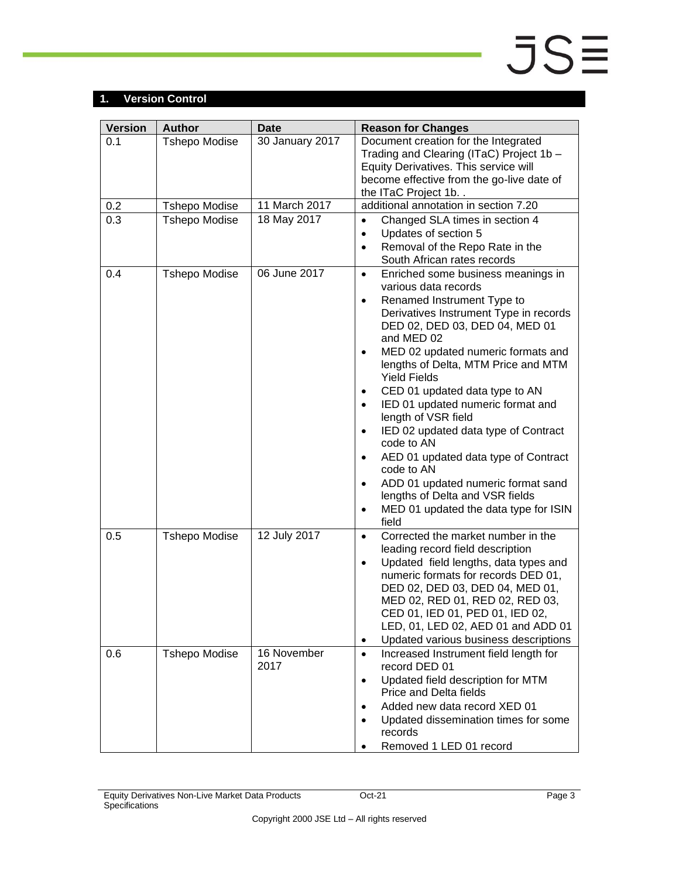### <span id="page-2-0"></span>**1. Version Control**

| <b>Version</b> | <b>Author</b>        | <b>Date</b>         | <b>Reason for Changes</b>                                                                                                                                                                                                                                                                                                                                                                                                                                                                                                                                                                                                                                                                                   |
|----------------|----------------------|---------------------|-------------------------------------------------------------------------------------------------------------------------------------------------------------------------------------------------------------------------------------------------------------------------------------------------------------------------------------------------------------------------------------------------------------------------------------------------------------------------------------------------------------------------------------------------------------------------------------------------------------------------------------------------------------------------------------------------------------|
| 0.1            | <b>Tshepo Modise</b> | 30 January 2017     | Document creation for the Integrated<br>Trading and Clearing (ITaC) Project 1b -<br>Equity Derivatives. This service will<br>become effective from the go-live date of<br>the ITaC Project 1b                                                                                                                                                                                                                                                                                                                                                                                                                                                                                                               |
| 0.2            | <b>Tshepo Modise</b> | 11 March 2017       | additional annotation in section 7.20                                                                                                                                                                                                                                                                                                                                                                                                                                                                                                                                                                                                                                                                       |
| 0.3            | <b>Tshepo Modise</b> | 18 May 2017         | Changed SLA times in section 4<br>$\bullet$<br>Updates of section 5<br>$\bullet$<br>Removal of the Repo Rate in the<br>$\bullet$<br>South African rates records                                                                                                                                                                                                                                                                                                                                                                                                                                                                                                                                             |
| 0.4            | <b>Tshepo Modise</b> | 06 June 2017        | Enriched some business meanings in<br>$\bullet$<br>various data records<br>Renamed Instrument Type to<br>$\bullet$<br>Derivatives Instrument Type in records<br>DED 02, DED 03, DED 04, MED 01<br>and MED 02<br>MED 02 updated numeric formats and<br>$\bullet$<br>lengths of Delta, MTM Price and MTM<br><b>Yield Fields</b><br>CED 01 updated data type to AN<br>٠<br>IED 01 updated numeric format and<br>length of VSR field<br>IED 02 updated data type of Contract<br>$\bullet$<br>code to AN<br>AED 01 updated data type of Contract<br>٠<br>code to AN<br>ADD 01 updated numeric format sand<br>٠<br>lengths of Delta and VSR fields<br>MED 01 updated the data type for ISIN<br>$\bullet$<br>field |
| 0.5            | <b>Tshepo Modise</b> | 12 July 2017        | Corrected the market number in the<br>$\bullet$<br>leading record field description<br>Updated field lengths, data types and<br>$\bullet$<br>numeric formats for records DED 01,<br>DED 02, DED 03, DED 04, MED 01,<br>MED 02, RED 01, RED 02, RED 03,<br>CED 01, IED 01, PED 01, IED 02,<br>LED, 01, LED 02, AED 01 and ADD 01<br>Updated various business descriptions<br>٠                                                                                                                                                                                                                                                                                                                               |
| 0.6            | <b>Tshepo Modise</b> | 16 November<br>2017 | Increased Instrument field length for<br>$\bullet$<br>record DED 01<br>Updated field description for MTM<br>$\bullet$<br>Price and Delta fields<br>Added new data record XED 01<br>٠<br>Updated dissemination times for some<br>$\bullet$<br>records<br>Removed 1 LED 01 record                                                                                                                                                                                                                                                                                                                                                                                                                             |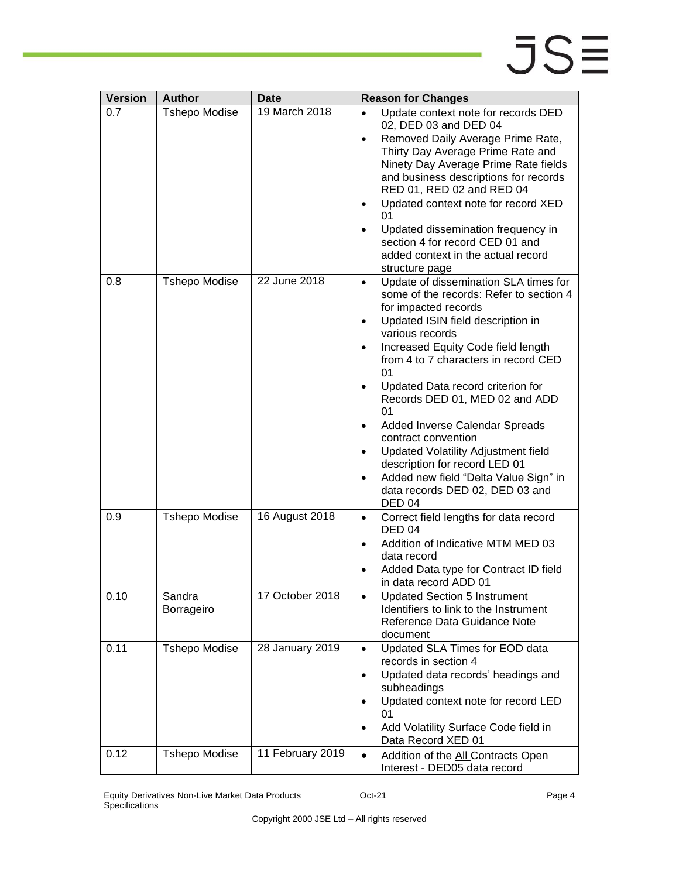| <b>Version</b> | <b>Author</b>        | Date             | <b>Reason for Changes</b>                                                                                                                                                                                                                                                                                                                                                                                                                                                                                                                                                                            |
|----------------|----------------------|------------------|------------------------------------------------------------------------------------------------------------------------------------------------------------------------------------------------------------------------------------------------------------------------------------------------------------------------------------------------------------------------------------------------------------------------------------------------------------------------------------------------------------------------------------------------------------------------------------------------------|
| 0.7            | <b>Tshepo Modise</b> | 19 March 2018    | Update context note for records DED<br>٠<br>02, DED 03 and DED 04<br>Removed Daily Average Prime Rate,<br>٠<br>Thirty Day Average Prime Rate and<br>Ninety Day Average Prime Rate fields<br>and business descriptions for records<br>RED 01, RED 02 and RED 04<br>Updated context note for record XED<br>01<br>Updated dissemination frequency in<br>section 4 for record CED 01 and<br>added context in the actual record<br>structure page                                                                                                                                                         |
| 0.8            | <b>Tshepo Modise</b> | 22 June 2018     | Update of dissemination SLA times for<br>$\bullet$<br>some of the records: Refer to section 4<br>for impacted records<br>Updated ISIN field description in<br>٠<br>various records<br>Increased Equity Code field length<br>٠<br>from 4 to 7 characters in record CED<br>01<br>Updated Data record criterion for<br>Records DED 01, MED 02 and ADD<br>01<br>Added Inverse Calendar Spreads<br>٠<br>contract convention<br>Updated Volatility Adjustment field<br>٠<br>description for record LED 01<br>Added new field "Delta Value Sign" in<br>data records DED 02, DED 03 and<br>DED <sub>04</sub> |
| 0.9            | <b>Tshepo Modise</b> | 16 August 2018   | Correct field lengths for data record<br>٠<br><b>DED 04</b><br>Addition of Indicative MTM MED 03<br>٠<br>data record<br>Added Data type for Contract ID field<br>in data record ADD 01                                                                                                                                                                                                                                                                                                                                                                                                               |
| 0.10           | Sandra<br>Borrageiro | 17 October 2018  | <b>Updated Section 5 Instrument</b><br>Identifiers to link to the Instrument<br>Reference Data Guidance Note<br>document                                                                                                                                                                                                                                                                                                                                                                                                                                                                             |
| 0.11           | <b>Tshepo Modise</b> | 28 January 2019  | Updated SLA Times for EOD data<br>$\bullet$<br>records in section 4<br>Updated data records' headings and<br>$\bullet$<br>subheadings<br>Updated context note for record LED<br>٠<br>01<br>Add Volatility Surface Code field in<br>٠<br>Data Record XED 01                                                                                                                                                                                                                                                                                                                                           |
| 0.12           | <b>Tshepo Modise</b> | 11 February 2019 | Addition of the All Contracts Open<br>$\bullet$<br>Interest - DED05 data record                                                                                                                                                                                                                                                                                                                                                                                                                                                                                                                      |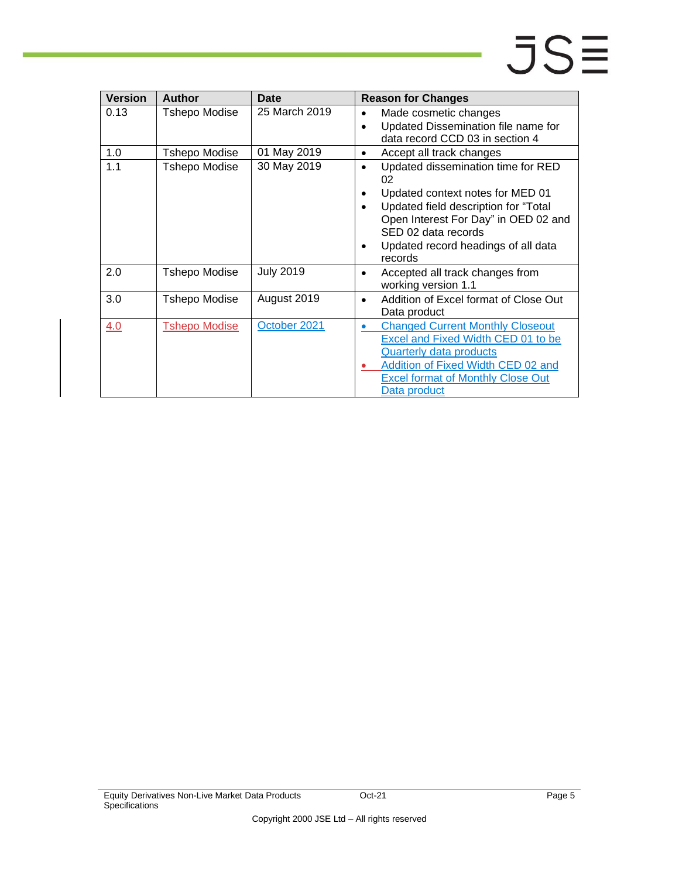### JSΞ

| <b>Version</b> | <b>Author</b>        | Date             | <b>Reason for Changes</b>                                                                                                                                                                                                                                         |
|----------------|----------------------|------------------|-------------------------------------------------------------------------------------------------------------------------------------------------------------------------------------------------------------------------------------------------------------------|
| 0.13           | <b>Tshepo Modise</b> | 25 March 2019    | Made cosmetic changes<br>$\bullet$<br>Updated Dissemination file name for<br>$\bullet$<br>data record CCD 03 in section 4                                                                                                                                         |
| 1.0            | <b>Tshepo Modise</b> | 01 May 2019      | Accept all track changes<br>٠                                                                                                                                                                                                                                     |
| 1.1            | Tshepo Modise        | 30 May 2019      | Updated dissemination time for RED<br>$\bullet$<br>02<br>Updated context notes for MED 01<br>٠<br>Updated field description for "Total<br>٠<br>Open Interest For Day" in OED 02 and<br>SED 02 data records<br>Updated record headings of all data<br>٠<br>records |
| 2.0            | <b>Tshepo Modise</b> | <b>July 2019</b> | Accepted all track changes from<br>٠<br>working version 1.1                                                                                                                                                                                                       |
| 3.0            | Tshepo Modise        | August 2019      | Addition of Excel format of Close Out<br>$\bullet$<br>Data product                                                                                                                                                                                                |
| 4.0            | <b>Tshepo Modise</b> | October 2021     | <b>Changed Current Monthly Closeout</b><br>Excel and Fixed Width CED 01 to be<br>Quarterly data products<br>Addition of Fixed Width CED 02 and<br><b>Excel format of Monthly Close Out</b><br><u>Data product</u>                                                 |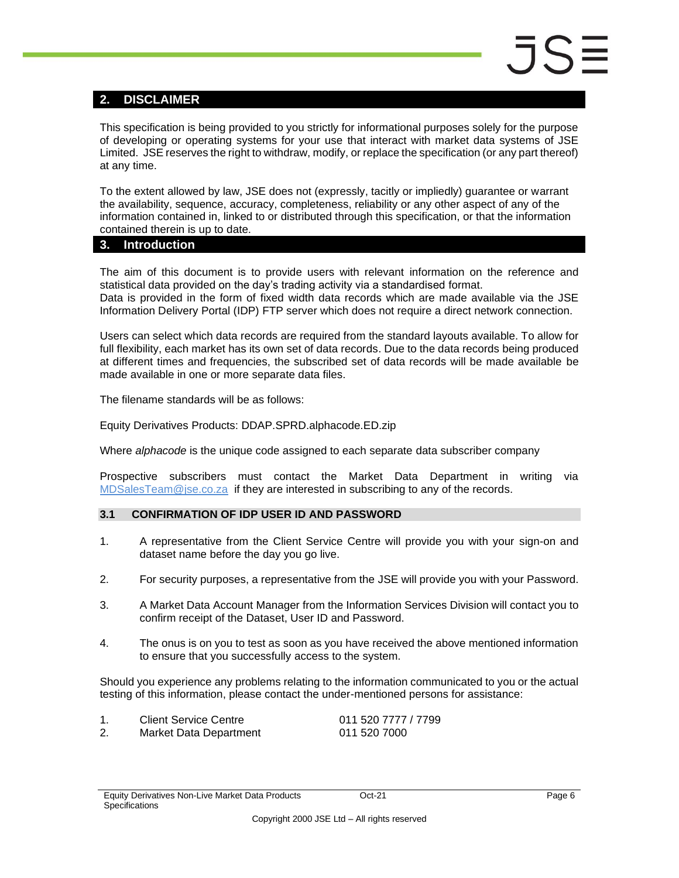### <span id="page-5-0"></span>**2. DISCLAIMER**

This specification is being provided to you strictly for informational purposes solely for the purpose of developing or operating systems for your use that interact with market data systems of JSE Limited. JSE reserves the right to withdraw, modify, or replace the specification (or any part thereof) at any time.

To the extent allowed by law, JSE does not (expressly, tacitly or impliedly) guarantee or warrant the availability, sequence, accuracy, completeness, reliability or any other aspect of any of the information contained in, linked to or distributed through this specification, or that the information contained therein is up to date.

### <span id="page-5-1"></span>**3. Introduction**

The aim of this document is to provide users with relevant information on the reference and statistical data provided on the day's trading activity via a standardised format. Data is provided in the form of fixed width data records which are made available via the JSE Information Delivery Portal (IDP) FTP server which does not require a direct network connection.

Users can select which data records are required from the standard layouts available. To allow for full flexibility, each market has its own set of data records. Due to the data records being produced at different times and frequencies, the subscribed set of data records will be made available be made available in one or more separate data files.

The filename standards will be as follows:

Equity Derivatives Products: DDAP.SPRD.alphacode.ED.zip

Where *alphacode* is the unique code assigned to each separate data subscriber company

Prospective subscribers must contact the Market Data Department in writing via [MDSalesTeam@jse.co.za](mailto:MDSalesTeam@jse.co.za) if they are interested in subscribing to any of the records.

### <span id="page-5-2"></span>**3.1 CONFIRMATION OF IDP USER ID AND PASSWORD**

- 1. A representative from the Client Service Centre will provide you with your sign-on and dataset name before the day you go live.
- 2. For security purposes, a representative from the JSE will provide you with your Password.
- 3. A Market Data Account Manager from the Information Services Division will contact you to confirm receipt of the Dataset, User ID and Password.
- 4. The onus is on you to test as soon as you have received the above mentioned information to ensure that you successfully access to the system.

Should you experience any problems relating to the information communicated to you or the actual testing of this information, please contact the under-mentioned persons for assistance:

| <b>Client Service Centre</b> | 011 520 7777 / 7799 |
|------------------------------|---------------------|
| Market Data Department       | 011 520 7000        |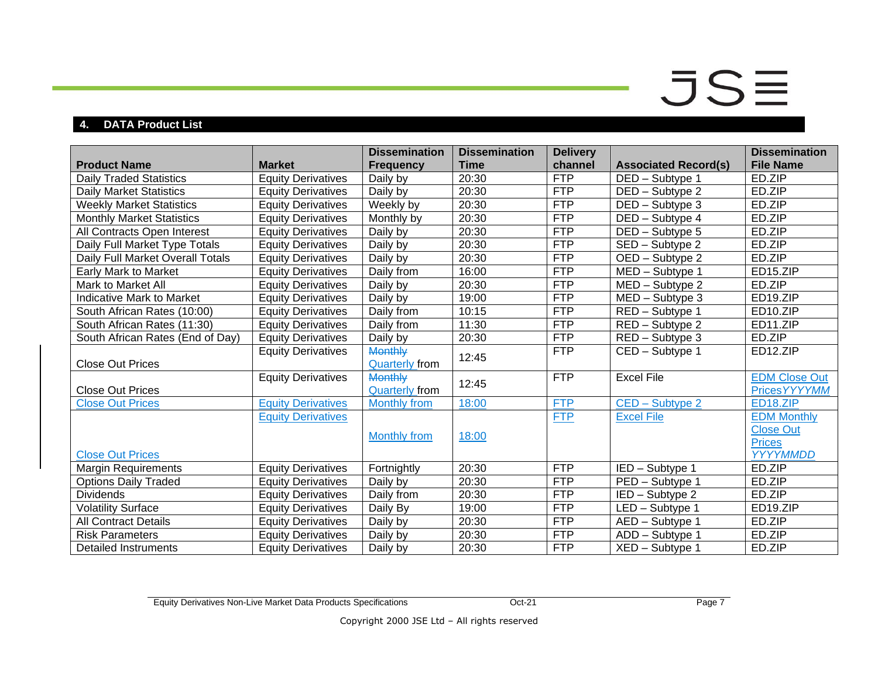### $JS\equiv$

### **4. DATA Product List**

<span id="page-6-0"></span>

| <b>Product Name</b>              | <b>Market</b>             | <b>Dissemination</b><br><b>Frequency</b> | <b>Dissemination</b><br><b>Time</b> | <b>Delivery</b><br>channel | <b>Associated Record(s)</b>         | <b>Dissemination</b><br><b>File Name</b> |
|----------------------------------|---------------------------|------------------------------------------|-------------------------------------|----------------------------|-------------------------------------|------------------------------------------|
| <b>Daily Traded Statistics</b>   | <b>Equity Derivatives</b> | Daily by                                 | 20:30                               | <b>FTP</b>                 | DED - Subtype 1                     | ED.ZIP                                   |
| <b>Daily Market Statistics</b>   | <b>Equity Derivatives</b> | Daily by                                 | 20:30                               | <b>FTP</b>                 | DED - Subtype 2                     | ED.ZIP                                   |
| <b>Weekly Market Statistics</b>  | <b>Equity Derivatives</b> | Weekly by                                | 20:30                               | <b>FTP</b>                 | DED - Subtype 3                     | ED.ZIP                                   |
| <b>Monthly Market Statistics</b> | <b>Equity Derivatives</b> | Monthly by                               | 20:30                               | <b>FTP</b>                 | DED - Subtype 4                     | ED.ZIP                                   |
| All Contracts Open Interest      | <b>Equity Derivatives</b> | Daily by                                 | 20:30                               | <b>FTP</b>                 | DED - Subtype 5                     | ED.ZIP                                   |
| Daily Full Market Type Totals    | <b>Equity Derivatives</b> | Daily by                                 | 20:30                               | <b>FTP</b>                 | SED - Subtype 2                     | ED.ZIP                                   |
| Daily Full Market Overall Totals | <b>Equity Derivatives</b> | Daily by                                 | 20:30                               | FTP                        | OED - Subtype 2                     | ED.ZIP                                   |
| Early Mark to Market             | <b>Equity Derivatives</b> | Daily from                               | 16:00                               | <b>FTP</b>                 | $\overline{\text{MED}}$ – Subtype 1 | ED15.ZIP                                 |
| Mark to Market All               | <b>Equity Derivatives</b> | Daily by                                 | 20:30                               | <b>FTP</b>                 | MED - Subtype 2                     | ED.ZIP                                   |
| <b>Indicative Mark to Market</b> | <b>Equity Derivatives</b> | Daily by                                 | 19:00                               | FTP                        | MED - Subtype 3                     | ED19.ZIP                                 |
| South African Rates (10:00)      | <b>Equity Derivatives</b> | Daily from                               | 10:15                               | <b>FTP</b>                 | RED - Subtype 1                     | ED10.ZIP                                 |
| South African Rates (11:30)      | <b>Equity Derivatives</b> | Daily from                               | 11:30                               | <b>FTP</b>                 | $\overline{\text{RED}}$ – Subtype 2 | ED11.ZIP                                 |
| South African Rates (End of Day) | <b>Equity Derivatives</b> | Daily by                                 | 20:30                               | <b>FTP</b>                 | RED - Subtype 3                     | ED.ZIP                                   |
| <b>Close Out Prices</b>          | <b>Equity Derivatives</b> | <b>Monthly</b><br><b>Quarterly from</b>  | 12:45                               | <b>FTP</b>                 | CED - Subtype 1                     | ED12.ZIP                                 |
| <b>Close Out Prices</b>          | <b>Equity Derivatives</b> | <b>Monthly</b><br><b>Quarterly from</b>  | 12:45                               | <b>FTP</b>                 | <b>Excel File</b>                   | <b>EDM Close Out</b><br>Prices YYYYMM    |
| <b>Close Out Prices</b>          | <b>Equity Derivatives</b> | Monthly from                             | 18:00                               | <b>FTP</b>                 | CED - Subtype 2                     | ED <sub>18</sub> .ZIP                    |
|                                  | <b>Equity Derivatives</b> |                                          |                                     | <b>FTP</b>                 | <b>Excel File</b>                   | <b>EDM Monthly</b>                       |
|                                  |                           | <b>Monthly from</b>                      | 18:00                               |                            |                                     | <b>Close Out</b><br><b>Prices</b>        |
| <b>Close Out Prices</b>          |                           |                                          |                                     |                            |                                     | YYYYMMDD                                 |
| <b>Margin Requirements</b>       | <b>Equity Derivatives</b> | Fortnightly                              | 20:30                               | <b>FTP</b>                 | IED - Subtype 1                     | ED.ZIP                                   |
| <b>Options Daily Traded</b>      | <b>Equity Derivatives</b> | Daily by                                 | 20:30                               | <b>FTP</b>                 | PED - Subtype 1                     | ED.ZIP                                   |
| <b>Dividends</b>                 | <b>Equity Derivatives</b> | Daily from                               | 20:30                               | <b>FTP</b>                 | IED - Subtype 2                     | ED.ZIP                                   |
| <b>Volatility Surface</b>        | <b>Equity Derivatives</b> | Daily By                                 | 19:00                               | <b>FTP</b>                 | LED - Subtype 1                     | ED <sub>19.ZIP</sub>                     |
| <b>All Contract Details</b>      | <b>Equity Derivatives</b> | Daily by                                 | 20:30                               | <b>FTP</b>                 | AED - Subtype 1                     | ED.ZIP                                   |
| <b>Risk Parameters</b>           | <b>Equity Derivatives</b> | Daily by                                 | 20:30                               | <b>FTP</b>                 | ADD - Subtype 1                     | ED.ZIP                                   |
| <b>Detailed Instruments</b>      | <b>Equity Derivatives</b> | Daily by                                 | 20:30                               | <b>FTP</b>                 | XED - Subtype 1                     | ED.ZIP                                   |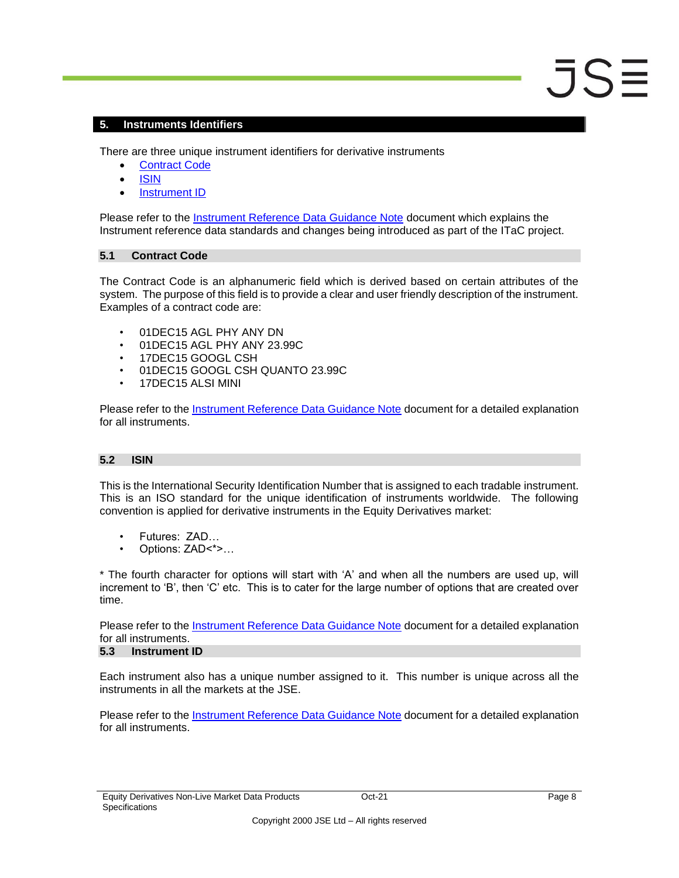### <span id="page-7-0"></span>**5. Instruments Identifiers**

There are three unique instrument identifiers for derivative instruments

- [Contract Code](#page-7-1)
- [ISIN](#page-7-2)
- [Instrument ID](#page-7-3)

Please refer to the [Instrument Reference Data Guidance Note](https://www.jse.co.za/content/Guidance%20Notes/ITaC%20Instrument%20Reference%20Data%20Quick%20Reference%20Guide.pdf) document which explains the Instrument reference data standards and changes being introduced as part of the ITaC project.

#### <span id="page-7-1"></span>**5.1 Contract Code**

The Contract Code is an alphanumeric field which is derived based on certain attributes of the system. The purpose of this field is to provide a clear and user friendly description of the instrument. Examples of a contract code are:

- 01DEC15 AGL PHY ANY DN
- 01DEC15 AGL PHY ANY 23.99C
- 17DEC15 GOOGL CSH
- 01DEC15 GOOGL CSH QUANTO 23.99C
- 17DEC15 ALSI MINI

Please refer to the [Instrument Reference Data Guidance Note](https://www.jse.co.za/content/Guidance%20Notes/ITaC%20Instrument%20Reference%20Data%20Quick%20Reference%20Guide.pdf) document for a detailed explanation for all instruments.

### <span id="page-7-2"></span>**5.2 ISIN**

This is the International Security Identification Number that is assigned to each tradable instrument. This is an ISO standard for the unique identification of instruments worldwide. The following convention is applied for derivative instruments in the Equity Derivatives market:

- Futures: ZAD…
- Options: ZAD<\*>…

\* The fourth character for options will start with 'A' and when all the numbers are used up, will increment to 'B', then 'C' etc. This is to cater for the large number of options that are created over time.

Please refer to the [Instrument Reference Data Guidance Note](https://www.jse.co.za/content/Guidance%20Notes/ITaC%20Instrument%20Reference%20Data%20Quick%20Reference%20Guide.pdf) document for a detailed explanation for all instruments.

### <span id="page-7-3"></span>**5.3 Instrument ID**

Each instrument also has a unique number assigned to it. This number is unique across all the instruments in all the markets at the JSE.

Please refer to the **Instrument Reference Data Guidance Note** document for a detailed explanation for all instruments.

 $JS$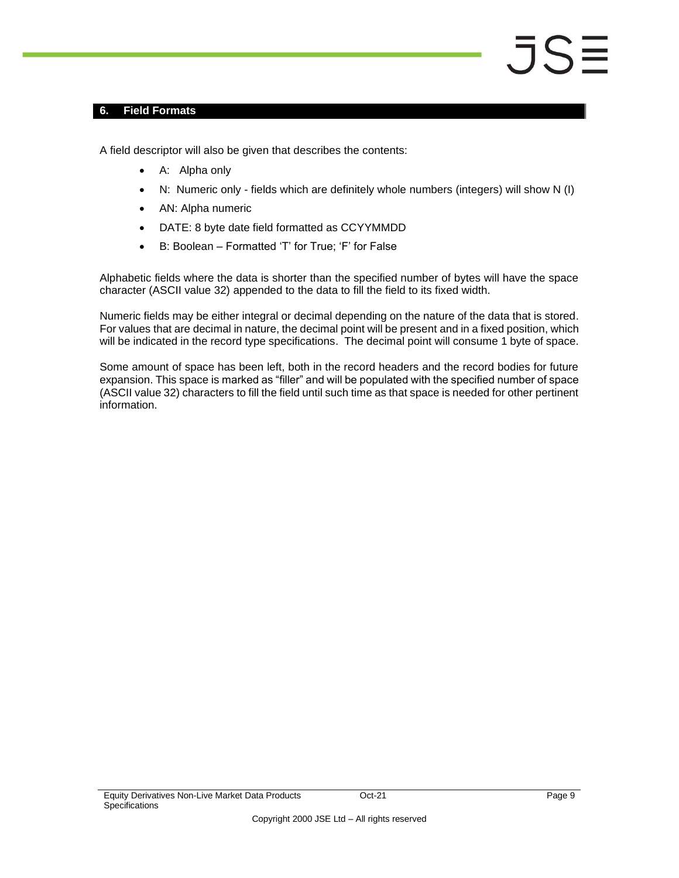#### <span id="page-8-0"></span>**6. Field Formats**

A field descriptor will also be given that describes the contents:

- A: Alpha only
- N: Numeric only fields which are definitely whole numbers (integers) will show N (I)
- AN: Alpha numeric
- DATE: 8 byte date field formatted as CCYYMMDD
- B: Boolean Formatted 'T' for True; 'F' for False

Alphabetic fields where the data is shorter than the specified number of bytes will have the space character (ASCII value 32) appended to the data to fill the field to its fixed width.

Numeric fields may be either integral or decimal depending on the nature of the data that is stored. For values that are decimal in nature, the decimal point will be present and in a fixed position, which will be indicated in the record type specifications. The decimal point will consume 1 byte of space.

Some amount of space has been left, both in the record headers and the record bodies for future expansion. This space is marked as "filler" and will be populated with the specified number of space (ASCII value 32) characters to fill the field until such time as that space is needed for other pertinent information.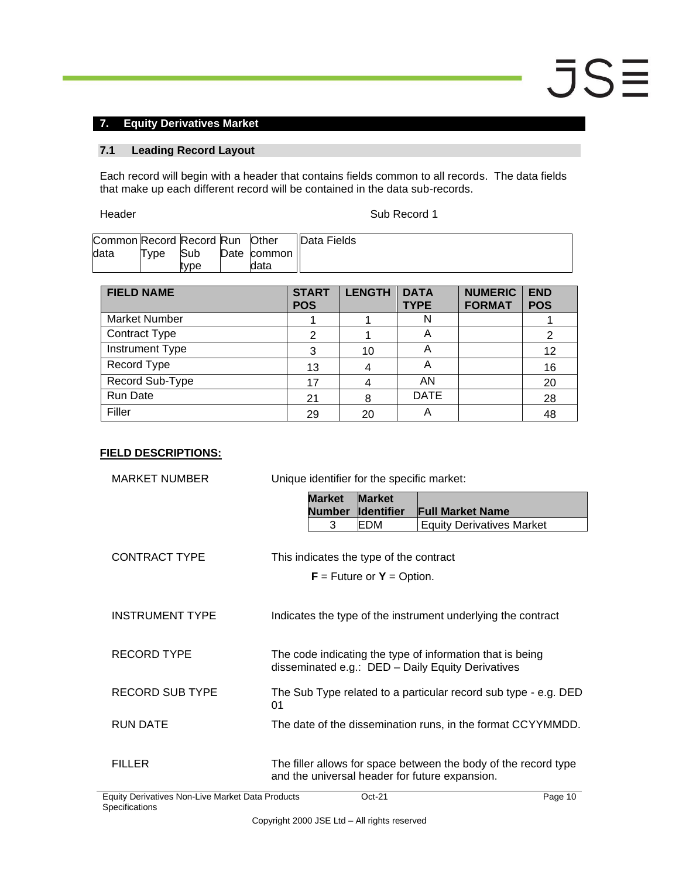### <span id="page-9-0"></span>**7. Equity Derivatives Market**

### <span id="page-9-1"></span>**7.1 Leading Record Layout**

Each record will begin with a header that contains fields common to all records. The data fields that make up each different record will be contained in the data sub-records.

Header Sub Record 1

| Common Record Record Run Other |      |      |             | <b>IData Fields</b> |
|--------------------------------|------|------|-------------|---------------------|
| data                           | Type | Sub  | Date common |                     |
|                                |      | tvpe | data        |                     |

| <b>FIELD NAME</b>      | <b>START</b><br><b>POS</b> | <b>LENGTH</b> | <b>DATA</b><br><b>TYPE</b> | <b>NUMERIC</b><br><b>FORMAT</b> | <b>END</b><br><b>POS</b> |
|------------------------|----------------------------|---------------|----------------------------|---------------------------------|--------------------------|
| <b>Market Number</b>   |                            |               | N                          |                                 |                          |
| <b>Contract Type</b>   |                            |               | A                          |                                 | 2                        |
| <b>Instrument Type</b> | 3                          | 10            | Α                          |                                 | 12                       |
| Record Type            | 13                         |               | А                          |                                 | 16                       |
| Record Sub-Type        | 17                         |               | AN                         |                                 | 20                       |
| Run Date               | 21                         | 8             | <b>DATE</b>                |                                 | 28                       |
| Filler                 | 29                         | 20            | Α                          |                                 | 48                       |

| <b>MARKET NUMBER</b>   | Unique identifier for the specific market:     |                                    |                                                                                                                |
|------------------------|------------------------------------------------|------------------------------------|----------------------------------------------------------------------------------------------------------------|
|                        | <b>Market</b><br><b>Number</b>                 | <b>Market</b><br><b>Identifier</b> | <b>Full Market Name</b>                                                                                        |
|                        | 3                                              | EDM                                | <b>Equity Derivatives Market</b>                                                                               |
| <b>CONTRACT TYPE</b>   | This indicates the type of the contract        |                                    |                                                                                                                |
|                        |                                                | $F =$ Future or $Y =$ Option.      |                                                                                                                |
|                        |                                                |                                    |                                                                                                                |
| <b>INSTRUMENT TYPE</b> |                                                |                                    | Indicates the type of the instrument underlying the contract                                                   |
|                        |                                                |                                    |                                                                                                                |
| <b>RECORD TYPE</b>     |                                                |                                    | The code indicating the type of information that is being<br>disseminated e.g.: DED - Daily Equity Derivatives |
| <b>RECORD SUB TYPE</b> | 01                                             |                                    | The Sub Type related to a particular record sub type - e.g. DED                                                |
| RUN DATE               |                                                |                                    | The date of the dissemination runs, in the format CCYYMMDD.                                                    |
|                        |                                                |                                    |                                                                                                                |
| <b>FILLER</b>          | and the universal header for future expansion. |                                    | The filler allows for space between the body of the record type                                                |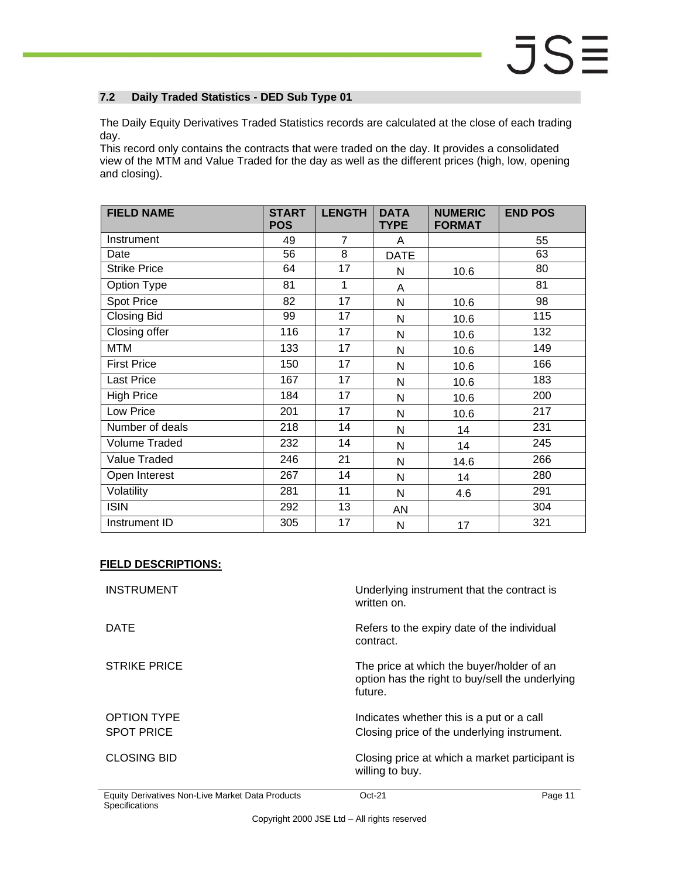### <span id="page-10-0"></span>**7.2 Daily Traded Statistics - DED Sub Type 01**

The Daily Equity Derivatives Traded Statistics records are calculated at the close of each trading day.

This record only contains the contracts that were traded on the day. It provides a consolidated view of the MTM and Value Traded for the day as well as the different prices (high, low, opening and closing).

| <b>FIELD NAME</b>   | <b>START</b><br><b>POS</b> | <b>LENGTH</b>  | <b>DATA</b><br><b>TYPE</b> | <b>NUMERIC</b><br><b>FORMAT</b> | <b>END POS</b> |
|---------------------|----------------------------|----------------|----------------------------|---------------------------------|----------------|
| Instrument          | 49                         | $\overline{7}$ | A                          |                                 | 55             |
| Date                | 56                         | 8              | <b>DATE</b>                |                                 | 63             |
| <b>Strike Price</b> | 64                         | 17             | N                          | 10.6                            | 80             |
| Option Type         | 81                         | 1              | A                          |                                 | 81             |
| <b>Spot Price</b>   | 82                         | 17             | N                          | 10.6                            | 98             |
| <b>Closing Bid</b>  | 99                         | 17             | N                          | 10.6                            | 115            |
| Closing offer       | 116                        | 17             | N                          | 10.6                            | 132            |
| <b>MTM</b>          | 133                        | 17             | N                          | 10.6                            | 149            |
| <b>First Price</b>  | 150                        | 17             | N                          | 10.6                            | 166            |
| <b>Last Price</b>   | 167                        | 17             | N                          | 10.6                            | 183            |
| <b>High Price</b>   | 184                        | 17             | N                          | 10.6                            | 200            |
| Low Price           | 201                        | 17             | N                          | 10.6                            | 217            |
| Number of deals     | 218                        | 14             | N                          | 14                              | 231            |
| Volume Traded       | 232                        | 14             | N                          | 14                              | 245            |
| <b>Value Traded</b> | 246                        | 21             | N                          | 14.6                            | 266            |
| Open Interest       | 267                        | 14             | N                          | 14                              | 280            |
| Volatility          | 281                        | 11             | N                          | 4.6                             | 291            |
| <b>ISIN</b>         | 292                        | 13             | <b>AN</b>                  |                                 | 304            |
| Instrument ID       | 305                        | 17             | N                          | 17                              | 321            |

| <b>INSTRUMENT</b>   | Underlying instrument that the contract is<br>written on.                                               |
|---------------------|---------------------------------------------------------------------------------------------------------|
| DATE                | Refers to the expiry date of the individual<br>contract.                                                |
| <b>STRIKE PRICE</b> | The price at which the buyer/holder of an<br>option has the right to buy/sell the underlying<br>future. |
| <b>OPTION TYPE</b>  | Indicates whether this is a put or a call                                                               |
| <b>SPOT PRICE</b>   | Closing price of the underlying instrument.                                                             |
| <b>CLOSING BID</b>  | Closing price at which a market participant is<br>willing to buy.                                       |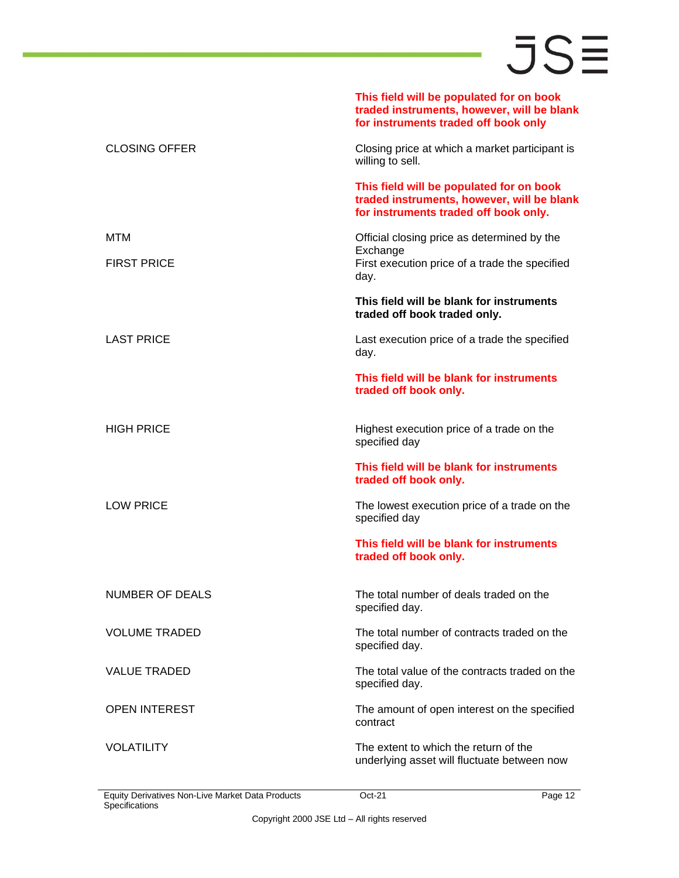|                        | This field will be populated for on book<br>traded instruments, however, will be blank<br>for instruments traded off book only  |
|------------------------|---------------------------------------------------------------------------------------------------------------------------------|
| <b>CLOSING OFFER</b>   | Closing price at which a market participant is<br>willing to sell.                                                              |
|                        | This field will be populated for on book<br>traded instruments, however, will be blank<br>for instruments traded off book only. |
| MTM                    | Official closing price as determined by the                                                                                     |
| <b>FIRST PRICE</b>     | Exchange<br>First execution price of a trade the specified<br>day.                                                              |
|                        | This field will be blank for instruments<br>traded off book traded only.                                                        |
| <b>LAST PRICE</b>      | Last execution price of a trade the specified<br>day.                                                                           |
|                        | This field will be blank for instruments<br>traded off book only.                                                               |
| <b>HIGH PRICE</b>      | Highest execution price of a trade on the<br>specified day                                                                      |
|                        | This field will be blank for instruments<br>traded off book only.                                                               |
| <b>LOW PRICE</b>       | The lowest execution price of a trade on the<br>specified day                                                                   |
|                        | This field will be blank for instruments<br>traded off book only.                                                               |
| <b>NUMBER OF DEALS</b> | The total number of deals traded on the<br>specified day.                                                                       |
| <b>VOLUME TRADED</b>   | The total number of contracts traded on the<br>specified day.                                                                   |
| <b>VALUE TRADED</b>    | The total value of the contracts traded on the<br>specified day.                                                                |
| <b>OPEN INTEREST</b>   | The amount of open interest on the specified<br>contract                                                                        |
| <b>VOLATILITY</b>      | The extent to which the return of the<br>underlying asset will fluctuate between now                                            |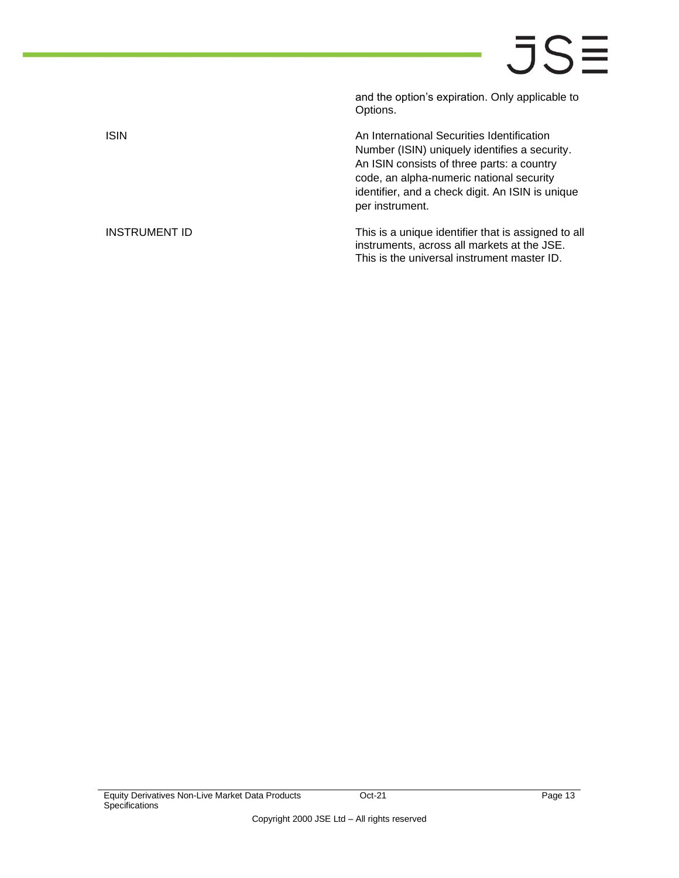and the option's expiration. Only applicable to Options.

ISIN **ISIN An International Securities Identification** Number (ISIN) uniquely identifies a security. An ISIN consists of three parts: a country code, an alpha-numeric national security identifier, and a check digit. An ISIN is unique per instrument.

INSTRUMENT ID This is a unique identifier that is assigned to all instruments, across all markets at the JSE. This is the universal instrument master ID.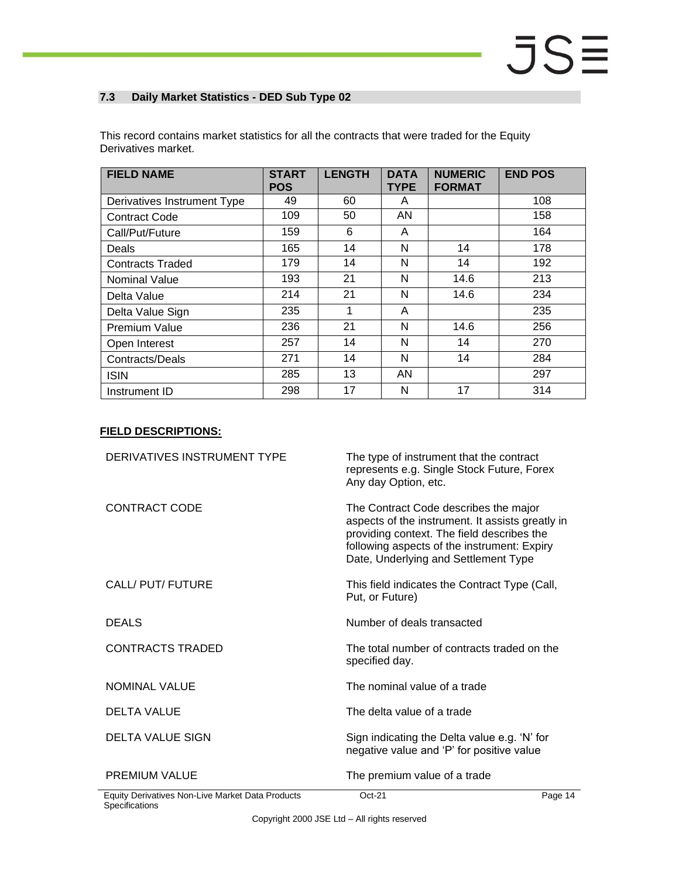### <span id="page-13-0"></span>**7.3 Daily Market Statistics - DED Sub Type 02**

| <b>FIELD NAME</b>           | <b>START</b><br><b>POS</b> | <b>LENGTH</b> | <b>DATA</b><br><b>TYPE</b> | <b>NUMERIC</b><br><b>FORMAT</b> | <b>END POS</b> |
|-----------------------------|----------------------------|---------------|----------------------------|---------------------------------|----------------|
| Derivatives Instrument Type | 49                         | 60            | A                          |                                 | 108            |
| <b>Contract Code</b>        | 109                        | 50            | AN                         |                                 | 158            |
| Call/Put/Future             | 159                        | 6             | A                          |                                 | 164            |
| <b>Deals</b>                | 165                        | 14            | N                          | 14                              | 178            |
| <b>Contracts Traded</b>     | 179                        | 14            | N                          | 14                              | 192            |
| Nominal Value               | 193                        | 21            | N                          | 14.6                            | 213            |
| Delta Value                 | 214                        | 21            | N                          | 14.6                            | 234            |
| Delta Value Sign            | 235                        | $\mathbf 1$   | A                          |                                 | 235            |
| Premium Value               | 236                        | 21            | N                          | 14.6                            | 256            |
| Open Interest               | 257                        | 14            | N                          | 14                              | 270            |
| Contracts/Deals             | 271                        | 14            | N                          | 14                              | 284            |
| <b>ISIN</b>                 | 285                        | 13            | AN                         |                                 | 297            |
| Instrument ID               | 298                        | 17            | N                          | 17                              | 314            |

This record contains market statistics for all the contracts that were traded for the Equity Derivatives market.

| DERIVATIVES INSTRUMENT TYPE                      | The type of instrument that the contract<br>represents e.g. Single Stock Future, Forex<br>Any day Option, etc.                                                                                                                 |         |
|--------------------------------------------------|--------------------------------------------------------------------------------------------------------------------------------------------------------------------------------------------------------------------------------|---------|
| <b>CONTRACT CODE</b>                             | The Contract Code describes the major<br>aspects of the instrument. It assists greatly in<br>providing context. The field describes the<br>following aspects of the instrument: Expiry<br>Date, Underlying and Settlement Type |         |
| CALL/ PUT/ FUTURE                                | This field indicates the Contract Type (Call,<br>Put, or Future)                                                                                                                                                               |         |
| <b>DEALS</b>                                     | Number of deals transacted                                                                                                                                                                                                     |         |
| <b>CONTRACTS TRADED</b>                          | The total number of contracts traded on the<br>specified day.                                                                                                                                                                  |         |
| <b>NOMINAL VALUE</b>                             | The nominal value of a trade                                                                                                                                                                                                   |         |
| <b>DELTA VALUE</b>                               | The delta value of a trade                                                                                                                                                                                                     |         |
| <b>DELTA VALUE SIGN</b>                          | Sign indicating the Delta value e.g. 'N' for<br>negative value and 'P' for positive value                                                                                                                                      |         |
| <b>PREMIUM VALUE</b>                             | The premium value of a trade                                                                                                                                                                                                   |         |
| Equity Derivatives Non-Live Market Data Products | $Oct-21$                                                                                                                                                                                                                       | Page 14 |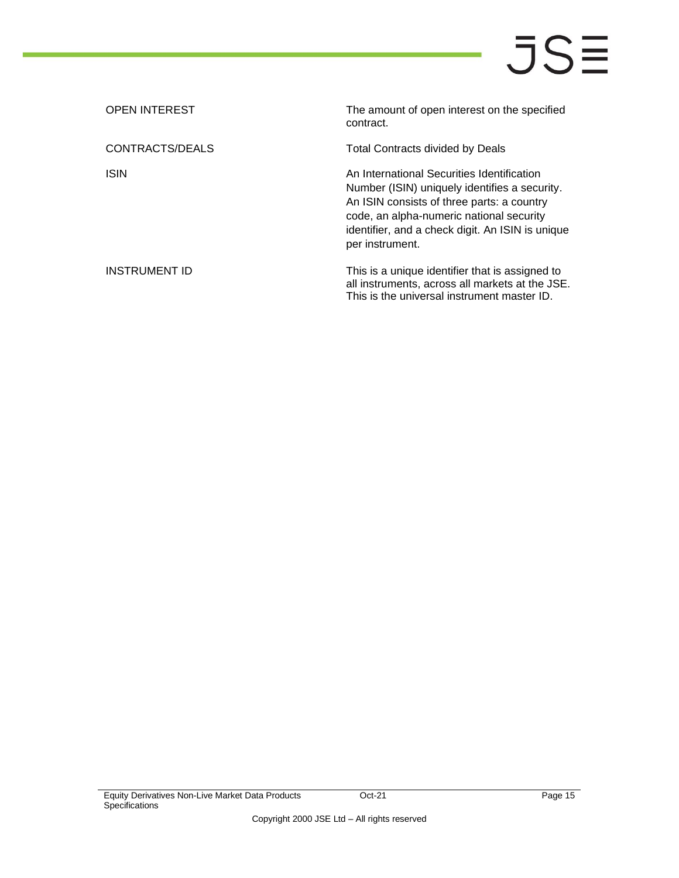| <b>OPEN INTEREST</b> | The amount of open interest on the specified<br>contract.                                                                                                                                                                                                    |
|----------------------|--------------------------------------------------------------------------------------------------------------------------------------------------------------------------------------------------------------------------------------------------------------|
| CONTRACTS/DEALS      | Total Contracts divided by Deals                                                                                                                                                                                                                             |
| <b>ISIN</b>          | An International Securities Identification<br>Number (ISIN) uniquely identifies a security.<br>An ISIN consists of three parts: a country<br>code, an alpha-numeric national security<br>identifier, and a check digit. An ISIN is unique<br>per instrument. |
| INSTRUMENT ID        | This is a unique identifier that is assigned to<br>all instruments, across all markets at the JSE.<br>This is the universal instrument master ID.                                                                                                            |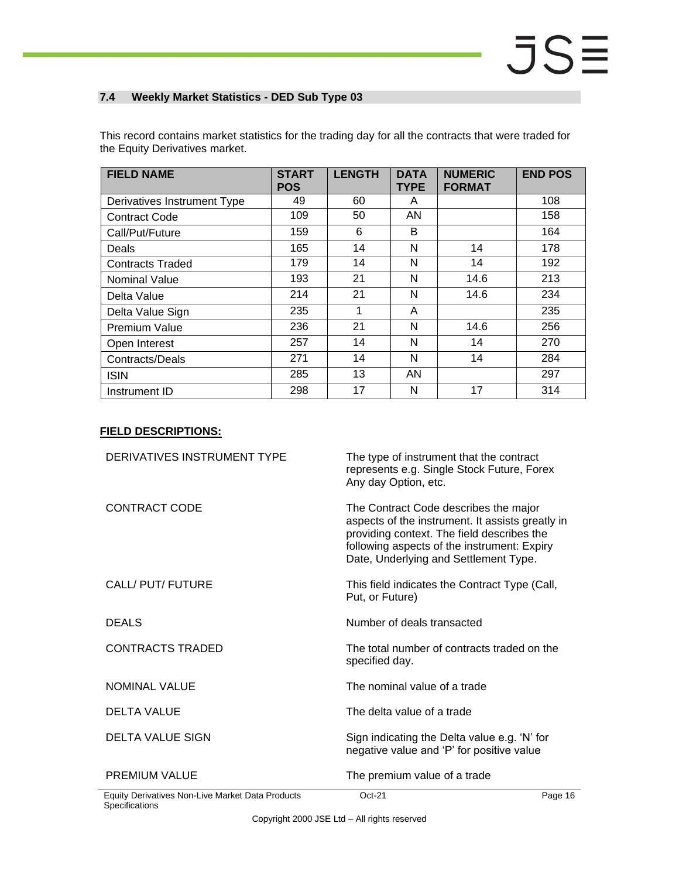### <span id="page-15-0"></span>**7.4 Weekly Market Statistics - DED Sub Type 03**

This record contains market statistics for the trading day for all the contracts that were traded for the Equity Derivatives market.

| <b>FIELD NAME</b>           | <b>START</b><br><b>POS</b> | <b>LENGTH</b> | <b>DATA</b><br><b>TYPE</b> | <b>NUMERIC</b><br><b>FORMAT</b> | <b>END POS</b> |
|-----------------------------|----------------------------|---------------|----------------------------|---------------------------------|----------------|
| Derivatives Instrument Type | 49                         | 60            | A                          |                                 | 108            |
| <b>Contract Code</b>        | 109                        | 50            | AN                         |                                 | 158            |
| Call/Put/Future             | 159                        | 6             | B                          |                                 | 164            |
| Deals                       | 165                        | 14            | N                          | 14                              | 178            |
| <b>Contracts Traded</b>     | 179                        | 14            | N                          | 14                              | 192            |
| <b>Nominal Value</b>        | 193                        | 21            | N                          | 14.6                            | 213            |
| Delta Value                 | 214                        | 21            | N                          | 14.6                            | 234            |
| Delta Value Sign            | 235                        | 1             | A                          |                                 | 235            |
| <b>Premium Value</b>        | 236                        | 21            | N                          | 14.6                            | 256            |
| Open Interest               | 257                        | 14            | N                          | 14                              | 270            |
| Contracts/Deals             | 271                        | 14            | N                          | 14                              | 284            |
| <b>ISIN</b>                 | 285                        | 13            | AN                         |                                 | 297            |
| Instrument ID               | 298                        | 17            | N                          | 17                              | 314            |

| DERIVATIVES INSTRUMENT TYPE                      | The type of instrument that the contract<br>represents e.g. Single Stock Future, Forex<br>Any day Option, etc.                                                                                                                  |         |
|--------------------------------------------------|---------------------------------------------------------------------------------------------------------------------------------------------------------------------------------------------------------------------------------|---------|
| <b>CONTRACT CODE</b>                             | The Contract Code describes the major<br>aspects of the instrument. It assists greatly in<br>providing context. The field describes the<br>following aspects of the instrument: Expiry<br>Date, Underlying and Settlement Type. |         |
| CALL/ PUT/ FUTURE                                | This field indicates the Contract Type (Call,<br>Put, or Future)                                                                                                                                                                |         |
| <b>DEALS</b>                                     | Number of deals transacted                                                                                                                                                                                                      |         |
| <b>CONTRACTS TRADED</b>                          | The total number of contracts traded on the<br>specified day.                                                                                                                                                                   |         |
| NOMINAL VALUE                                    | The nominal value of a trade                                                                                                                                                                                                    |         |
| <b>DELTA VALUE</b>                               | The delta value of a trade                                                                                                                                                                                                      |         |
| <b>DELTA VALUE SIGN</b>                          | Sign indicating the Delta value e.g. 'N' for<br>negative value and 'P' for positive value                                                                                                                                       |         |
| <b>PREMIUM VALUE</b>                             | The premium value of a trade                                                                                                                                                                                                    |         |
| Equity Derivatives Non-Live Market Data Products | $Oct-21$                                                                                                                                                                                                                        | Page 16 |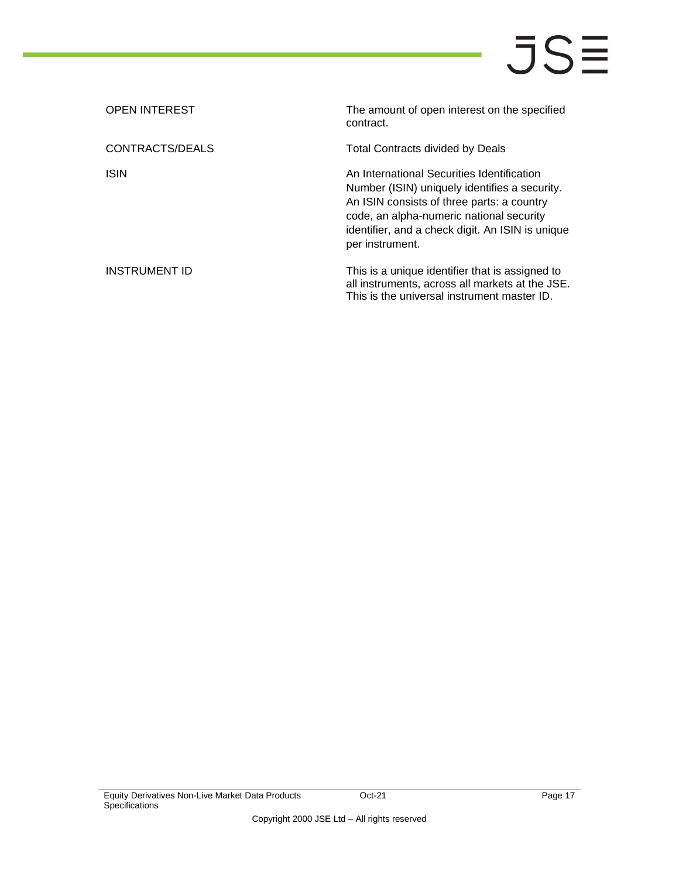| <b>OPEN INTEREST</b> | The amount of open interest on the specified<br>contract.                                                                                                                                                                                                    |
|----------------------|--------------------------------------------------------------------------------------------------------------------------------------------------------------------------------------------------------------------------------------------------------------|
| CONTRACTS/DEALS      | Total Contracts divided by Deals                                                                                                                                                                                                                             |
| <b>ISIN</b>          | An International Securities Identification<br>Number (ISIN) uniquely identifies a security.<br>An ISIN consists of three parts: a country<br>code, an alpha-numeric national security<br>identifier, and a check digit. An ISIN is unique<br>per instrument. |
| INSTRUMENT ID        | This is a unique identifier that is assigned to<br>all instruments, across all markets at the JSE.<br>This is the universal instrument master ID.                                                                                                            |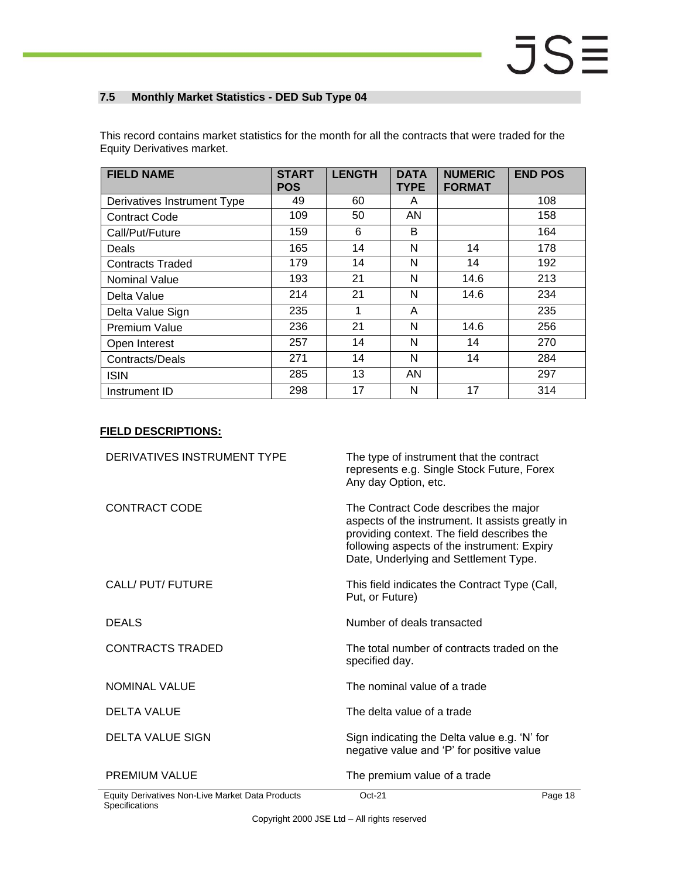### <span id="page-17-0"></span>**7.5 Monthly Market Statistics - DED Sub Type 04**

| = gany = on ranvoo manvon   |                            |               |                            |                                 |                |
|-----------------------------|----------------------------|---------------|----------------------------|---------------------------------|----------------|
| <b>FIELD NAME</b>           | <b>START</b><br><b>POS</b> | <b>LENGTH</b> | <b>DATA</b><br><b>TYPE</b> | <b>NUMERIC</b><br><b>FORMAT</b> | <b>END POS</b> |
| Derivatives Instrument Type | 49                         | 60            | A                          |                                 | 108            |
| <b>Contract Code</b>        | 109                        | 50            | AN                         |                                 | 158            |
| Call/Put/Future             | 159                        | 6             | B                          |                                 | 164            |
| Deals                       | 165                        | 14            | N                          | 14                              | 178            |
| <b>Contracts Traded</b>     | 179                        | 14            | N                          | 14                              | 192            |
| <b>Nominal Value</b>        | 193                        | 21            | N                          | 14.6                            | 213            |
| Delta Value                 | 214                        | 21            | N                          | 14.6                            | 234            |

Delta Value Sign | 235 | 1 | A | 235 Premium Value 236 236 21 N 14.6 256 Open Interest 257 | 14 | N | 14 | 270 Contracts/Deals 271 14 N 14 284 ISIN | 285 | 13 | AN | | | | 297 Instrument ID 298 17 N 17 314

This record contains market statistics for the month for all the contracts that were traded for the Equity Derivatives market.

| DERIVATIVES INSTRUMENT TYPE                      | The type of instrument that the contract<br>represents e.g. Single Stock Future, Forex<br>Any day Option, etc.                                                                                                                  |         |
|--------------------------------------------------|---------------------------------------------------------------------------------------------------------------------------------------------------------------------------------------------------------------------------------|---------|
| <b>CONTRACT CODE</b>                             | The Contract Code describes the major<br>aspects of the instrument. It assists greatly in<br>providing context. The field describes the<br>following aspects of the instrument: Expiry<br>Date, Underlying and Settlement Type. |         |
| CALL/ PUT/ FUTURE                                | This field indicates the Contract Type (Call,<br>Put, or Future)                                                                                                                                                                |         |
| <b>DEALS</b>                                     | Number of deals transacted                                                                                                                                                                                                      |         |
| CONTRACTS TRADED                                 | The total number of contracts traded on the<br>specified day.                                                                                                                                                                   |         |
| NOMINAL VALUE                                    | The nominal value of a trade                                                                                                                                                                                                    |         |
| <b>DELTA VALUE</b>                               | The delta value of a trade                                                                                                                                                                                                      |         |
| <b>DELTA VALUE SIGN</b>                          | Sign indicating the Delta value e.g. 'N' for<br>negative value and 'P' for positive value                                                                                                                                       |         |
| <b>PREMIUM VALUE</b>                             | The premium value of a trade                                                                                                                                                                                                    |         |
| Equity Derivatives Non-Live Market Data Products | $Oct-21$                                                                                                                                                                                                                        | Page 18 |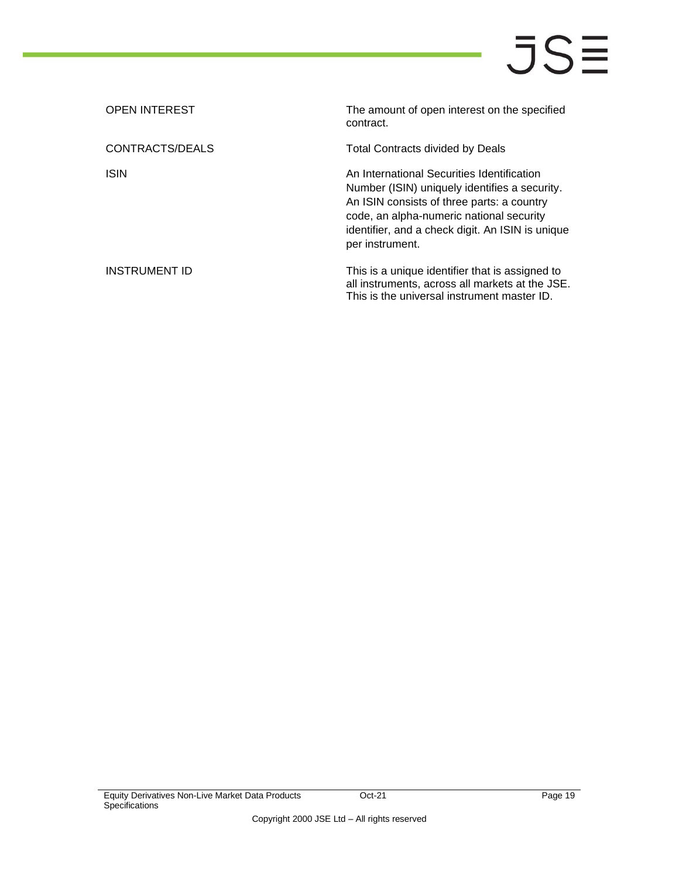| <b>OPEN INTEREST</b> | The amount of open interest on the specified<br>contract.                                                                                                                                                                                                    |
|----------------------|--------------------------------------------------------------------------------------------------------------------------------------------------------------------------------------------------------------------------------------------------------------|
| CONTRACTS/DEALS      | Total Contracts divided by Deals                                                                                                                                                                                                                             |
| <b>ISIN</b>          | An International Securities Identification<br>Number (ISIN) uniquely identifies a security.<br>An ISIN consists of three parts: a country<br>code, an alpha-numeric national security<br>identifier, and a check digit. An ISIN is unique<br>per instrument. |
| INSTRUMENT ID        | This is a unique identifier that is assigned to<br>all instruments, across all markets at the JSE.<br>This is the universal instrument master ID.                                                                                                            |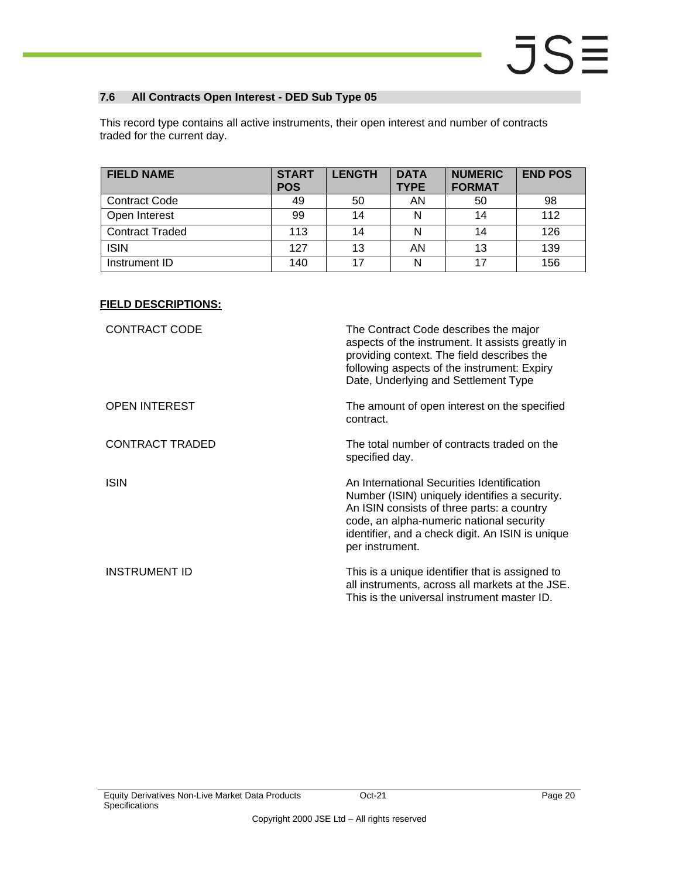### <span id="page-19-0"></span>**7.6 All Contracts Open Interest - DED Sub Type 05**

This record type contains all active instruments, their open interest and number of contracts traded for the current day.

| <b>FIELD NAME</b>      | <b>START</b><br><b>POS</b> | <b>LENGTH</b> | <b>DATA</b><br><b>TYPE</b> | <b>NUMERIC</b><br><b>FORMAT</b> | <b>END POS</b> |
|------------------------|----------------------------|---------------|----------------------------|---------------------------------|----------------|
| <b>Contract Code</b>   | 49                         | 50            | AN                         | 50                              | 98             |
| Open Interest          | 99                         | 14            |                            | 14                              | 112            |
| <b>Contract Traded</b> | 113                        | 14            |                            | 14                              | 126            |
| <b>ISIN</b>            | 127                        | 13            | AN                         | 13                              | 139            |
| Instrument ID          | 140                        | 17            | N                          | 17                              | 156            |

| <b>CONTRACT CODE</b>   | The Contract Code describes the major<br>aspects of the instrument. It assists greatly in<br>providing context. The field describes the<br>following aspects of the instrument: Expiry<br>Date, Underlying and Settlement Type                               |
|------------------------|--------------------------------------------------------------------------------------------------------------------------------------------------------------------------------------------------------------------------------------------------------------|
| <b>OPEN INTEREST</b>   | The amount of open interest on the specified<br>contract.                                                                                                                                                                                                    |
| <b>CONTRACT TRADED</b> | The total number of contracts traded on the<br>specified day.                                                                                                                                                                                                |
| <b>ISIN</b>            | An International Securities Identification<br>Number (ISIN) uniquely identifies a security.<br>An ISIN consists of three parts: a country<br>code, an alpha-numeric national security<br>identifier, and a check digit. An ISIN is unique<br>per instrument. |
| <b>INSTRUMENT ID</b>   | This is a unique identifier that is assigned to<br>all instruments, across all markets at the JSE.<br>This is the universal instrument master ID.                                                                                                            |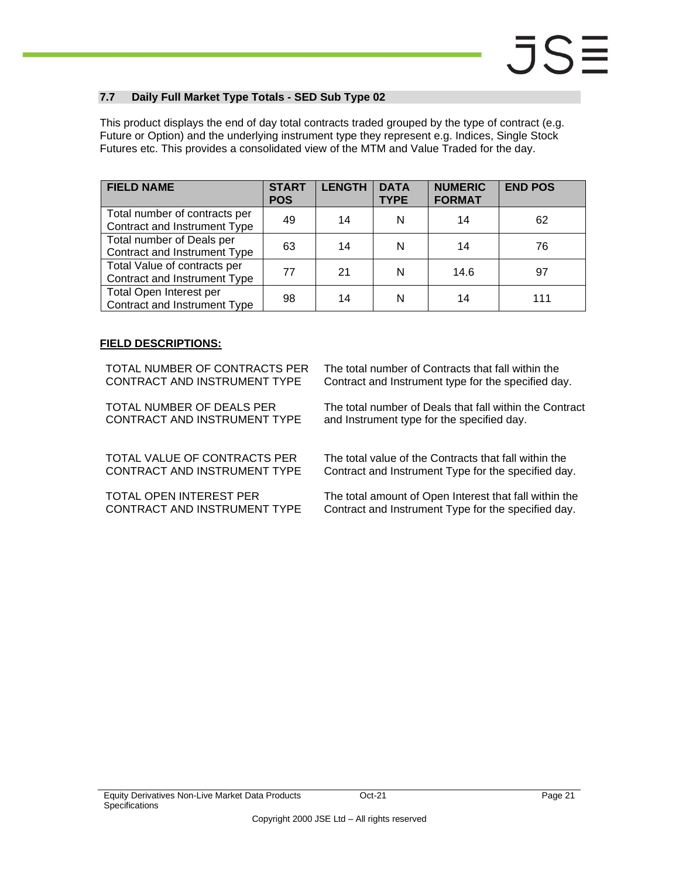### <span id="page-20-0"></span>**7.7 Daily Full Market Type Totals - SED Sub Type 02**

This product displays the end of day total contracts traded grouped by the type of contract (e.g. Future or Option) and the underlying instrument type they represent e.g. Indices, Single Stock Futures etc. This provides a consolidated view of the MTM and Value Traded for the day.

| <b>FIELD NAME</b>                                             | <b>START</b><br><b>POS</b> | <b>LENGTH</b> | <b>DATA</b><br><b>TYPE</b> | <b>NUMERIC</b><br><b>FORMAT</b> | <b>END POS</b> |
|---------------------------------------------------------------|----------------------------|---------------|----------------------------|---------------------------------|----------------|
| Total number of contracts per<br>Contract and Instrument Type | 49                         | 14            | N                          | 14                              | 62             |
| Total number of Deals per<br>Contract and Instrument Type     | 63                         | 14            | N                          | 14                              | 76             |
| Total Value of contracts per<br>Contract and Instrument Type  | 77                         | 21            | N                          | 14.6                            | 97             |
| Total Open Interest per<br>Contract and Instrument Type       | 98                         | 14            | N                          | 14                              | 111            |

### **FIELD DESCRIPTIONS:**

TOTAL NUMBER OF CONTRACTS PER CONTRACT AND INSTRUMENT TYPE

TOTAL NUMBER OF DEALS PER CONTRACT AND INSTRUMENT TYPE

TOTAL VALUE OF CONTRACTS PER CONTRACT AND INSTRUMENT TYPE

TOTAL OPEN INTEREST PER CONTRACT AND INSTRUMENT TYPE The total number of Contracts that fall within the Contract and Instrument type for the specified day.

The total number of Deals that fall within the Contract and Instrument type for the specified day.

The total value of the Contracts that fall within the Contract and Instrument Type for the specified day.

The total amount of Open Interest that fall within the Contract and Instrument Type for the specified day.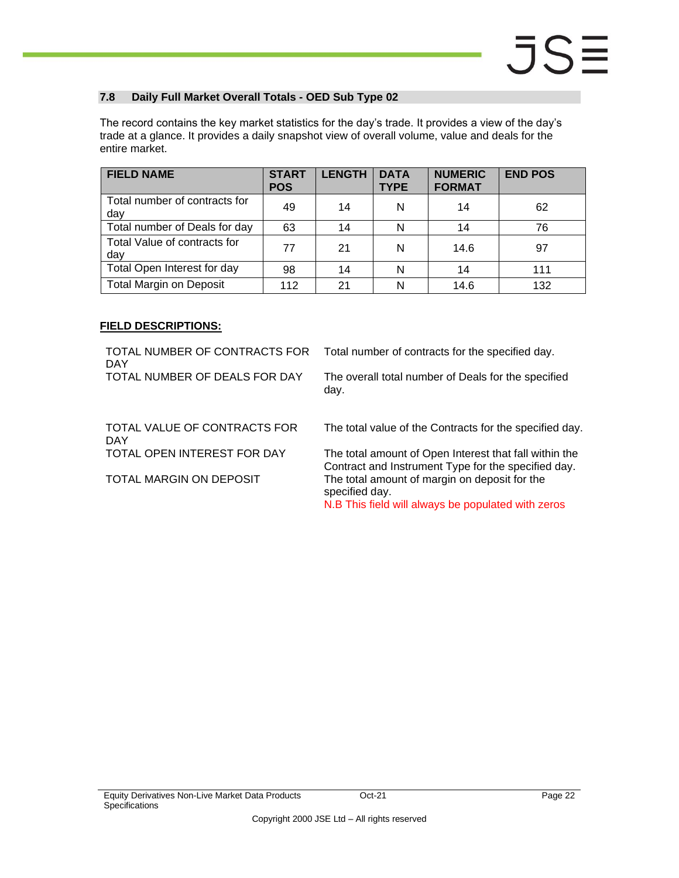### <span id="page-21-0"></span>**7.8 Daily Full Market Overall Totals - OED Sub Type 02**

The record contains the key market statistics for the day's trade. It provides a view of the day's trade at a glance. It provides a daily snapshot view of overall volume, value and deals for the entire market.

| <b>FIELD NAME</b>                    | <b>START</b><br><b>POS</b> | <b>LENGTH</b> | <b>DATA</b><br><b>TYPE</b> | <b>NUMERIC</b><br><b>FORMAT</b> | <b>END POS</b> |
|--------------------------------------|----------------------------|---------------|----------------------------|---------------------------------|----------------|
| Total number of contracts for<br>dav | 49                         | 14            | N                          | 14                              | 62             |
| Total number of Deals for day        | 63                         | 14            | N                          | 14                              | 76             |
| Total Value of contracts for<br>dav  | 77                         | 21            | N                          | 14.6                            | 97             |
| Total Open Interest for day          | 98                         | 14            | N                          | 14                              | 111            |
| <b>Total Margin on Deposit</b>       | 112                        | 21            | N                          | 14.6                            | 132            |

### **FIELD DESCRIPTIONS:**

TOTAL NUMBER OF CONTRACTS FOR DAY Total number of contracts for the specified day. TOTAL NUMBER OF DEALS FOR DAY The overall total number of Deals for the specified day. TOTAL VALUE OF CONTRACTS FOR DAY The total value of the Contracts for the specified day. TOTAL OPEN INTEREST FOR DAY The total amount of Open Interest that fall within the Contract and Instrument Type for the specified day. TOTAL MARGIN ON DEPOSIT The total amount of margin on deposit for the specified day. N.B This field will always be populated with zeros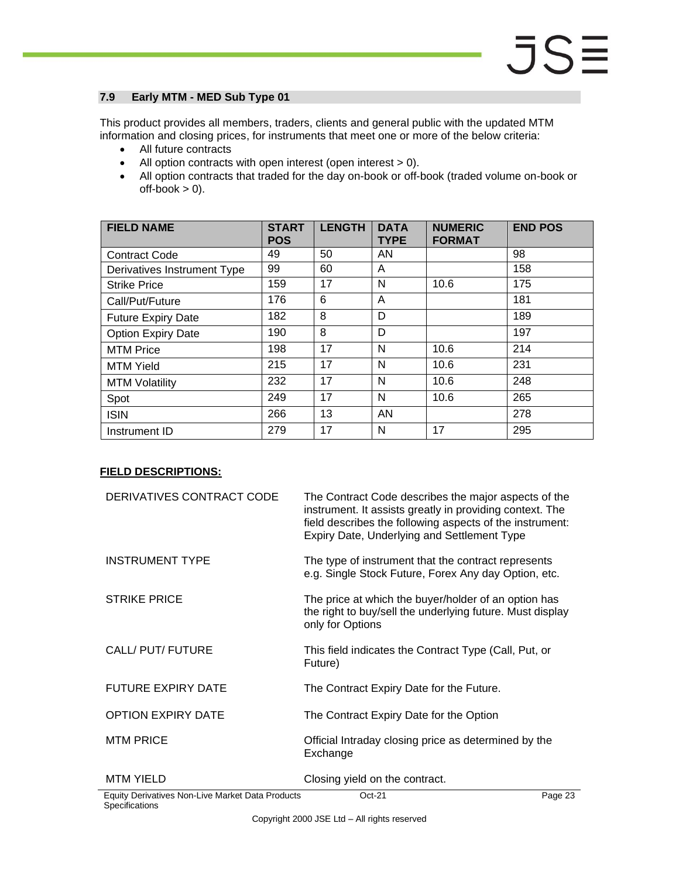### <span id="page-22-0"></span>**7.9 Early MTM - MED Sub Type 01**

This product provides all members, traders, clients and general public with the updated MTM information and closing prices, for instruments that meet one or more of the below criteria:

- All future contracts
- All option contracts with open interest (open interest > 0).
- All option contracts that traded for the day on-book or off-book (traded volume on-book or  $off-book > 0$ ).

| <b>FIELD NAME</b>           | <b>START</b><br><b>POS</b> | <b>LENGTH</b> | <b>DATA</b><br><b>TYPE</b> | <b>NUMERIC</b><br><b>FORMAT</b> | <b>END POS</b> |
|-----------------------------|----------------------------|---------------|----------------------------|---------------------------------|----------------|
| <b>Contract Code</b>        | 49                         | 50            | AN                         |                                 | 98             |
| Derivatives Instrument Type | 99                         | 60            | A                          |                                 | 158            |
| <b>Strike Price</b>         | 159                        | 17            | N                          | 10.6                            | 175            |
| Call/Put/Future             | 176                        | 6             | A                          |                                 | 181            |
| <b>Future Expiry Date</b>   | 182                        | 8             | D                          |                                 | 189            |
| <b>Option Expiry Date</b>   | 190                        | 8             | D                          |                                 | 197            |
| <b>MTM Price</b>            | 198                        | 17            | N                          | 10.6                            | 214            |
| <b>MTM Yield</b>            | 215                        | 17            | N                          | 10.6                            | 231            |
| <b>MTM Volatility</b>       | 232                        | 17            | N                          | 10.6                            | 248            |
| Spot                        | 249                        | 17            | N                          | 10.6                            | 265            |
| <b>ISIN</b>                 | 266                        | 13            | AN                         |                                 | 278            |
| Instrument ID               | 279                        | 17            | N                          | 17                              | 295            |

### **FIELD DESCRIPTIONS:**

| DERIVATIVES CONTRACT CODE                        | The Contract Code describes the major aspects of the<br>instrument. It assists greatly in providing context. The<br>field describes the following aspects of the instrument:<br>Expiry Date, Underlying and Settlement Type |         |
|--------------------------------------------------|-----------------------------------------------------------------------------------------------------------------------------------------------------------------------------------------------------------------------------|---------|
| <b>INSTRUMENT TYPE</b>                           | The type of instrument that the contract represents<br>e.g. Single Stock Future, Forex Any day Option, etc.                                                                                                                 |         |
| <b>STRIKE PRICE</b>                              | The price at which the buyer/holder of an option has<br>the right to buy/sell the underlying future. Must display<br>only for Options                                                                                       |         |
| CALL/ PUT/ FUTURE                                | This field indicates the Contract Type (Call, Put, or<br>Future)                                                                                                                                                            |         |
| <b>FUTURE EXPIRY DATE</b>                        | The Contract Expiry Date for the Future.                                                                                                                                                                                    |         |
| <b>OPTION EXPIRY DATE</b>                        | The Contract Expiry Date for the Option                                                                                                                                                                                     |         |
| <b>MTM PRICE</b>                                 | Official Intraday closing price as determined by the<br>Exchange                                                                                                                                                            |         |
| <b>MTM YIELD</b>                                 | Closing yield on the contract.                                                                                                                                                                                              |         |
| Equity Derivatives Non-Live Market Data Products | $Oct-21$                                                                                                                                                                                                                    | Page 23 |

**Specifications**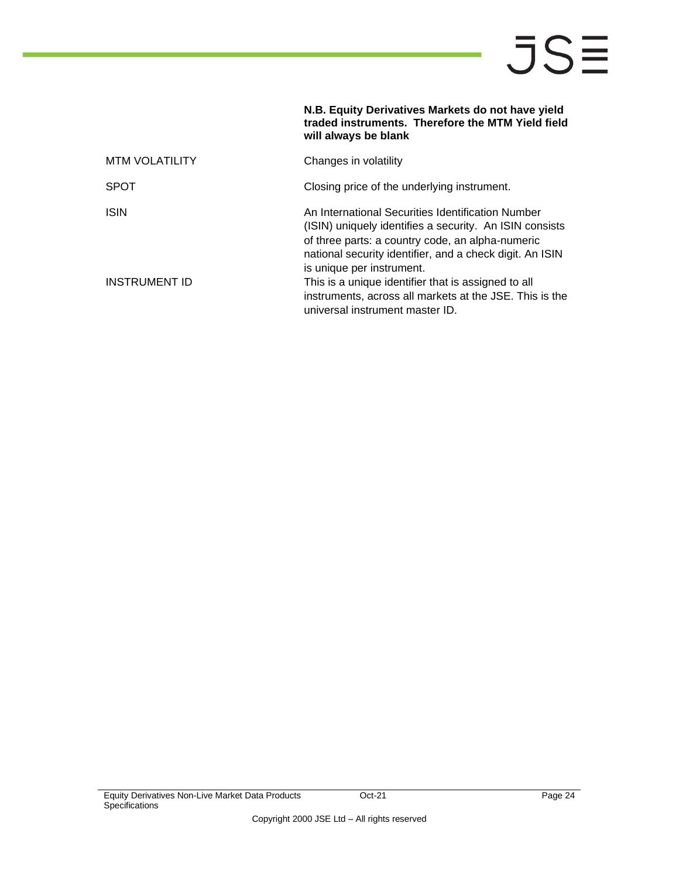|                       | N.B. Equity Derivatives Markets do not have yield<br>traded instruments. Therefore the MTM Yield field<br>will always be blank                                                                                                                            |
|-----------------------|-----------------------------------------------------------------------------------------------------------------------------------------------------------------------------------------------------------------------------------------------------------|
| <b>MTM VOLATILITY</b> | Changes in volatility                                                                                                                                                                                                                                     |
| <b>SPOT</b>           | Closing price of the underlying instrument.                                                                                                                                                                                                               |
| <b>ISIN</b>           | An International Securities Identification Number<br>(ISIN) uniquely identifies a security. An ISIN consists<br>of three parts: a country code, an alpha-numeric<br>national security identifier, and a check digit. An ISIN<br>is unique per instrument. |
| INSTRUMENT ID         | This is a unique identifier that is assigned to all<br>instruments, across all markets at the JSE. This is the<br>universal instrument master ID.                                                                                                         |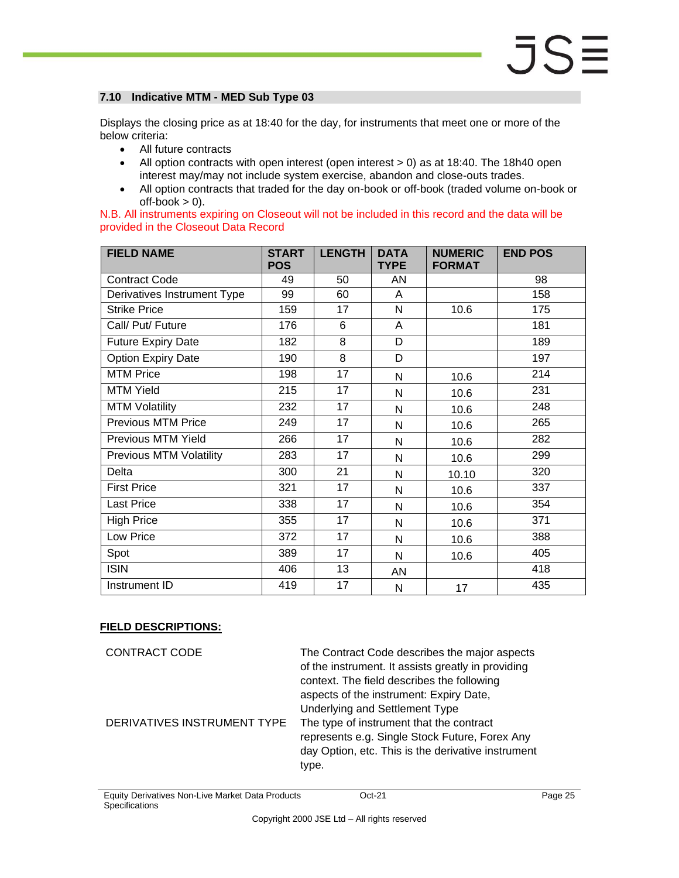#### <span id="page-24-0"></span>**7.10 Indicative MTM - MED Sub Type 03**

Displays the closing price as at 18:40 for the day, for instruments that meet one or more of the below criteria:

- All future contracts
- All option contracts with open interest (open interest > 0) as at 18:40. The 18h40 open interest may/may not include system exercise, abandon and close-outs trades.
- All option contracts that traded for the day on-book or off-book (traded volume on-book or  $off-book > 0$ ).

|  |                                      | N.B. All instruments expiring on Closeout will not be included in this record and the data will be |  |  |  |  |
|--|--------------------------------------|----------------------------------------------------------------------------------------------------|--|--|--|--|
|  | provided in the Closeout Data Record |                                                                                                    |  |  |  |  |

| <b>FIELD NAME</b>              | <b>START</b><br><b>POS</b> | <b>LENGTH</b>   | <b>DATA</b><br><b>TYPE</b> | <b>NUMERIC</b><br><b>FORMAT</b> | <b>END POS</b> |
|--------------------------------|----------------------------|-----------------|----------------------------|---------------------------------|----------------|
| <b>Contract Code</b>           | 49                         | 50              | AN                         |                                 | 98             |
| Derivatives Instrument Type    | 99                         | 60              | A                          |                                 | 158            |
| <b>Strike Price</b>            | 159                        | 17              | N                          | 10.6                            | 175            |
| Call/ Put/ Future              | 176                        | 6               | A                          |                                 | 181            |
| <b>Future Expiry Date</b>      | 182                        | $\overline{8}$  | D                          |                                 | 189            |
| <b>Option Expiry Date</b>      | 190                        | $\overline{8}$  | D                          |                                 | 197            |
| <b>MTM Price</b>               | 198                        | 17              | N                          | 10.6                            | 214            |
| <b>MTM Yield</b>               | 215                        | 17              | N                          | 10.6                            | 231            |
| <b>MTM Volatility</b>          | 232                        | 17              | N                          | 10.6                            | 248            |
| <b>Previous MTM Price</b>      | 249                        | 17              | N                          | 10.6                            | 265            |
| Previous MTM Yield             | 266                        | 17              | N                          | 10.6                            | 282            |
| <b>Previous MTM Volatility</b> | 283                        | 17              | N                          | 10.6                            | 299            |
| Delta                          | 300                        | 21              | N                          | 10.10                           | 320            |
| <b>First Price</b>             | 321                        | 17              | N                          | 10.6                            | 337            |
| Last Price                     | 338                        | 17              | N                          | 10.6                            | 354            |
| <b>High Price</b>              | 355                        | 17              | N                          | 10.6                            | 371            |
| Low Price                      | 372                        | 17              | N                          | 10.6                            | 388            |
| Spot                           | 389                        | 17              | N                          | 10.6                            | 405            |
| <b>ISIN</b>                    | 406                        | 13              | AN                         |                                 | 418            |
| Instrument ID                  | 419                        | $\overline{17}$ | N                          | 17                              | 435            |

### **FIELD DESCRIPTIONS:**

| CONTRACT CODE               | The Contract Code describes the major aspects<br>of the instrument. It assists greatly in providing<br>context. The field describes the following<br>aspects of the instrument: Expiry Date,<br>Underlying and Settlement Type |
|-----------------------------|--------------------------------------------------------------------------------------------------------------------------------------------------------------------------------------------------------------------------------|
| DERIVATIVES INSTRUMENT TYPE | The type of instrument that the contract<br>represents e.g. Single Stock Future, Forex Any<br>day Option, etc. This is the derivative instrument<br>type.                                                                      |

Equity Derivatives Non-Live Market Data Products **Specifications**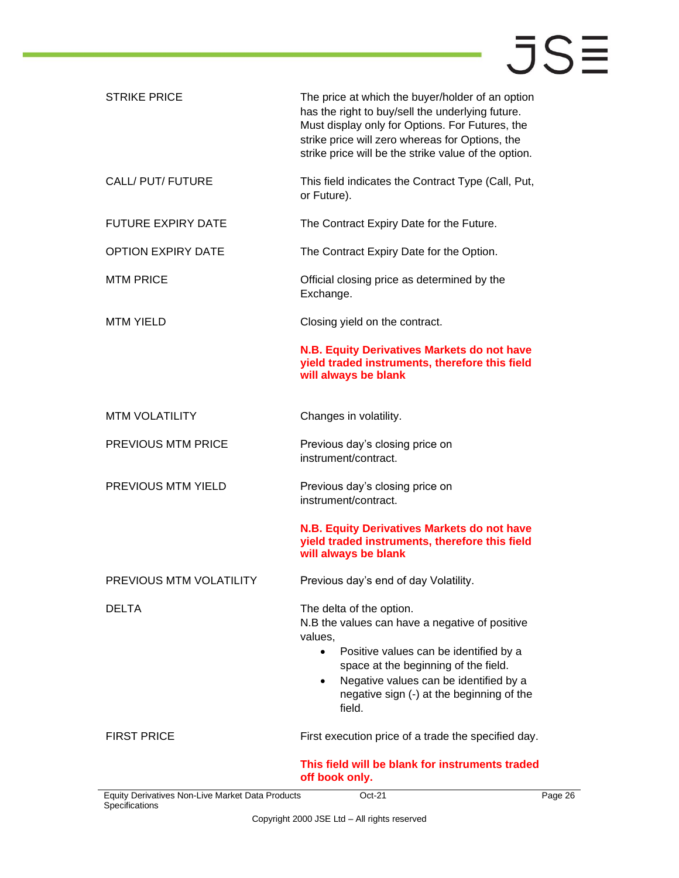| <b>STRIKE PRICE</b>                                                | The price at which the buyer/holder of an option<br>has the right to buy/sell the underlying future.<br>Must display only for Options. For Futures, the<br>strike price will zero whereas for Options, the                                                                                         |
|--------------------------------------------------------------------|----------------------------------------------------------------------------------------------------------------------------------------------------------------------------------------------------------------------------------------------------------------------------------------------------|
|                                                                    | strike price will be the strike value of the option.                                                                                                                                                                                                                                               |
| CALL/ PUT/ FUTURE                                                  | This field indicates the Contract Type (Call, Put,<br>or Future).                                                                                                                                                                                                                                  |
| <b>FUTURE EXPIRY DATE</b>                                          | The Contract Expiry Date for the Future.                                                                                                                                                                                                                                                           |
| <b>OPTION EXPIRY DATE</b>                                          | The Contract Expiry Date for the Option.                                                                                                                                                                                                                                                           |
| <b>MTM PRICE</b>                                                   | Official closing price as determined by the<br>Exchange.                                                                                                                                                                                                                                           |
| <b>MTM YIELD</b>                                                   | Closing yield on the contract.                                                                                                                                                                                                                                                                     |
|                                                                    | N.B. Equity Derivatives Markets do not have<br>yield traded instruments, therefore this field<br>will always be blank                                                                                                                                                                              |
| <b>MTM VOLATILITY</b>                                              | Changes in volatility.                                                                                                                                                                                                                                                                             |
| PREVIOUS MTM PRICE                                                 | Previous day's closing price on<br>instrument/contract.                                                                                                                                                                                                                                            |
| PREVIOUS MTM YIELD                                                 | Previous day's closing price on<br>instrument/contract.                                                                                                                                                                                                                                            |
|                                                                    | N.B. Equity Derivatives Markets do not have<br>yield traded instruments, therefore this field<br>will always be blank                                                                                                                                                                              |
| PREVIOUS MTM VOLATILITY                                            | Previous day's end of day Volatility.                                                                                                                                                                                                                                                              |
| <b>DELTA</b>                                                       | The delta of the option.<br>N.B the values can have a negative of positive<br>values,<br>Positive values can be identified by a<br>$\bullet$<br>space at the beginning of the field.<br>Negative values can be identified by a<br>$\bullet$<br>negative sign (-) at the beginning of the<br>field. |
| <b>FIRST PRICE</b>                                                 | First execution price of a trade the specified day.                                                                                                                                                                                                                                                |
|                                                                    | This field will be blank for instruments traded<br>off book only.                                                                                                                                                                                                                                  |
| Equity Derivatives Non-Live Market Data Products<br>Specifications | Oct-21<br>Pa                                                                                                                                                                                                                                                                                       |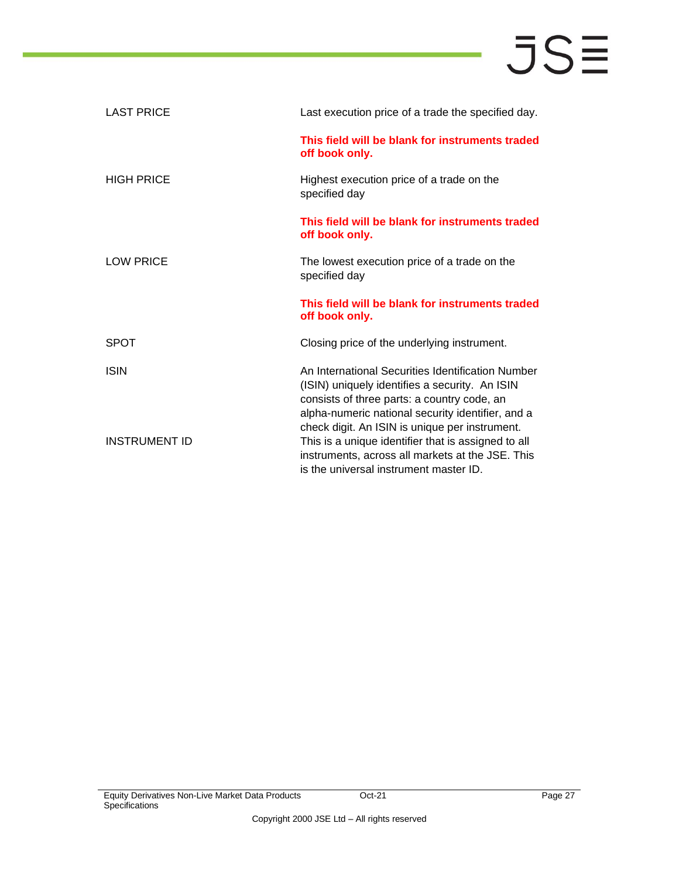| <b>LAST PRICE</b> | Last execution price of a trade the specified day.                                                                                                                                                                                                        |
|-------------------|-----------------------------------------------------------------------------------------------------------------------------------------------------------------------------------------------------------------------------------------------------------|
|                   | This field will be blank for instruments traded<br>off book only.                                                                                                                                                                                         |
| <b>HIGH PRICE</b> | Highest execution price of a trade on the<br>specified day                                                                                                                                                                                                |
|                   | This field will be blank for instruments traded<br>off book only.                                                                                                                                                                                         |
| <b>LOW PRICE</b>  | The lowest execution price of a trade on the<br>specified day                                                                                                                                                                                             |
|                   |                                                                                                                                                                                                                                                           |
|                   | This field will be blank for instruments traded<br>off book only.                                                                                                                                                                                         |
| <b>SPOT</b>       | Closing price of the underlying instrument.                                                                                                                                                                                                               |
| <b>ISIN</b>       | An International Securities Identification Number<br>(ISIN) uniquely identifies a security. An ISIN<br>consists of three parts: a country code, an<br>alpha-numeric national security identifier, and a<br>check digit. An ISIN is unique per instrument. |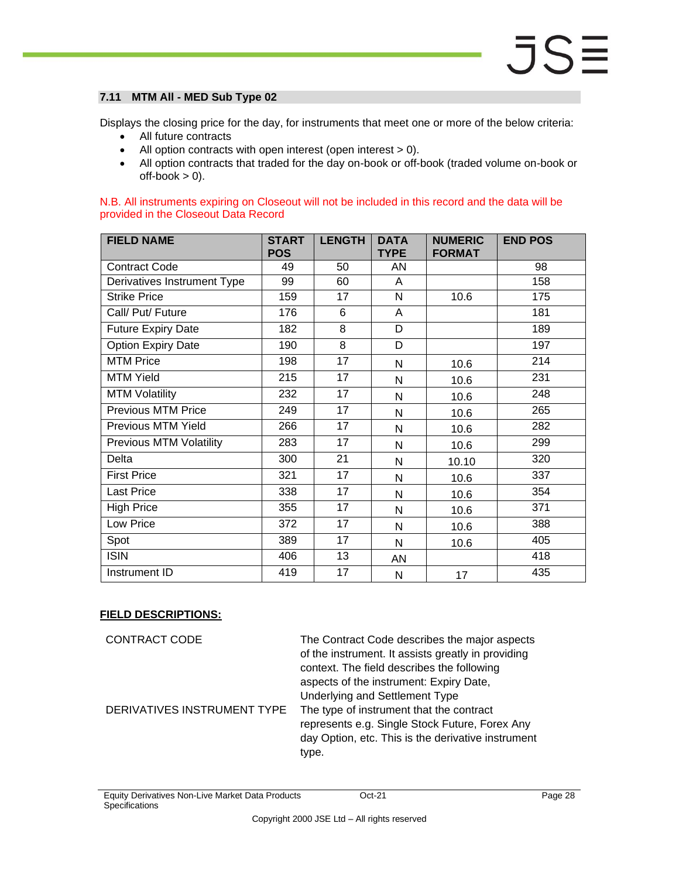### <span id="page-27-0"></span>**7.11 MTM All - MED Sub Type 02**

Displays the closing price for the day, for instruments that meet one or more of the below criteria:

- All future contracts
- All option contracts with open interest (open interest > 0).
- All option contracts that traded for the day on-book or off-book (traded volume on-book or  $off-book > 0$ ).

N.B. All instruments expiring on Closeout will not be included in this record and the data will be provided in the Closeout Data Record

| <b>FIELD NAME</b>              | <b>START</b><br><b>POS</b> | <b>LENGTH</b>   | <b>DATA</b><br><b>TYPE</b> | <b>NUMERIC</b><br><b>FORMAT</b> | <b>END POS</b> |
|--------------------------------|----------------------------|-----------------|----------------------------|---------------------------------|----------------|
| <b>Contract Code</b>           | 49                         | 50              | AN                         |                                 | 98             |
| Derivatives Instrument Type    | 99                         | 60              | A                          |                                 | 158            |
| <b>Strike Price</b>            | 159                        | 17              | N                          | 10.6                            | 175            |
| Call/ Put/ Future              | 176                        | 6               | A                          |                                 | 181            |
| <b>Future Expiry Date</b>      | 182                        | 8               | D                          |                                 | 189            |
| <b>Option Expiry Date</b>      | 190                        | 8               | D                          |                                 | 197            |
| <b>MTM Price</b>               | 198                        | 17              | N                          | 10.6                            | 214            |
| <b>MTM Yield</b>               | 215                        | 17              | N                          | 10.6                            | 231            |
| <b>MTM Volatility</b>          | 232                        | 17              | N                          | 10.6                            | 248            |
| <b>Previous MTM Price</b>      | 249                        | 17              | N                          | 10.6                            | 265            |
| Previous MTM Yield             | 266                        | 17              | N                          | 10.6                            | 282            |
| <b>Previous MTM Volatility</b> | 283                        | 17              | $\mathsf{N}$               | 10.6                            | 299            |
| Delta                          | 300                        | 21              | N                          | 10.10                           | 320            |
| <b>First Price</b>             | 321                        | 17              | N                          | 10.6                            | 337            |
| Last Price                     | 338                        | 17              | N                          | 10.6                            | 354            |
| <b>High Price</b>              | 355                        | 17              | N                          | 10.6                            | 371            |
| Low Price                      | 372                        | 17              | N                          | 10.6                            | 388            |
| Spot                           | 389                        | $\overline{17}$ | N                          | 10.6                            | 405            |
| <b>ISIN</b>                    | 406                        | 13              | AN                         |                                 | 418            |
| Instrument ID                  | 419                        | 17              | N                          | 17                              | 435            |

### **FIELD DESCRIPTIONS:**

CONTRACT CODE The Contract Code describes the major aspects of the instrument. It assists greatly in providing context. The field describes the following aspects of the instrument: Expiry Date, Underlying and Settlement Type DERIVATIVES INSTRUMENT TYPE The type of instrument that the contract represents e.g. Single Stock Future, Forex Any day Option, etc. This is the derivative instrument type.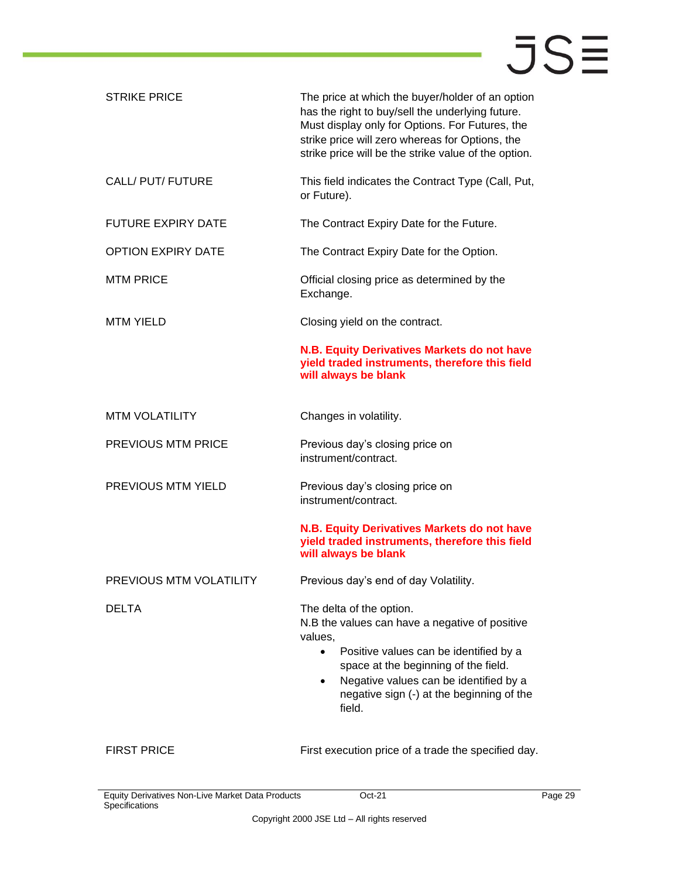| <b>STRIKE PRICE</b>            | The price at which the buyer/holder of an option<br>has the right to buy/sell the underlying future.<br>Must display only for Options. For Futures, the<br>strike price will zero whereas for Options, the<br>strike price will be the strike value of the option.                                 |
|--------------------------------|----------------------------------------------------------------------------------------------------------------------------------------------------------------------------------------------------------------------------------------------------------------------------------------------------|
| CALL/ PUT/ FUTURE              | This field indicates the Contract Type (Call, Put,<br>or Future).                                                                                                                                                                                                                                  |
| <b>FUTURE EXPIRY DATE</b>      | The Contract Expiry Date for the Future.                                                                                                                                                                                                                                                           |
| <b>OPTION EXPIRY DATE</b>      | The Contract Expiry Date for the Option.                                                                                                                                                                                                                                                           |
| <b>MTM PRICE</b>               | Official closing price as determined by the<br>Exchange.                                                                                                                                                                                                                                           |
| <b>MTM YIELD</b>               | Closing yield on the contract.                                                                                                                                                                                                                                                                     |
|                                | N.B. Equity Derivatives Markets do not have<br>yield traded instruments, therefore this field<br>will always be blank                                                                                                                                                                              |
| <b>MTM VOLATILITY</b>          | Changes in volatility.                                                                                                                                                                                                                                                                             |
| <b>PREVIOUS MTM PRICE</b>      | Previous day's closing price on<br>instrument/contract.                                                                                                                                                                                                                                            |
| PREVIOUS MTM YIELD             | Previous day's closing price on<br>instrument/contract.                                                                                                                                                                                                                                            |
|                                | N.B. Equity Derivatives Markets do not have<br>yield traded instruments, therefore this field<br>will always be blank                                                                                                                                                                              |
| <b>PREVIOUS MTM VOLATILITY</b> | Previous day's end of day Volatility.                                                                                                                                                                                                                                                              |
| <b>DELTA</b>                   | The delta of the option.<br>N.B the values can have a negative of positive<br>values,<br>Positive values can be identified by a<br>$\bullet$<br>space at the beginning of the field.<br>Negative values can be identified by a<br>$\bullet$<br>negative sign (-) at the beginning of the<br>field. |
| <b>FIRST PRICE</b>             | First execution price of a trade the specified day.                                                                                                                                                                                                                                                |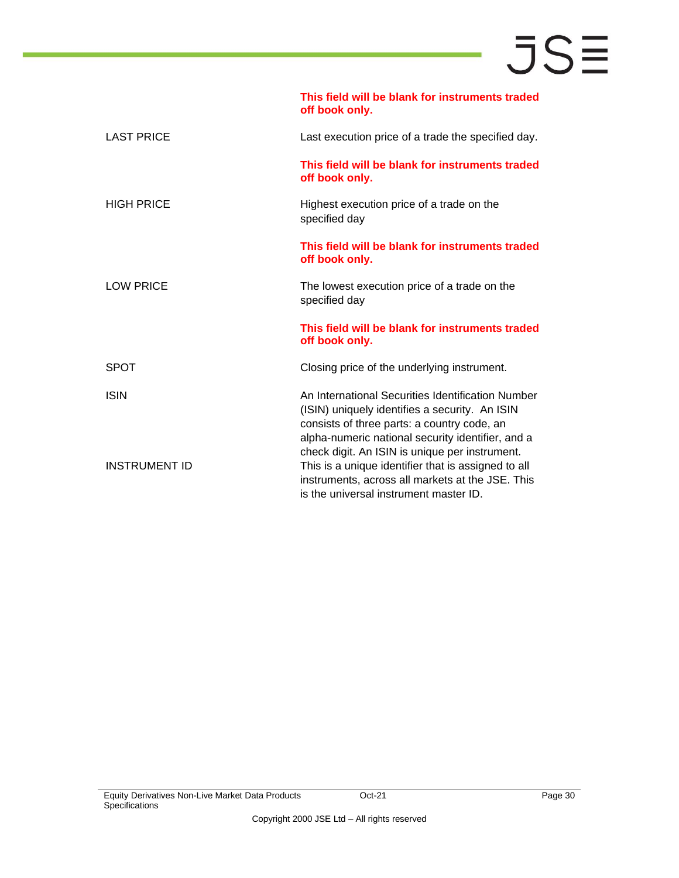|                      | This field will be blank for instruments traded<br>off book only.                                                                                                                                                                                         |
|----------------------|-----------------------------------------------------------------------------------------------------------------------------------------------------------------------------------------------------------------------------------------------------------|
| <b>LAST PRICE</b>    | Last execution price of a trade the specified day.                                                                                                                                                                                                        |
|                      | This field will be blank for instruments traded<br>off book only.                                                                                                                                                                                         |
| <b>HIGH PRICE</b>    | Highest execution price of a trade on the<br>specified day                                                                                                                                                                                                |
|                      | This field will be blank for instruments traded<br>off book only.                                                                                                                                                                                         |
| <b>LOW PRICE</b>     | The lowest execution price of a trade on the<br>specified day                                                                                                                                                                                             |
|                      | This field will be blank for instruments traded<br>off book only.                                                                                                                                                                                         |
| <b>SPOT</b>          | Closing price of the underlying instrument.                                                                                                                                                                                                               |
| <b>ISIN</b>          | An International Securities Identification Number<br>(ISIN) uniquely identifies a security. An ISIN<br>consists of three parts: a country code, an<br>alpha-numeric national security identifier, and a<br>check digit. An ISIN is unique per instrument. |
| <b>INSTRUMENT ID</b> | This is a unique identifier that is assigned to all<br>instruments, across all markets at the JSE. This<br>is the universal instrument master ID.                                                                                                         |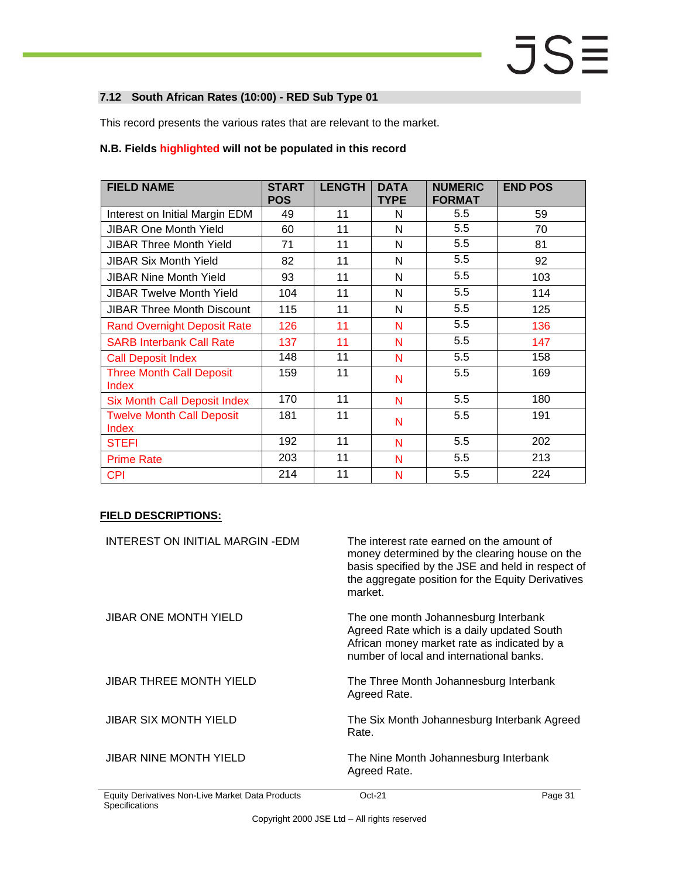### <span id="page-30-0"></span>**7.12 South African Rates (10:00) - RED Sub Type 01**

This record presents the various rates that are relevant to the market.

#### **N.B. Fields highlighted will not be populated in this record**

| <b>FIELD NAME</b>                         | <b>START</b><br><b>POS</b> | <b>LENGTH</b> | <b>DATA</b><br><b>TYPE</b> | <b>NUMERIC</b><br><b>FORMAT</b> | <b>END POS</b> |
|-------------------------------------------|----------------------------|---------------|----------------------------|---------------------------------|----------------|
| Interest on Initial Margin EDM            | 49                         | 11            | N                          | 5.5                             | 59             |
| <b>JIBAR One Month Yield</b>              | 60                         | 11            | N                          | 5.5                             | 70             |
| <b>JIBAR Three Month Yield</b>            | 71                         | 11            | N                          | 5.5                             | 81             |
| <b>JIBAR Six Month Yield</b>              | 82                         | 11            | N                          | 5.5                             | 92             |
| <b>JIBAR Nine Month Yield</b>             | 93                         | 11            | N                          | 5.5                             | 103            |
| <b>JIBAR Twelve Month Yield</b>           | 104                        | 11            | N                          | 5.5                             | 114            |
| <b>JIBAR Three Month Discount</b>         | 115                        | 11            | N                          | 5.5                             | 125            |
| <b>Rand Overnight Deposit Rate</b>        | 126                        | 11            | N                          | 5.5                             | 136            |
| <b>SARB Interbank Call Rate</b>           | 137                        | 11            | N                          | 5.5                             | 147            |
| <b>Call Deposit Index</b>                 | 148                        | 11            | N                          | 5.5                             | 158            |
| <b>Three Month Call Deposit</b><br>Index  | 159                        | 11            | N                          | 5.5                             | 169            |
| <b>Six Month Call Deposit Index</b>       | 170                        | 11            | N                          | 5.5                             | 180            |
| <b>Twelve Month Call Deposit</b><br>Index | 181                        | 11            | N                          | 5.5                             | 191            |
| <b>STEFI</b>                              | 192                        | 11            | N                          | 5.5                             | 202            |
| <b>Prime Rate</b>                         | 203                        | 11            | N                          | 5.5                             | 213            |
| <b>CPI</b>                                | 214                        | 11            | N                          | 5.5                             | 224            |

| INTEREST ON INITIAL MARGIN-EDM | The interest rate earned on the amount of<br>money determined by the clearing house on the<br>basis specified by the JSE and held in respect of<br>the aggregate position for the Equity Derivatives<br>market. |
|--------------------------------|-----------------------------------------------------------------------------------------------------------------------------------------------------------------------------------------------------------------|
| <b>JIBAR ONE MONTH YIELD</b>   | The one month Johannesburg Interbank<br>Agreed Rate which is a daily updated South<br>African money market rate as indicated by a<br>number of local and international banks.                                   |
| JIBAR THREE MONTH YIELD        | The Three Month Johannesburg Interbank<br>Agreed Rate.                                                                                                                                                          |
| JIBAR SIX MONTH YIELD          | The Six Month Johannesburg Interbank Agreed<br>Rate.                                                                                                                                                            |
| <b>JIBAR NINE MONTH YIELD</b>  | The Nine Month Johannesburg Interbank<br>Agreed Rate.                                                                                                                                                           |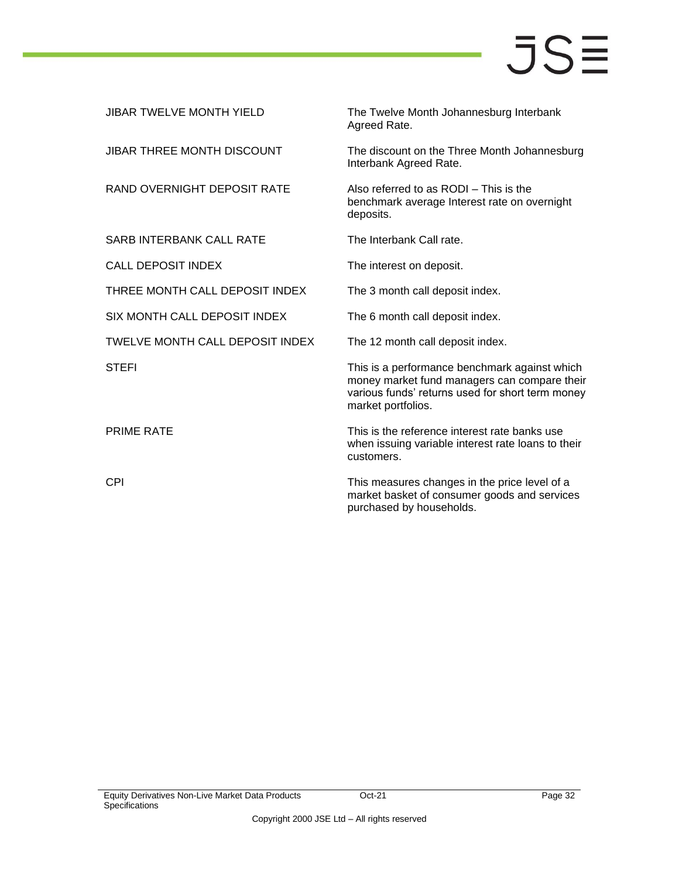| <b>JIBAR TWELVE MONTH YIELD</b> | The Twelve Month Johannesburg Interbank<br>Agreed Rate.                                                                                                                 |
|---------------------------------|-------------------------------------------------------------------------------------------------------------------------------------------------------------------------|
| JIBAR THREE MONTH DISCOUNT      | The discount on the Three Month Johannesburg<br>Interbank Agreed Rate.                                                                                                  |
| RAND OVERNIGHT DEPOSIT RATE     | Also referred to as RODI - This is the<br>benchmark average Interest rate on overnight<br>deposits.                                                                     |
| <b>SARB INTERBANK CALL RATE</b> | The Interbank Call rate.                                                                                                                                                |
| <b>CALL DEPOSIT INDEX</b>       | The interest on deposit.                                                                                                                                                |
| THREE MONTH CALL DEPOSIT INDEX  | The 3 month call deposit index.                                                                                                                                         |
| SIX MONTH CALL DEPOSIT INDEX    | The 6 month call deposit index.                                                                                                                                         |
| TWELVE MONTH CALL DEPOSIT INDEX | The 12 month call deposit index.                                                                                                                                        |
| <b>STEFI</b>                    | This is a performance benchmark against which<br>money market fund managers can compare their<br>various funds' returns used for short term money<br>market portfolios. |
| <b>PRIME RATE</b>               | This is the reference interest rate banks use<br>when issuing variable interest rate loans to their<br>customers.                                                       |
| <b>CPI</b>                      | This measures changes in the price level of a<br>market basket of consumer goods and services<br>purchased by households.                                               |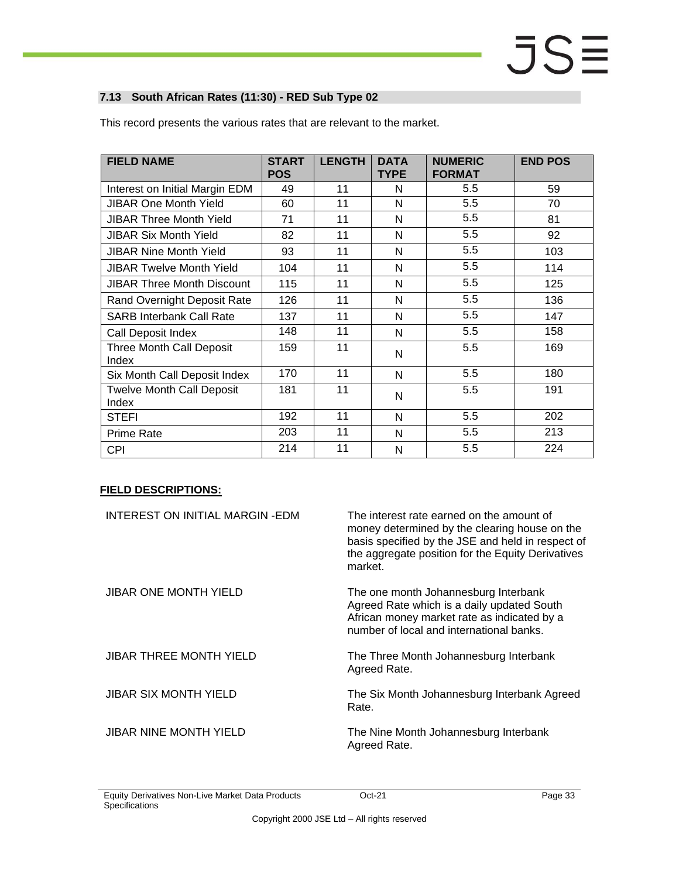### <span id="page-32-0"></span>**7.13 South African Rates (11:30) - RED Sub Type 02**

| <b>FIELD NAME</b>                         | <b>START</b><br><b>POS</b> | <b>LENGTH</b> | <b>DATA</b><br><b>TYPE</b> | <b>NUMERIC</b><br><b>FORMAT</b> | <b>END POS</b> |
|-------------------------------------------|----------------------------|---------------|----------------------------|---------------------------------|----------------|
| Interest on Initial Margin EDM            | 49                         | 11            | N                          | 5.5                             | 59             |
| <b>JIBAR One Month Yield</b>              | 60                         | 11            | N                          | 5.5                             | 70             |
| <b>JIBAR Three Month Yield</b>            | 71                         | 11            | N                          | 5.5                             | 81             |
| <b>JIBAR Six Month Yield</b>              | 82                         | 11            | N                          | 5.5                             | 92             |
| <b>JIBAR Nine Month Yield</b>             | 93                         | 11            | N                          | 5.5                             | 103            |
| <b>JIBAR Twelve Month Yield</b>           | 104                        | 11            | N                          | 5.5                             | 114            |
| <b>JIBAR Three Month Discount</b>         | 115                        | 11            | N                          | 5.5                             | 125            |
| Rand Overnight Deposit Rate               | 126                        | 11            | N                          | 5.5                             | 136            |
| <b>SARB Interbank Call Rate</b>           | 137                        | 11            | N                          | 5.5                             | 147            |
| Call Deposit Index                        | 148                        | 11            | N                          | 5.5                             | 158            |
| <b>Three Month Call Deposit</b><br>Index  | 159                        | 11            | N                          | 5.5                             | 169            |
| Six Month Call Deposit Index              | 170                        | 11            | N                          | 5.5                             | 180            |
| <b>Twelve Month Call Deposit</b><br>Index | 181                        | 11            | N                          | 5.5                             | 191            |
| <b>STEFI</b>                              | 192                        | 11            | N                          | 5.5                             | 202            |
| <b>Prime Rate</b>                         | 203                        | 11            | N                          | 5.5                             | 213            |
| <b>CPI</b>                                | 214                        | 11            | N                          | 5.5                             | 224            |

This record presents the various rates that are relevant to the market.

| INTEREST ON INITIAL MARGIN-EDM | The interest rate earned on the amount of<br>money determined by the clearing house on the<br>basis specified by the JSE and held in respect of<br>the aggregate position for the Equity Derivatives<br>market. |
|--------------------------------|-----------------------------------------------------------------------------------------------------------------------------------------------------------------------------------------------------------------|
| <b>JIBAR ONE MONTH YIELD</b>   | The one month Johannesburg Interbank<br>Agreed Rate which is a daily updated South<br>African money market rate as indicated by a<br>number of local and international banks.                                   |
| <b>JIBAR THREE MONTH YIELD</b> | The Three Month Johannesburg Interbank<br>Agreed Rate.                                                                                                                                                          |
| <b>JIBAR SIX MONTH YIELD</b>   | The Six Month Johannesburg Interbank Agreed<br>Rate.                                                                                                                                                            |
| <b>JIBAR NINE MONTH YIELD</b>  | The Nine Month Johannesburg Interbank<br>Agreed Rate.                                                                                                                                                           |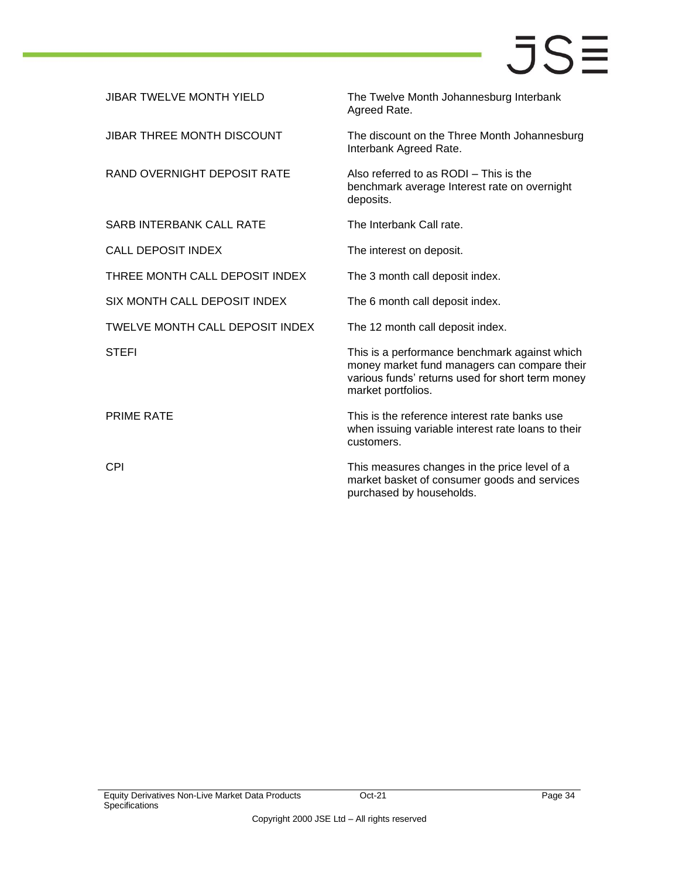| <b>JIBAR TWELVE MONTH YIELD</b>   | The Twelve Month Johannesburg Interbank<br>Agreed Rate.                                                                                                                 |
|-----------------------------------|-------------------------------------------------------------------------------------------------------------------------------------------------------------------------|
| <b>JIBAR THREE MONTH DISCOUNT</b> | The discount on the Three Month Johannesburg<br>Interbank Agreed Rate.                                                                                                  |
| RAND OVERNIGHT DEPOSIT RATE       | Also referred to as RODI - This is the<br>benchmark average Interest rate on overnight<br>deposits.                                                                     |
| <b>SARB INTERBANK CALL RATE</b>   | The Interbank Call rate.                                                                                                                                                |
| <b>CALL DEPOSIT INDEX</b>         | The interest on deposit.                                                                                                                                                |
| THREE MONTH CALL DEPOSIT INDEX    | The 3 month call deposit index.                                                                                                                                         |
| SIX MONTH CALL DEPOSIT INDEX      | The 6 month call deposit index.                                                                                                                                         |
| TWELVE MONTH CALL DEPOSIT INDEX   | The 12 month call deposit index.                                                                                                                                        |
| <b>STEFI</b>                      | This is a performance benchmark against which<br>money market fund managers can compare their<br>various funds' returns used for short term money<br>market portfolios. |
| <b>PRIME RATE</b>                 | This is the reference interest rate banks use<br>when issuing variable interest rate loans to their<br>customers.                                                       |
| <b>CPI</b>                        | This measures changes in the price level of a<br>market basket of consumer goods and services<br>purchased by households.                                               |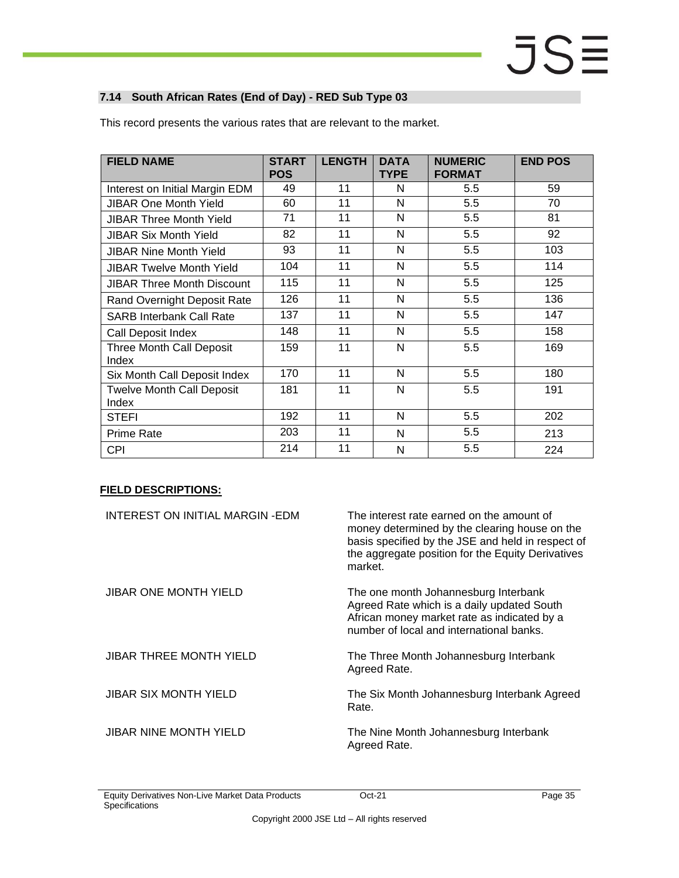### <span id="page-34-0"></span>**7.14 South African Rates (End of Day) - RED Sub Type 03**

| <b>FIELD NAME</b>                         | <b>START</b><br><b>POS</b> | <b>LENGTH</b> | <b>DATA</b><br><b>TYPE</b> | <b>NUMERIC</b><br><b>FORMAT</b> | <b>END POS</b> |
|-------------------------------------------|----------------------------|---------------|----------------------------|---------------------------------|----------------|
| Interest on Initial Margin EDM            | 49                         | 11            | N                          | 5.5                             | 59             |
| <b>JIBAR One Month Yield</b>              | 60                         | 11            | N                          | 5.5                             | 70             |
| <b>JIBAR Three Month Yield</b>            | 71                         | 11            | N                          | 5.5                             | 81             |
| <b>JIBAR Six Month Yield</b>              | 82                         | 11            | N                          | 5.5                             | 92             |
| <b>JIBAR Nine Month Yield</b>             | 93                         | 11            | N                          | 5.5                             | 103            |
| <b>JIBAR Twelve Month Yield</b>           | 104                        | 11            | N                          | 5.5                             | 114            |
| <b>JIBAR Three Month Discount</b>         | 115                        | 11            | N                          | 5.5                             | 125            |
| Rand Overnight Deposit Rate               | 126                        | 11            | N                          | 5.5                             | 136            |
| <b>SARB Interbank Call Rate</b>           | 137                        | 11            | N                          | 5.5                             | 147            |
| Call Deposit Index                        | 148                        | 11            | N                          | 5.5                             | 158            |
| <b>Three Month Call Deposit</b><br>Index  | 159                        | 11            | N                          | 5.5                             | 169            |
| Six Month Call Deposit Index              | 170                        | 11            | N                          | 5.5                             | 180            |
| <b>Twelve Month Call Deposit</b><br>Index | 181                        | 11            | N                          | 5.5                             | 191            |
| <b>STEFI</b>                              | 192                        | 11            | N                          | 5.5                             | 202            |
| <b>Prime Rate</b>                         | 203                        | 11            | N                          | 5.5                             | 213            |
| <b>CPI</b>                                | 214                        | 11            | N                          | 5.5                             | 224            |

This record presents the various rates that are relevant to the market.

| INTEREST ON INITIAL MARGIN-EDM | The interest rate earned on the amount of<br>money determined by the clearing house on the<br>basis specified by the JSE and held in respect of<br>the aggregate position for the Equity Derivatives<br>market. |
|--------------------------------|-----------------------------------------------------------------------------------------------------------------------------------------------------------------------------------------------------------------|
| <b>JIBAR ONE MONTH YIELD</b>   | The one month Johannesburg Interbank<br>Agreed Rate which is a daily updated South<br>African money market rate as indicated by a<br>number of local and international banks.                                   |
| <b>JIBAR THREE MONTH YIELD</b> | The Three Month Johannesburg Interbank<br>Agreed Rate.                                                                                                                                                          |
| <b>JIBAR SIX MONTH YIELD</b>   | The Six Month Johannesburg Interbank Agreed<br>Rate.                                                                                                                                                            |
| <b>JIBAR NINE MONTH YIELD</b>  | The Nine Month Johannesburg Interbank<br>Agreed Rate.                                                                                                                                                           |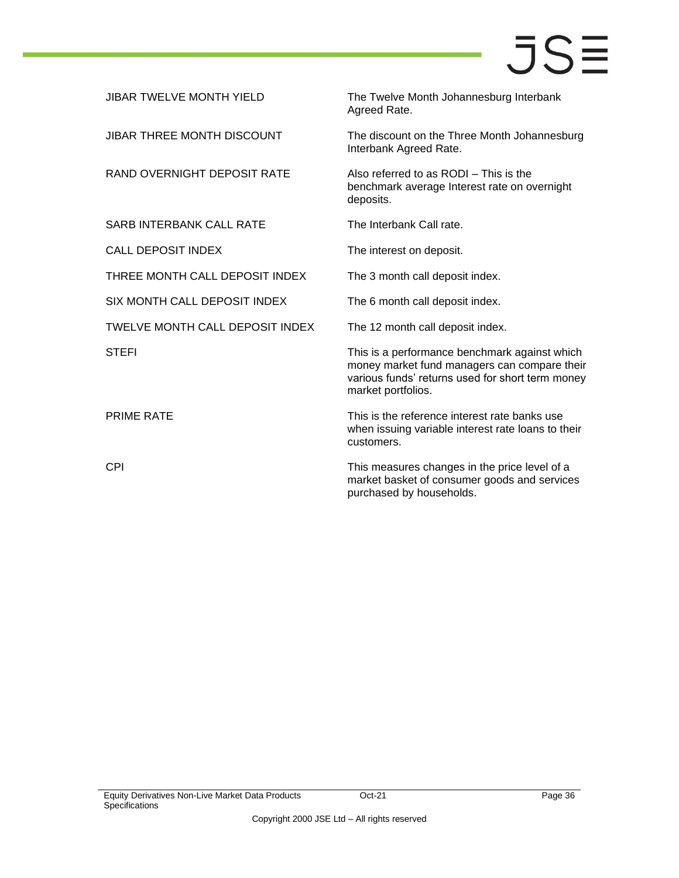| <b>JIBAR TWELVE MONTH YIELD</b>   | The Twelve Month Johannesburg Interbank<br>Agreed Rate.                                                                                                                 |
|-----------------------------------|-------------------------------------------------------------------------------------------------------------------------------------------------------------------------|
| <b>JIBAR THREE MONTH DISCOUNT</b> | The discount on the Three Month Johannesburg<br>Interbank Agreed Rate.                                                                                                  |
| RAND OVERNIGHT DEPOSIT RATE       | Also referred to as RODI - This is the<br>benchmark average Interest rate on overnight<br>deposits.                                                                     |
| <b>SARB INTERBANK CALL RATE</b>   | The Interbank Call rate.                                                                                                                                                |
| <b>CALL DEPOSIT INDEX</b>         | The interest on deposit.                                                                                                                                                |
| THREE MONTH CALL DEPOSIT INDEX    | The 3 month call deposit index.                                                                                                                                         |
| SIX MONTH CALL DEPOSIT INDEX      | The 6 month call deposit index.                                                                                                                                         |
| TWELVE MONTH CALL DEPOSIT INDEX   | The 12 month call deposit index.                                                                                                                                        |
| <b>STEFI</b>                      | This is a performance benchmark against which<br>money market fund managers can compare their<br>various funds' returns used for short term money<br>market portfolios. |
| <b>PRIME RATE</b>                 | This is the reference interest rate banks use<br>when issuing variable interest rate loans to their<br>customers.                                                       |
| <b>CPI</b>                        | This measures changes in the price level of a<br>market basket of consumer goods and services<br>purchased by households.                                               |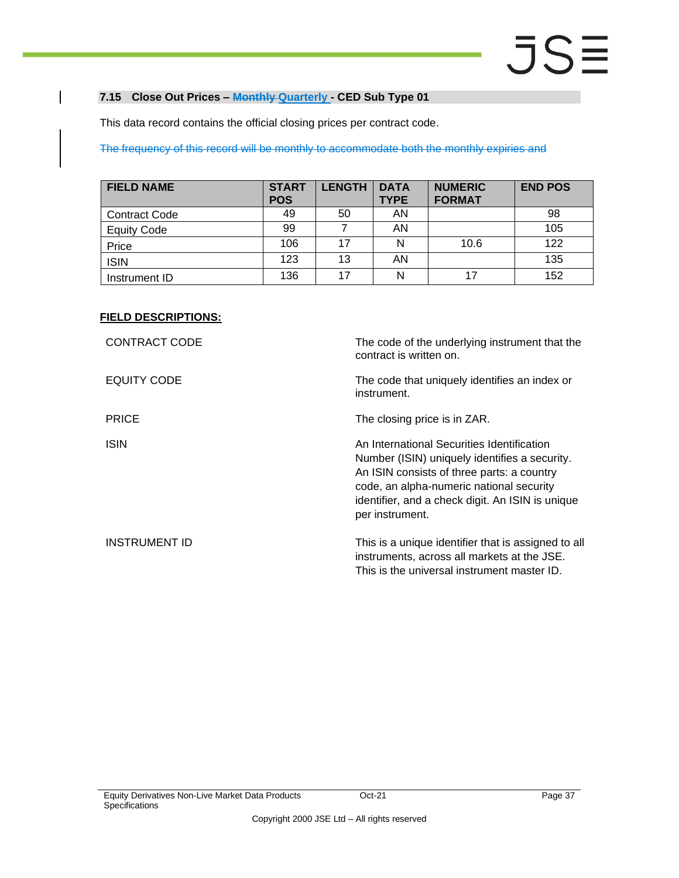### <span id="page-36-0"></span>**7.15 Close Out Prices – Monthly Quarterly - CED Sub Type 01**

This data record contains the official closing prices per contract code.

The frequency of this record will be monthly to accommodate both the monthly expiries and

| <b>FIELD NAME</b>    | <b>START</b><br><b>POS</b> | <b>LENGTH</b> | <b>DATA</b><br><b>TYPE</b> | <b>NUMERIC</b><br><b>FORMAT</b> | <b>END POS</b> |
|----------------------|----------------------------|---------------|----------------------------|---------------------------------|----------------|
| <b>Contract Code</b> | 49                         | 50            | AN                         |                                 | 98             |
| <b>Equity Code</b>   | 99                         |               | AN                         |                                 | 105            |
| Price                | 106                        |               | N                          | 10.6                            | 122            |
| <b>ISIN</b>          | 123                        | 13            | AN                         |                                 | 135            |
| Instrument ID        | 136                        |               | N                          | 17                              | 152            |

| <b>CONTRACT CODE</b> | The code of the underlying instrument that the<br>contract is written on.                                                                                                                                                                                    |
|----------------------|--------------------------------------------------------------------------------------------------------------------------------------------------------------------------------------------------------------------------------------------------------------|
| EQUITY CODE          | The code that uniquely identifies an index or<br>instrument.                                                                                                                                                                                                 |
| <b>PRICE</b>         | The closing price is in ZAR.                                                                                                                                                                                                                                 |
| <b>ISIN</b>          | An International Securities Identification<br>Number (ISIN) uniquely identifies a security.<br>An ISIN consists of three parts: a country<br>code, an alpha-numeric national security<br>identifier, and a check digit. An ISIN is unique<br>per instrument. |
| <b>INSTRUMENT ID</b> | This is a unique identifier that is assigned to all<br>instruments, across all markets at the JSE.<br>This is the universal instrument master ID.                                                                                                            |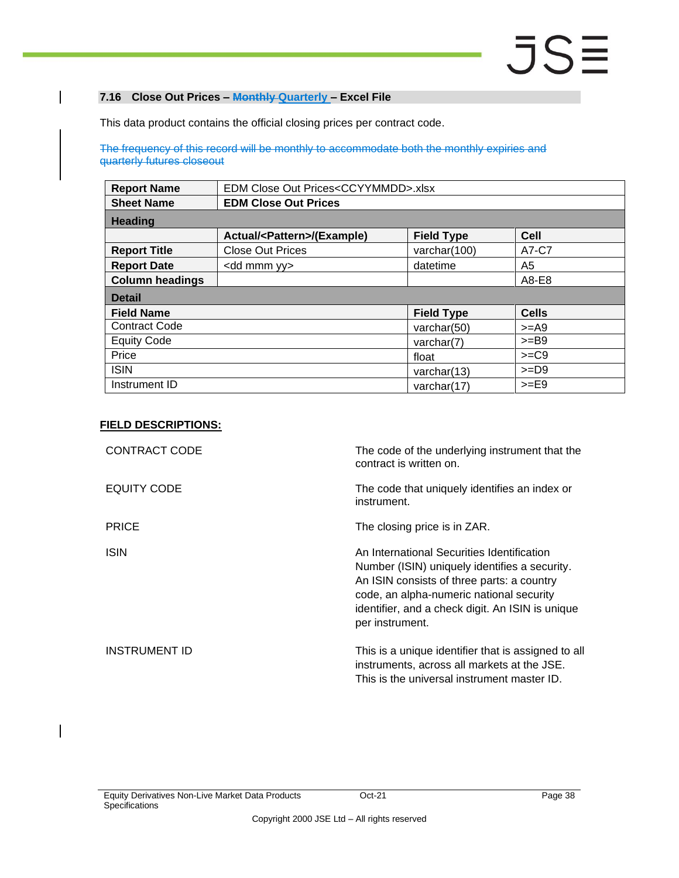### <span id="page-37-0"></span>**7.16 Close Out Prices – Monthly Quarterly – Excel File**

This data product contains the official closing prices per contract code.

The frequency of this record will be monthly to accommodate both the monthly expiries and quarterly futures closeout

| <b>Report Name</b>     | EDM Close Out Prices <ccyymmdd>.xlsx</ccyymmdd> |                   |              |  |  |  |  |
|------------------------|-------------------------------------------------|-------------------|--------------|--|--|--|--|
| <b>Sheet Name</b>      | <b>EDM Close Out Prices</b>                     |                   |              |  |  |  |  |
| <b>Heading</b>         |                                                 |                   |              |  |  |  |  |
|                        | Actual/ <pattern>/(Example)</pattern>           | <b>Field Type</b> | <b>Cell</b>  |  |  |  |  |
| <b>Report Title</b>    | <b>Close Out Prices</b>                         | varchar(100)      | A7-C7        |  |  |  |  |
| <b>Report Date</b>     | <dd mmm="" yy=""></dd>                          | datetime          | A5           |  |  |  |  |
| <b>Column headings</b> |                                                 |                   | A8-E8        |  |  |  |  |
| <b>Detail</b>          |                                                 |                   |              |  |  |  |  |
| <b>Field Name</b>      |                                                 | <b>Field Type</b> | <b>Cells</b> |  |  |  |  |
| <b>Contract Code</b>   |                                                 | varchar(50)       | $>=$ A9      |  |  |  |  |
| <b>Equity Code</b>     |                                                 | varchar(7)        | $>=$ B9      |  |  |  |  |
| Price                  |                                                 | float             | $>=C9$       |  |  |  |  |
| <b>ISIN</b>            | $>=$ D9<br>varchar $(13)$                       |                   |              |  |  |  |  |
| Instrument ID          | $>=$ E9<br>varchar(17)                          |                   |              |  |  |  |  |

| <b>CONTRACT CODE</b> | The code of the underlying instrument that the<br>contract is written on.                                                                                                                                                                                    |
|----------------------|--------------------------------------------------------------------------------------------------------------------------------------------------------------------------------------------------------------------------------------------------------------|
| EQUITY CODE          | The code that uniquely identifies an index or<br>instrument.                                                                                                                                                                                                 |
| <b>PRICE</b>         | The closing price is in ZAR.                                                                                                                                                                                                                                 |
| <b>ISIN</b>          | An International Securities Identification<br>Number (ISIN) uniquely identifies a security.<br>An ISIN consists of three parts: a country<br>code, an alpha-numeric national security<br>identifier, and a check digit. An ISIN is unique<br>per instrument. |
| <b>INSTRUMENT ID</b> | This is a unique identifier that is assigned to all<br>instruments, across all markets at the JSE.<br>This is the universal instrument master ID.                                                                                                            |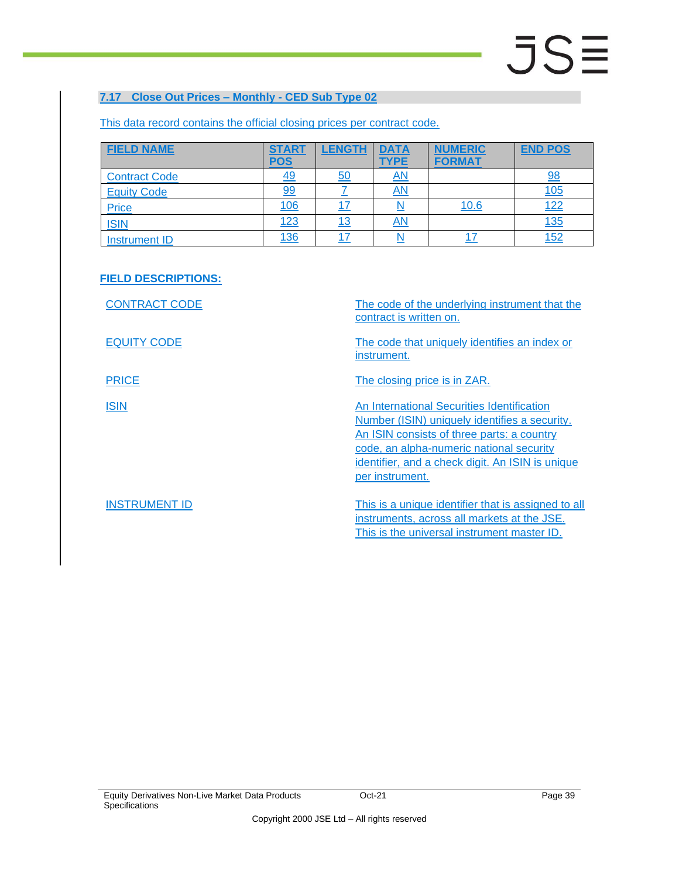### <span id="page-38-0"></span>**7.17 Close Out Prices – Monthly - CED Sub Type 02**

| <b>FIELD NAME</b>    | <b>START</b><br><u>POS</u> | <b>LENGTH</b> | <b>DATA</b><br><b>TYPE</b> | <b>NUMERIC</b><br><b>FORMAT</b> | <b>END POS</b> |
|----------------------|----------------------------|---------------|----------------------------|---------------------------------|----------------|
| <b>Contract Code</b> | <u>49</u>                  | 50            | $\overline{AN}$            |                                 | 98             |
| <b>Equity Code</b>   | 99                         |               | $\overline{AN}$            |                                 | <u>105</u>     |
| Price                | <u>106</u>                 |               |                            | 10.6                            | <u>122</u>     |
| <b>ISIN</b>          | <u>123</u>                 | <u> 13</u>    | $\overline{AN}$            |                                 | <u>135</u>     |
| Instrument ID        | <u>136</u>                 |               | N                          |                                 | 152            |

This data record contains the official closing prices per contract code.

### **FIELD DESCRIPTIONS:**

CONTRACT CODE The code of the underlying instrument that the contract is written on. EQUITY CODE The code that uniquely identifies an index or instrument. PRICE The closing price is in ZAR. **ISIN An International Securities Identification** Number (ISIN) uniquely identifies a security. An ISIN consists of three parts: a country code, an alpha-numeric national security identifier, and a check digit. An ISIN is unique per instrument. INSTRUMENT ID This is a unique identifier that is assigned to all instruments, across all markets at the JSE. This is the universal instrument master ID.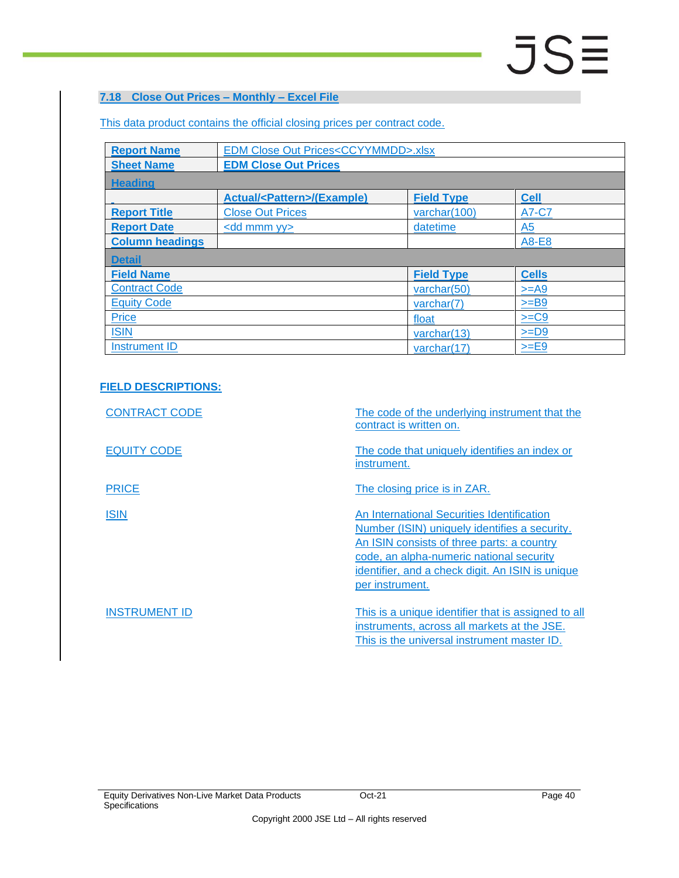### <span id="page-39-0"></span>**7.18 Close Out Prices – Monthly – Excel File**

This data product contains the official closing prices per contract code.

| <b>Report Name</b>     | <b>EDM Close Out Prices<ccyymmdd>.xlsx</ccyymmdd></b> |                   |              |  |  |  |  |  |
|------------------------|-------------------------------------------------------|-------------------|--------------|--|--|--|--|--|
| <b>Sheet Name</b>      | <b>EDM Close Out Prices</b>                           |                   |              |  |  |  |  |  |
| <b>Heading</b>         |                                                       |                   |              |  |  |  |  |  |
|                        | <b>Actual/<pattern>/(Example)</pattern></b>           | <b>Field Type</b> | <b>Cell</b>  |  |  |  |  |  |
| <b>Report Title</b>    | <b>Close Out Prices</b>                               | varchar(100)      | A7-C7        |  |  |  |  |  |
| <b>Report Date</b>     | $\leq$ dd mmm yy $\geq$                               | datetime          | A5           |  |  |  |  |  |
| <b>Column headings</b> |                                                       |                   | A8-E8        |  |  |  |  |  |
| <b>Detail</b>          |                                                       |                   |              |  |  |  |  |  |
| <b>Field Name</b>      |                                                       | <b>Field Type</b> | <b>Cells</b> |  |  |  |  |  |
| <b>Contract Code</b>   |                                                       | varchar $(50)$    | $>=$ A9      |  |  |  |  |  |
| <b>Equity Code</b>     |                                                       | varchar(7)        | $>=$ B9      |  |  |  |  |  |
| <b>Price</b>           |                                                       | float             | $>=C9$       |  |  |  |  |  |
| <b>ISIN</b>            |                                                       | varchar(13)       | $>=$ D9      |  |  |  |  |  |
| <b>Instrument ID</b>   |                                                       | varchar(17)       | $>=E9$       |  |  |  |  |  |

| <b>CONTRACT CODE</b> | The code of the underlying instrument that the<br>contract is written on.                                                                                                                                                                                    |
|----------------------|--------------------------------------------------------------------------------------------------------------------------------------------------------------------------------------------------------------------------------------------------------------|
| <b>EQUITY CODE</b>   | The code that uniquely identifies an index or<br>instrument.                                                                                                                                                                                                 |
| <b>PRICE</b>         | The closing price is in ZAR.                                                                                                                                                                                                                                 |
| <b>ISIN</b>          | An International Securities Identification<br>Number (ISIN) uniquely identifies a security.<br>An ISIN consists of three parts: a country<br>code, an alpha-numeric national security<br>identifier, and a check digit. An ISIN is unique<br>per instrument. |
| <b>INSTRUMENT ID</b> | This is a unique identifier that is assigned to all<br>instruments, across all markets at the JSE.<br>This is the universal instrument master ID.                                                                                                            |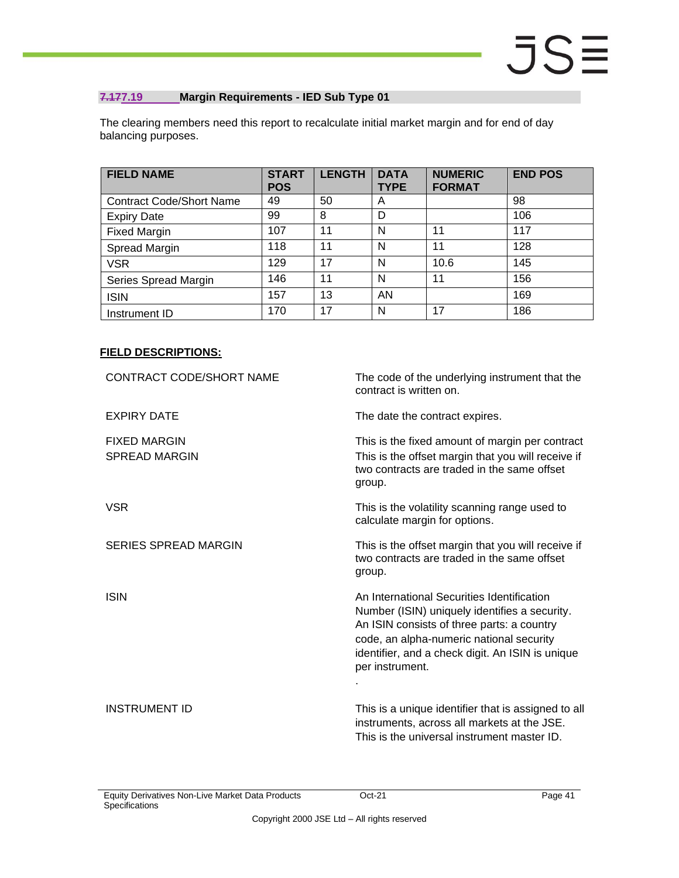### <span id="page-40-0"></span>**7.177.19 Margin Requirements - IED Sub Type 01**

The clearing members need this report to recalculate initial market margin and for end of day balancing purposes.

| <b>FIELD NAME</b>               | <b>START</b><br><b>POS</b> | <b>LENGTH</b> | <b>DATA</b><br><b>TYPE</b> | <b>NUMERIC</b><br><b>FORMAT</b> | <b>END POS</b> |
|---------------------------------|----------------------------|---------------|----------------------------|---------------------------------|----------------|
| <b>Contract Code/Short Name</b> | 49                         | 50            | A                          |                                 | 98             |
| <b>Expiry Date</b>              | 99                         | 8             | D                          |                                 | 106            |
| <b>Fixed Margin</b>             | 107                        | 11            | N                          | 11                              | 117            |
| Spread Margin                   | 118                        | 11            | N                          | 11                              | 128            |
| <b>VSR</b>                      | 129                        | 17            | N                          | 10.6                            | 145            |
| Series Spread Margin            | 146                        | 11            | N                          | 11                              | 156            |
| <b>ISIN</b>                     | 157                        | 13            | AN                         |                                 | 169            |
| Instrument ID                   | 170                        | 17            | N                          | 17                              | 186            |

| CONTRACT CODE/SHORT NAME                    | The code of the underlying instrument that the<br>contract is written on.                                                                                                                                                                                    |
|---------------------------------------------|--------------------------------------------------------------------------------------------------------------------------------------------------------------------------------------------------------------------------------------------------------------|
| <b>EXPIRY DATE</b>                          | The date the contract expires.                                                                                                                                                                                                                               |
| <b>FIXED MARGIN</b><br><b>SPREAD MARGIN</b> | This is the fixed amount of margin per contract<br>This is the offset margin that you will receive if<br>two contracts are traded in the same offset<br>group.                                                                                               |
| <b>VSR</b>                                  | This is the volatility scanning range used to<br>calculate margin for options.                                                                                                                                                                               |
| <b>SERIES SPREAD MARGIN</b>                 | This is the offset margin that you will receive if<br>two contracts are traded in the same offset<br>group.                                                                                                                                                  |
| <b>ISIN</b>                                 | An International Securities Identification<br>Number (ISIN) uniquely identifies a security.<br>An ISIN consists of three parts: a country<br>code, an alpha-numeric national security<br>identifier, and a check digit. An ISIN is unique<br>per instrument. |
| <b>INSTRUMENT ID</b>                        | This is a unique identifier that is assigned to all<br>instruments, across all markets at the JSE.<br>This is the universal instrument master ID.                                                                                                            |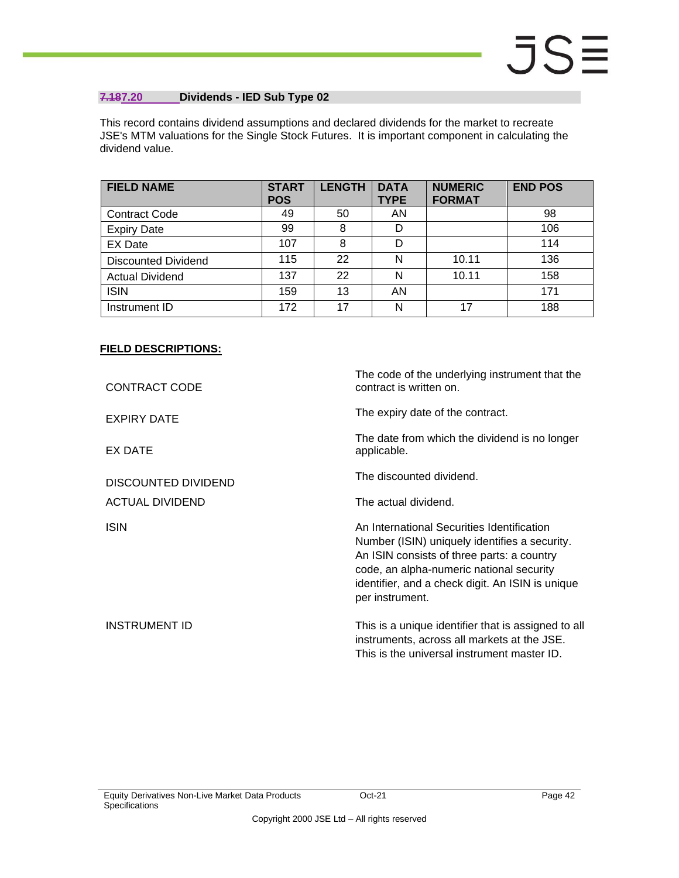### <span id="page-41-0"></span>**7.187.20 Dividends - IED Sub Type 02**

This record contains dividend assumptions and declared dividends for the market to recreate JSE's MTM valuations for the Single Stock Futures. It is important component in calculating the dividend value.

| <b>FIELD NAME</b>          | <b>START</b><br><b>POS</b> | <b>LENGTH</b> | <b>DATA</b><br><b>TYPE</b> | <b>NUMERIC</b><br><b>FORMAT</b> | <b>END POS</b> |
|----------------------------|----------------------------|---------------|----------------------------|---------------------------------|----------------|
| <b>Contract Code</b>       | 49                         | 50            | AN                         |                                 | 98             |
| <b>Expiry Date</b>         | 99                         | 8             | D                          |                                 | 106            |
| <b>EX Date</b>             | 107                        | 8             | D                          |                                 | 114            |
| <b>Discounted Dividend</b> | 115                        | 22            | N                          | 10.11                           | 136            |
| <b>Actual Dividend</b>     | 137                        | 22            | N                          | 10.11                           | 158            |
| <b>ISIN</b>                | 159                        | 13            | AN                         |                                 | 171            |
| Instrument ID              | 172                        | 17            | N                          | 17                              | 188            |

| <b>CONTRACT CODE</b>   | The code of the underlying instrument that the<br>contract is written on.                                                                                                                                                                                    |  |  |  |  |
|------------------------|--------------------------------------------------------------------------------------------------------------------------------------------------------------------------------------------------------------------------------------------------------------|--|--|--|--|
| <b>EXPIRY DATE</b>     | The expiry date of the contract.                                                                                                                                                                                                                             |  |  |  |  |
| EX DATE                | The date from which the dividend is no longer<br>applicable.                                                                                                                                                                                                 |  |  |  |  |
| DISCOUNTED DIVIDEND    | The discounted dividend.                                                                                                                                                                                                                                     |  |  |  |  |
| <b>ACTUAL DIVIDEND</b> | The actual dividend.                                                                                                                                                                                                                                         |  |  |  |  |
| <b>ISIN</b>            | An International Securities Identification<br>Number (ISIN) uniquely identifies a security.<br>An ISIN consists of three parts: a country<br>code, an alpha-numeric national security<br>identifier, and a check digit. An ISIN is unique<br>per instrument. |  |  |  |  |
| <b>INSTRUMENT ID</b>   | This is a unique identifier that is assigned to all<br>instruments, across all markets at the JSE.<br>This is the universal instrument master ID.                                                                                                            |  |  |  |  |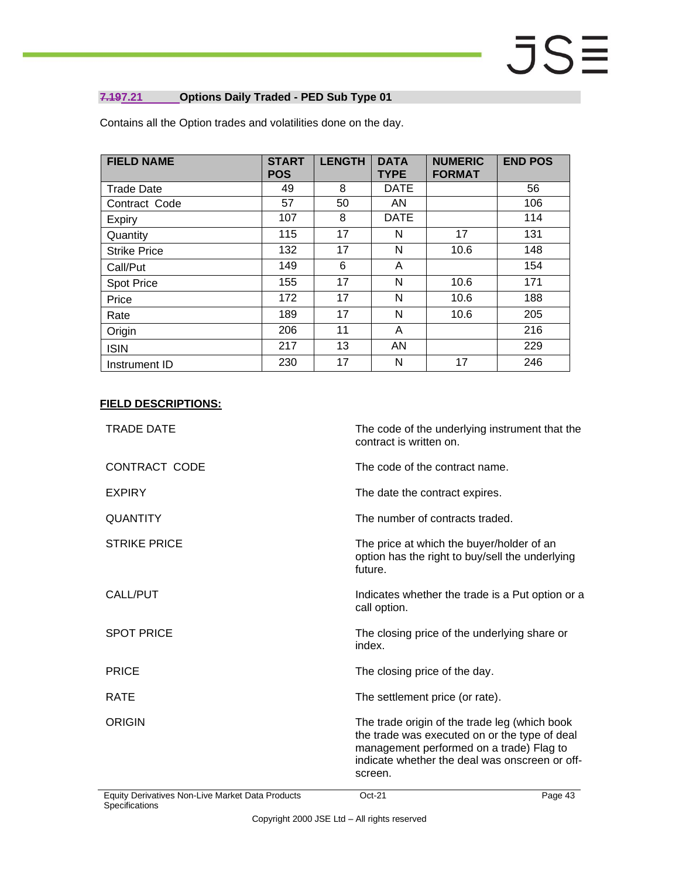### <span id="page-42-0"></span>**7.197.21 Options Daily Traded - PED Sub Type 01**

| <b>FIELD NAME</b>   | <b>START</b><br><b>POS</b> | <b>LENGTH</b> | <b>DATA</b><br><b>TYPE</b> | <b>NUMERIC</b><br><b>FORMAT</b> | <b>END POS</b> |
|---------------------|----------------------------|---------------|----------------------------|---------------------------------|----------------|
| <b>Trade Date</b>   | 49                         | 8             | <b>DATE</b>                |                                 | 56             |
| Contract Code       | 57                         | 50            | AN                         |                                 | 106            |
| Expiry              | 107                        | 8             | <b>DATE</b>                |                                 | 114            |
| Quantity            | 115                        | 17            | N                          | 17                              | 131            |
| <b>Strike Price</b> | 132                        | 17            | N                          | 10.6                            | 148            |
| Call/Put            | 149                        | 6             | A                          |                                 | 154            |
| <b>Spot Price</b>   | 155                        | 17            | N                          | 10.6                            | 171            |
| Price               | 172                        | 17            | N                          | 10.6                            | 188            |
| Rate                | 189                        | 17            | N                          | 10.6                            | 205            |
| Origin              | 206                        | 11            | A                          |                                 | 216            |
| <b>ISIN</b>         | 217                        | 13            | AN                         |                                 | 229            |
| Instrument ID       | 230                        | 17            | N                          | 17                              | 246            |

Contains all the Option trades and volatilities done on the day.

| Equity Derivatives Non-Live Market Data Products | Page 43<br>$Oct-21$                                                                                                                                                                                     |
|--------------------------------------------------|---------------------------------------------------------------------------------------------------------------------------------------------------------------------------------------------------------|
| ORIGIN                                           | The trade origin of the trade leg (which book<br>the trade was executed on or the type of deal<br>management performed on a trade) Flag to<br>indicate whether the deal was onscreen or off-<br>screen. |
| <b>RATE</b>                                      | The settlement price (or rate).                                                                                                                                                                         |
| <b>PRICE</b>                                     | The closing price of the day.                                                                                                                                                                           |
| <b>SPOT PRICE</b>                                | The closing price of the underlying share or<br>index.                                                                                                                                                  |
| CALL/PUT                                         | Indicates whether the trade is a Put option or a<br>call option.                                                                                                                                        |
| <b>STRIKE PRICE</b>                              | The price at which the buyer/holder of an<br>option has the right to buy/sell the underlying<br>future.                                                                                                 |
| <b>QUANTITY</b>                                  | The number of contracts traded.                                                                                                                                                                         |
| <b>EXPIRY</b>                                    | The date the contract expires.                                                                                                                                                                          |
| <b>CONTRACT CODE</b>                             | The code of the contract name.                                                                                                                                                                          |
| <b>TRADE DATE</b>                                | The code of the underlying instrument that the<br>contract is written on.                                                                                                                               |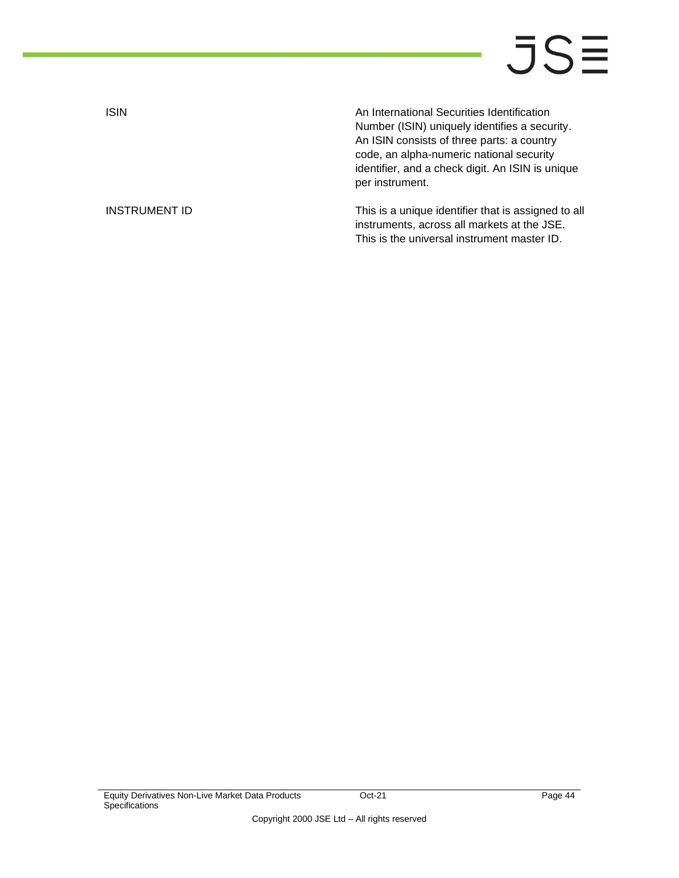ISIN An International Securities Identification Number (ISIN) uniquely identifies a security. An ISIN consists of three parts: a country code, an alpha-numeric national security identifier, and a check digit. An ISIN is unique per instrument.

INSTRUMENT ID **INSTRUMENT ID** This is a unique identifier that is assigned to all instruments, across all markets at the JSE. This is the universal instrument master ID.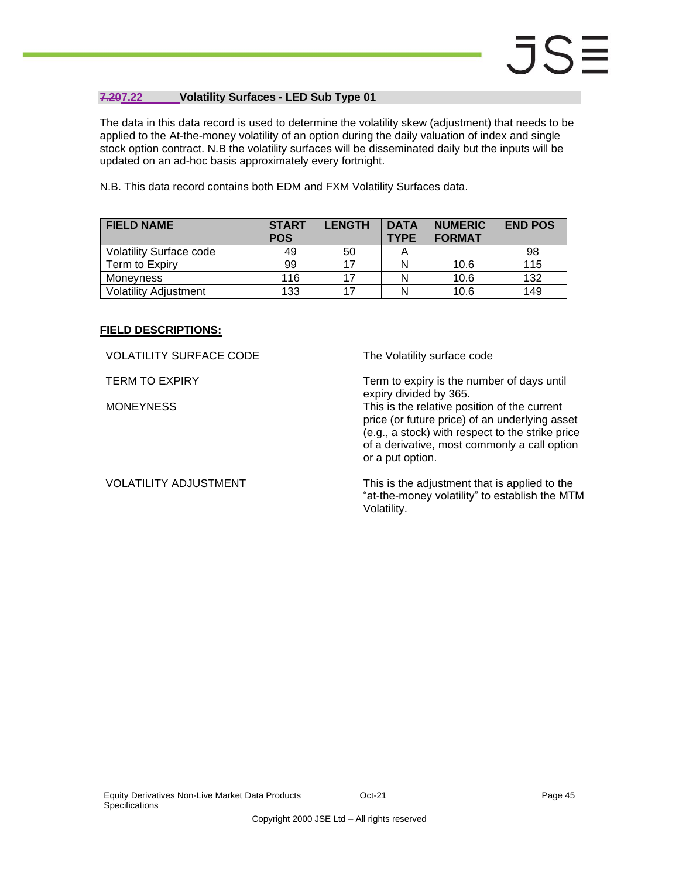### <span id="page-44-0"></span>**7.207.22 Volatility Surfaces - LED Sub Type 01**

The data in this data record is used to determine the volatility skew (adjustment) that needs to be applied to the At-the-money volatility of an option during the daily valuation of index and single stock option contract. N.B the volatility surfaces will be disseminated daily but the inputs will be updated on an ad-hoc basis approximately every fortnight.

N.B. This data record contains both EDM and FXM Volatility Surfaces data.

| <b>FIELD NAME</b>              | <b>START</b><br><b>POS</b> | <b>LENGTH</b> | <b>DATA</b><br><b>TYPE</b> | <b>NUMERIC</b><br><b>FORMAT</b> | <b>END POS</b> |
|--------------------------------|----------------------------|---------------|----------------------------|---------------------------------|----------------|
| <b>Volatility Surface code</b> | 49                         | 50            |                            |                                 | 98             |
| Term to Expiry                 | 99                         | 17            | N                          | 10.6                            | 115            |
| Monevness                      | 116                        | 17            | N                          | 10.6                            | 132            |
| <b>Volatility Adjustment</b>   | 133                        | 17            | N                          | 10.6                            | 149            |

#### **FIELD DESCRIPTIONS:**

VOLATILITY SURFACE CODE The Volatility surface code

TERM TO EXPIRY TERM TO EXPIRY Term to expiry is the number of days until expiry divided by 365.

MONEYNESS This is the relative position of the current price (or future price) of an underlying asset (e.g., a stock) with respect to the strike price of a derivative, most commonly a call option or a put option.

VOLATILITY ADJUSTMENT This is the adjustment that is applied to the "at-the-money volatility" to establish the MTM Volatility.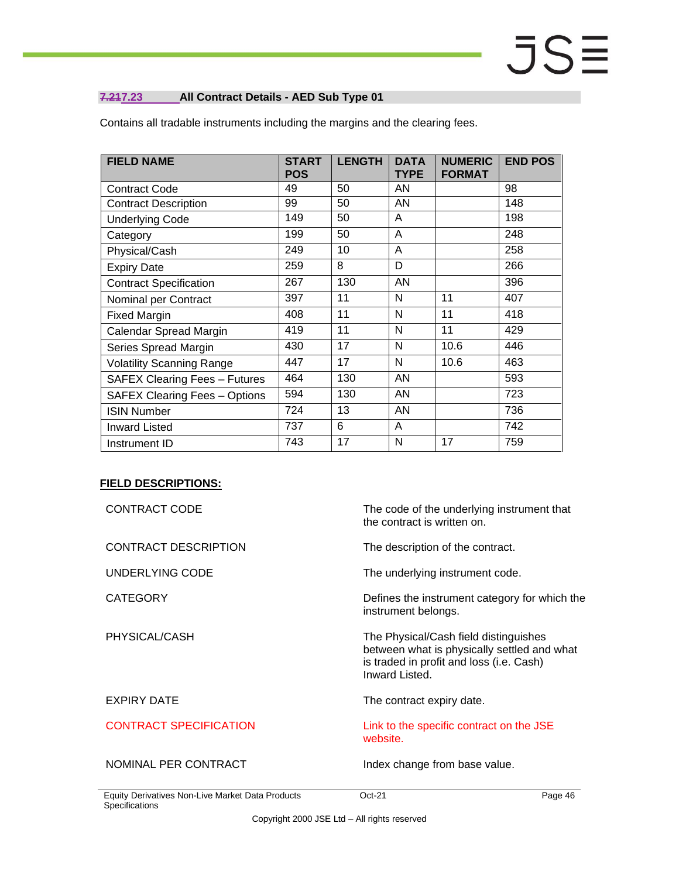### <span id="page-45-0"></span>**7.217.23 All Contract Details - AED Sub Type 01**

| <b>FIELD NAME</b>                    | <b>START</b><br><b>POS</b> | <b>LENGTH</b> | <b>DATA</b><br><b>TYPE</b> | <b>NUMERIC</b><br><b>FORMAT</b> | <b>END POS</b> |
|--------------------------------------|----------------------------|---------------|----------------------------|---------------------------------|----------------|
| <b>Contract Code</b>                 | 49                         | 50            | AN                         |                                 | 98             |
| <b>Contract Description</b>          | 99                         | 50            | AN                         |                                 | 148            |
| <b>Underlying Code</b>               | 149                        | 50            | A                          |                                 | 198            |
| Category                             | 199                        | 50            | A                          |                                 | 248            |
| Physical/Cash                        | 249                        | 10            | A                          |                                 | 258            |
| <b>Expiry Date</b>                   | 259                        | 8             | D                          |                                 | 266            |
| <b>Contract Specification</b>        | 267                        | 130           | AN                         |                                 | 396            |
| Nominal per Contract                 | 397                        | 11            | N                          | 11                              | 407            |
| <b>Fixed Margin</b>                  | 408                        | 11            | N                          | 11                              | 418            |
| Calendar Spread Margin               | 419                        | 11            | N                          | 11                              | 429            |
| Series Spread Margin                 | 430                        | 17            | N                          | 10.6                            | 446            |
| <b>Volatility Scanning Range</b>     | 447                        | 17            | N                          | 10.6                            | 463            |
| <b>SAFEX Clearing Fees - Futures</b> | 464                        | 130           | AN                         |                                 | 593            |
| <b>SAFEX Clearing Fees - Options</b> | 594                        | 130           | AN                         |                                 | 723            |
| <b>ISIN Number</b>                   | 724                        | 13            | AN                         |                                 | 736            |
| <b>Inward Listed</b>                 | 737                        | 6             | A                          |                                 | 742            |
| Instrument ID                        | 743                        | 17            | N                          | 17                              | 759            |

Contains all tradable instruments including the margins and the clearing fees.

| <b>CONTRACT CODE</b>                                               | The code of the underlying instrument that<br>the contract is written on.                                                                          |
|--------------------------------------------------------------------|----------------------------------------------------------------------------------------------------------------------------------------------------|
| <b>CONTRACT DESCRIPTION</b>                                        | The description of the contract.                                                                                                                   |
| UNDERLYING CODE                                                    | The underlying instrument code.                                                                                                                    |
| <b>CATEGORY</b>                                                    | Defines the instrument category for which the<br>instrument belongs.                                                                               |
| PHYSICAL/CASH                                                      | The Physical/Cash field distinguishes<br>between what is physically settled and what<br>is traded in profit and loss (i.e. Cash)<br>Inward Listed. |
| <b>EXPIRY DATE</b>                                                 | The contract expiry date.                                                                                                                          |
| <b>CONTRACT SPECIFICATION</b>                                      | Link to the specific contract on the JSE<br>website.                                                                                               |
| NOMINAL PER CONTRACT                                               | Index change from base value.                                                                                                                      |
| Equity Derivatives Non-Live Market Data Products<br>Specifications | $Oct-21$<br>Page 46                                                                                                                                |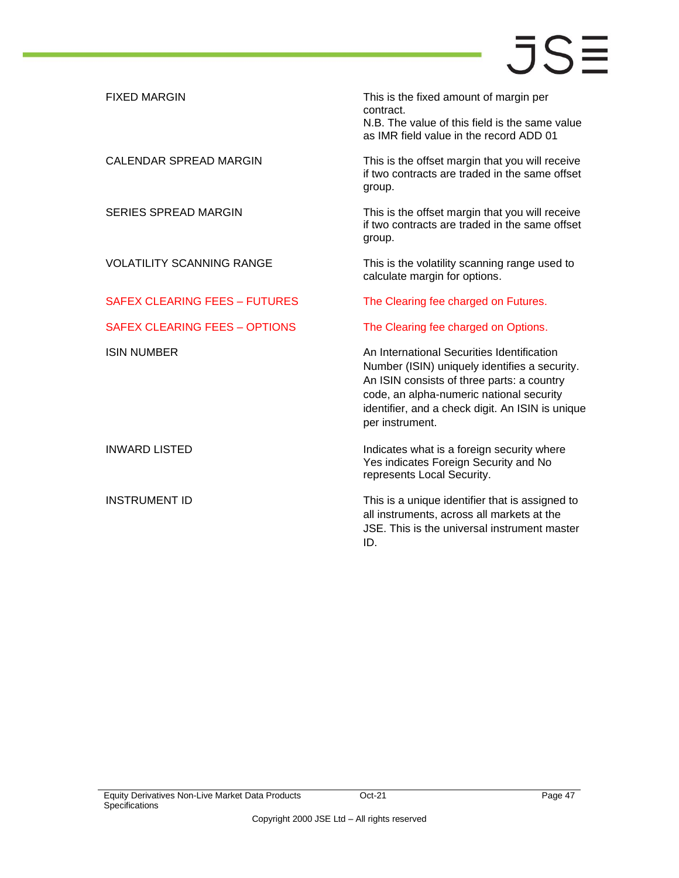| <b>FIXED MARGIN</b>                  | This is the fixed amount of margin per<br>contract.<br>N.B. The value of this field is the same value<br>as IMR field value in the record ADD 01                                                                                                             |
|--------------------------------------|--------------------------------------------------------------------------------------------------------------------------------------------------------------------------------------------------------------------------------------------------------------|
| <b>CALENDAR SPREAD MARGIN</b>        | This is the offset margin that you will receive<br>if two contracts are traded in the same offset<br>group.                                                                                                                                                  |
| SERIES SPREAD MARGIN                 | This is the offset margin that you will receive<br>if two contracts are traded in the same offset<br>group.                                                                                                                                                  |
| <b>VOLATILITY SCANNING RANGE</b>     | This is the volatility scanning range used to<br>calculate margin for options.                                                                                                                                                                               |
| <b>SAFEX CLEARING FEES - FUTURES</b> | The Clearing fee charged on Futures.                                                                                                                                                                                                                         |
| <b>SAFEX CLEARING FEES - OPTIONS</b> | The Clearing fee charged on Options.                                                                                                                                                                                                                         |
| <b>ISIN NUMBER</b>                   | An International Securities Identification<br>Number (ISIN) uniquely identifies a security.<br>An ISIN consists of three parts: a country<br>code, an alpha-numeric national security<br>identifier, and a check digit. An ISIN is unique<br>per instrument. |
| <b>INWARD LISTED</b>                 | Indicates what is a foreign security where<br>Yes indicates Foreign Security and No<br>represents Local Security.                                                                                                                                            |
| <b>INSTRUMENT ID</b>                 | This is a unique identifier that is assigned to<br>all instruments, across all markets at the<br>JSE. This is the universal instrument master<br>ID.                                                                                                         |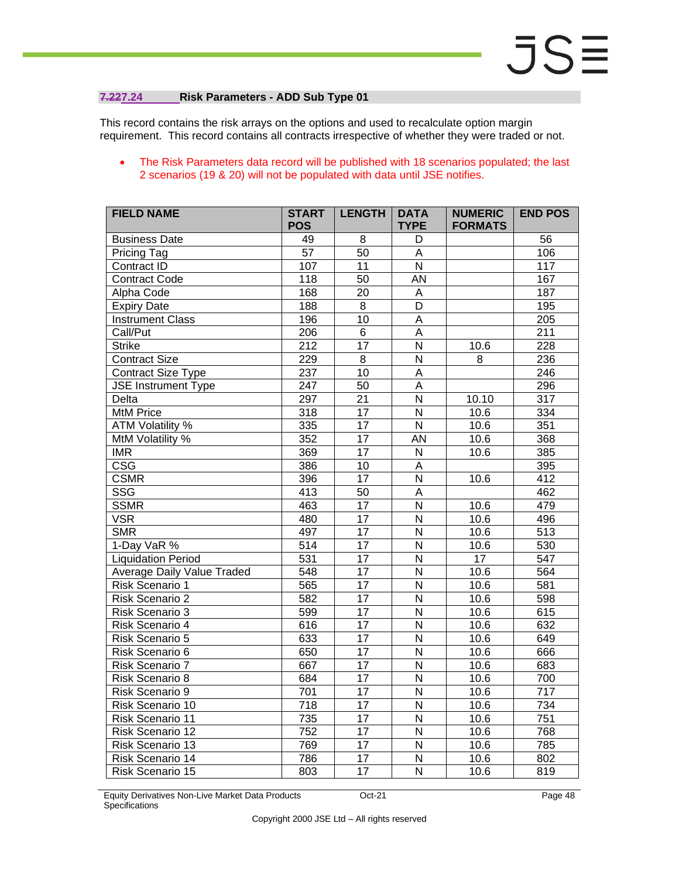### <span id="page-47-0"></span>**7.227.24 Risk Parameters - ADD Sub Type 01**

This record contains the risk arrays on the options and used to recalculate option margin requirement. This record contains all contracts irrespective of whether they were traded or not.

### • The Risk Parameters data record will be published with 18 scenarios populated; the last 2 scenarios (19 & 20) will not be populated with data until JSE notifies.

| <b>FIELD NAME</b>                 | <b>START</b><br><b>POS</b> | <b>LENGTH</b>   | <b>DATA</b><br><b>TYPE</b> | <b>NUMERIC</b><br><b>FORMATS</b> | <b>END POS</b>   |
|-----------------------------------|----------------------------|-----------------|----------------------------|----------------------------------|------------------|
| <b>Business Date</b>              | 49                         | 8               | D                          |                                  | $\overline{56}$  |
| Pricing Tag                       | $\overline{57}$            | 50              | $\mathsf A$                |                                  | 106              |
| Contract ID                       | 107                        | 11              | $\mathsf{N}$               |                                  | 117              |
| <b>Contract Code</b>              | 118                        | $\overline{50}$ | <b>AN</b>                  |                                  | 167              |
| Alpha Code                        | 168                        | 20              | A                          |                                  | 187              |
| <b>Expiry Date</b>                | 188                        | $\overline{8}$  | D                          |                                  | 195              |
| <b>Instrument Class</b>           | 196                        | 10              | $\overline{A}$             |                                  | 205              |
| Call/Put                          | 206                        | $\,6$           | $\overline{A}$             |                                  | $\overline{211}$ |
| <b>Strike</b>                     | $\overline{212}$           | $\overline{17}$ | $\overline{\mathsf{N}}$    | 10.6                             | 228              |
| <b>Contract Size</b>              | 229                        | 8               | N                          | 8                                | 236              |
| <b>Contract Size Type</b>         | 237                        | 10              | $\overline{\mathsf{A}}$    |                                  | 246              |
| <b>JSE Instrument Type</b>        | 247                        | $\overline{50}$ | $\overline{A}$             |                                  | 296              |
| Delta                             | 297                        | $\overline{21}$ | $\overline{N}$             | 10.10                            | $\overline{317}$ |
| <b>MtM Price</b>                  | 318                        | 17              | N                          | 10.6                             | 334              |
| <b>ATM Volatility %</b>           | 335                        | $\overline{17}$ | $\overline{\mathsf{N}}$    | 10.6                             | 351              |
| MtM Volatility %                  | 352                        | $\overline{17}$ | $\overline{AN}$            | 10.6                             | 368              |
| $\overline{\text{IMR}}$           | 369                        | $\overline{17}$ | $\overline{N}$             | 10.6                             | 385              |
| $\overline{\csc}$                 | 386                        | 10              | A                          |                                  | 395              |
| <b>CSMR</b>                       | 396                        | $\overline{17}$ | $\overline{\mathsf{N}}$    | 10.6                             | 412              |
| SSG                               | $\overline{413}$           | $\overline{50}$ | $\overline{A}$             |                                  | 462              |
| <b>SSMR</b>                       | 463                        | 17              | N                          | 10.6                             | 479              |
| <b>VSR</b>                        | 480                        | $\overline{17}$ | $\overline{\mathsf{N}}$    | 10.6                             | 496              |
| <b>SMR</b>                        | 497                        | $\overline{17}$ | $\overline{N}$             | 10.6                             | $\overline{513}$ |
| 1-Day VaR %                       | $\overline{514}$           | $\overline{17}$ | $\overline{N}$             | 10.6                             | 530              |
| <b>Liquidation Period</b>         | $\overline{531}$           | 17              | N                          | $\overline{17}$                  | $\overline{547}$ |
| <b>Average Daily Value Traded</b> | 548                        | $\overline{17}$ | $\overline{\mathsf{N}}$    | 10.6                             | 564              |
| Risk Scenario 1                   | 565                        | $\overline{17}$ | $\overline{\mathsf{N}}$    | 10.6                             | 581              |
| Risk Scenario 2                   | 582                        | $\overline{17}$ | $\overline{N}$             | 10.6                             | 598              |
| Risk Scenario 3                   | 599                        | 17              | N                          | 10.6                             | 615              |
| Risk Scenario 4                   | 616                        | $\overline{17}$ | $\overline{\mathsf{N}}$    | 10.6                             | 632              |
| <b>Risk Scenario 5</b>            | 633                        | $\overline{17}$ | $\overline{\mathsf{N}}$    | 10.6                             | 649              |
| Risk Scenario 6                   | 650                        | 17              | N                          | 10.6                             | 666              |
| Risk Scenario 7                   | 667                        | 17              | $\overline{N}$             | 10.6                             | 683              |
| Risk Scenario 8                   | 684                        | 17              | N                          | 10.6                             | 700              |
| Risk Scenario 9                   | 701                        | 17              | N                          | 10.6                             | 717              |
| Risk Scenario 10                  | 718                        | 17              | N                          | 10.6                             | 734              |
| Risk Scenario 11                  | 735                        | $\overline{17}$ | N                          | 10.6                             | 751              |
| Risk Scenario 12                  | 752                        | $\overline{17}$ | $\overline{N}$             | 10.6                             | 768              |
| Risk Scenario 13                  | 769                        | 17              | N                          | 10.6                             | 785              |
| Risk Scenario 14                  | 786                        | 17              | $\mathsf{N}$               | 10.6                             | 802              |
| Risk Scenario 15                  | 803                        | $\overline{17}$ | $\overline{\mathsf{N}}$    | 10.6                             | 819              |

Equity Derivatives Non-Live Market Data Products **Specifications**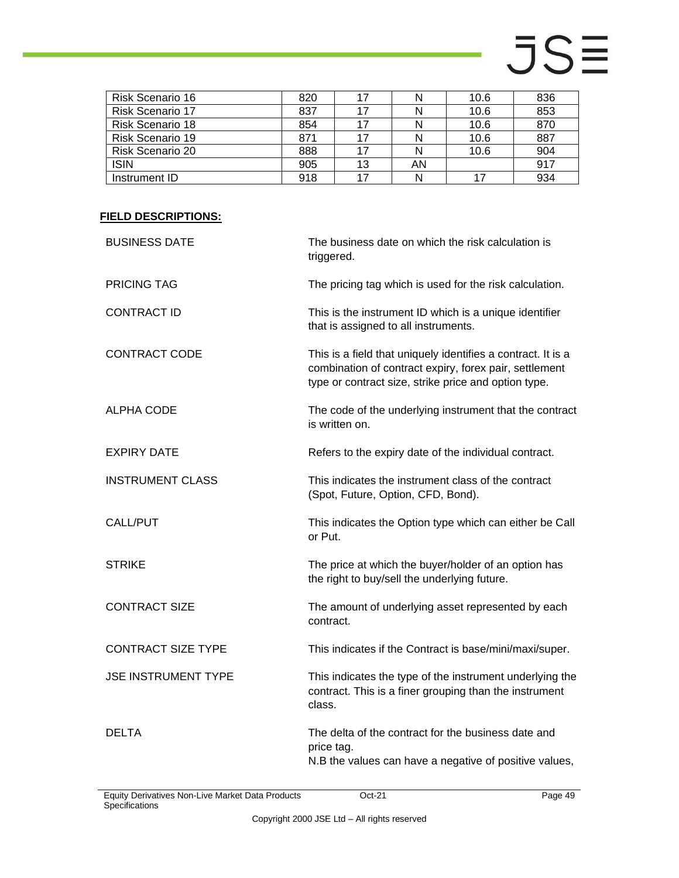| Risk Scenario 16        | 820 |    |    | 10.6 | 836 |
|-------------------------|-----|----|----|------|-----|
| <b>Risk Scenario 17</b> | 837 |    |    | 10.6 | 853 |
| Risk Scenario 18        | 854 |    |    | 10.6 | 870 |
| <b>Risk Scenario 19</b> | 871 | 17 |    | 10.6 | 887 |
| <b>Risk Scenario 20</b> | 888 |    |    | 10.6 | 904 |
| <b>ISIN</b>             | 905 | 13 | AN |      | 917 |
| Instrument ID           | 918 |    |    |      | 934 |

| <b>BUSINESS DATE</b>       | The business date on which the risk calculation is<br>triggered.                                                                                                               |
|----------------------------|--------------------------------------------------------------------------------------------------------------------------------------------------------------------------------|
| <b>PRICING TAG</b>         | The pricing tag which is used for the risk calculation.                                                                                                                        |
| <b>CONTRACT ID</b>         | This is the instrument ID which is a unique identifier<br>that is assigned to all instruments.                                                                                 |
| <b>CONTRACT CODE</b>       | This is a field that uniquely identifies a contract. It is a<br>combination of contract expiry, forex pair, settlement<br>type or contract size, strike price and option type. |
| <b>ALPHA CODE</b>          | The code of the underlying instrument that the contract<br>is written on.                                                                                                      |
| <b>EXPIRY DATE</b>         | Refers to the expiry date of the individual contract.                                                                                                                          |
| <b>INSTRUMENT CLASS</b>    | This indicates the instrument class of the contract<br>(Spot, Future, Option, CFD, Bond).                                                                                      |
| CALL/PUT                   | This indicates the Option type which can either be Call<br>or Put.                                                                                                             |
| <b>STRIKE</b>              | The price at which the buyer/holder of an option has<br>the right to buy/sell the underlying future.                                                                           |
| <b>CONTRACT SIZE</b>       | The amount of underlying asset represented by each<br>contract.                                                                                                                |
| <b>CONTRACT SIZE TYPE</b>  | This indicates if the Contract is base/mini/maxi/super.                                                                                                                        |
| <b>JSE INSTRUMENT TYPE</b> | This indicates the type of the instrument underlying the<br>contract. This is a finer grouping than the instrument<br>class.                                                   |
| <b>DELTA</b>               | The delta of the contract for the business date and<br>price tag.<br>N.B the values can have a negative of positive values,                                                    |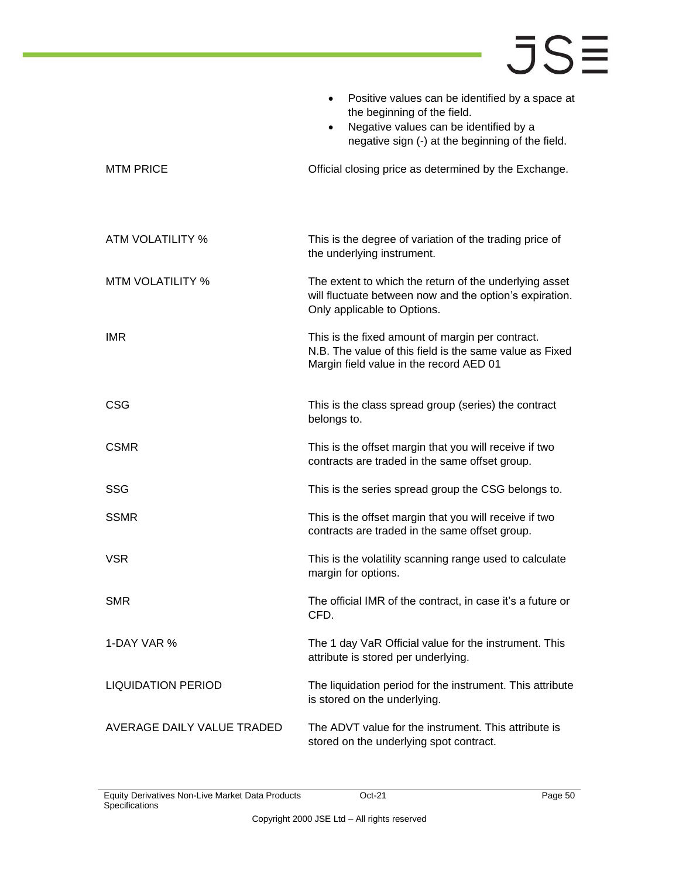|                            | Positive values can be identified by a space at<br>$\bullet$<br>the beginning of the field.<br>Negative values can be identified by a<br>$\bullet$<br>negative sign (-) at the beginning of the field. |
|----------------------------|--------------------------------------------------------------------------------------------------------------------------------------------------------------------------------------------------------|
| <b>MTM PRICE</b>           | Official closing price as determined by the Exchange.                                                                                                                                                  |
| ATM VOLATILITY %           | This is the degree of variation of the trading price of<br>the underlying instrument.                                                                                                                  |
| <b>MTM VOLATILITY %</b>    | The extent to which the return of the underlying asset<br>will fluctuate between now and the option's expiration.<br>Only applicable to Options.                                                       |
| <b>IMR</b>                 | This is the fixed amount of margin per contract.<br>N.B. The value of this field is the same value as Fixed<br>Margin field value in the record AED 01                                                 |
| <b>CSG</b>                 | This is the class spread group (series) the contract<br>belongs to.                                                                                                                                    |
| <b>CSMR</b>                | This is the offset margin that you will receive if two<br>contracts are traded in the same offset group.                                                                                               |
| <b>SSG</b>                 | This is the series spread group the CSG belongs to.                                                                                                                                                    |
| <b>SSMR</b>                | This is the offset margin that you will receive if two<br>contracts are traded in the same offset group.                                                                                               |
| <b>VSR</b>                 | This is the volatility scanning range used to calculate<br>margin for options.                                                                                                                         |
| <b>SMR</b>                 | The official IMR of the contract, in case it's a future or<br>CFD.                                                                                                                                     |
| 1-DAY VAR %                | The 1 day VaR Official value for the instrument. This<br>attribute is stored per underlying.                                                                                                           |
| <b>LIQUIDATION PERIOD</b>  | The liquidation period for the instrument. This attribute<br>is stored on the underlying.                                                                                                              |
| AVERAGE DAILY VALUE TRADED | The ADVT value for the instrument. This attribute is<br>stored on the underlying spot contract.                                                                                                        |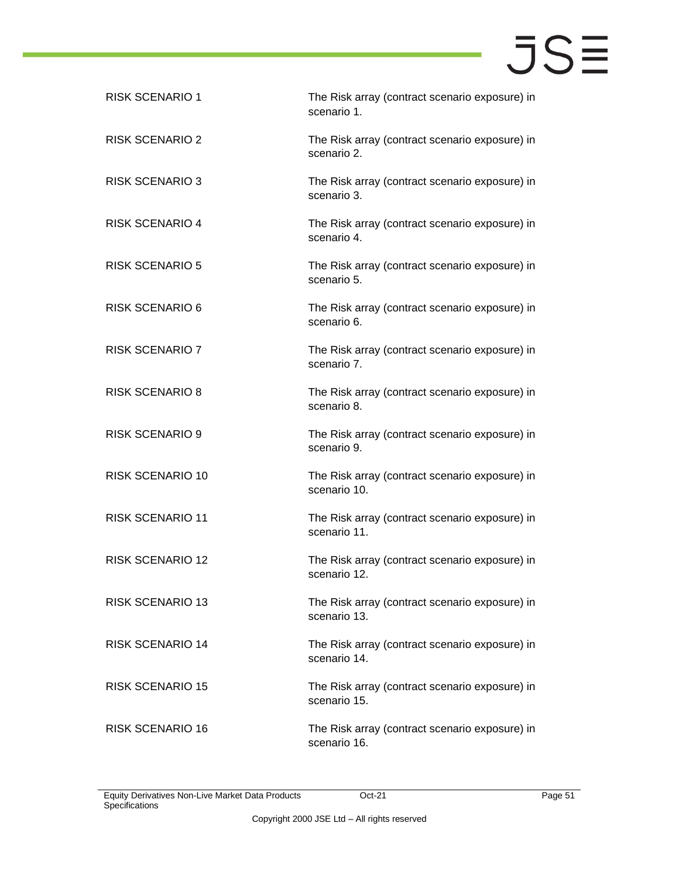| <b>RISK SCENARIO 1</b>  | The Risk array (contract scenario exposure) in<br>scenario 1.  |
|-------------------------|----------------------------------------------------------------|
| <b>RISK SCENARIO 2</b>  | The Risk array (contract scenario exposure) in<br>scenario 2.  |
| <b>RISK SCENARIO 3</b>  | The Risk array (contract scenario exposure) in<br>scenario 3.  |
| <b>RISK SCENARIO 4</b>  | The Risk array (contract scenario exposure) in<br>scenario 4.  |
| <b>RISK SCENARIO 5</b>  | The Risk array (contract scenario exposure) in<br>scenario 5.  |
| <b>RISK SCENARIO 6</b>  | The Risk array (contract scenario exposure) in<br>scenario 6.  |
| <b>RISK SCENARIO 7</b>  | The Risk array (contract scenario exposure) in<br>scenario 7.  |
| <b>RISK SCENARIO 8</b>  | The Risk array (contract scenario exposure) in<br>scenario 8.  |
| <b>RISK SCENARIO 9</b>  | The Risk array (contract scenario exposure) in<br>scenario 9.  |
| <b>RISK SCENARIO 10</b> | The Risk array (contract scenario exposure) in<br>scenario 10. |
| <b>RISK SCENARIO 11</b> | The Risk array (contract scenario exposure) in<br>scenario 11. |
| <b>RISK SCENARIO 12</b> | The Risk array (contract scenario exposure) in<br>scenario 12. |
| <b>RISK SCENARIO 13</b> | The Risk array (contract scenario exposure) in<br>scenario 13. |
| <b>RISK SCENARIO 14</b> | The Risk array (contract scenario exposure) in<br>scenario 14. |
| <b>RISK SCENARIO 15</b> | The Risk array (contract scenario exposure) in<br>scenario 15. |
| <b>RISK SCENARIO 16</b> | The Risk array (contract scenario exposure) in<br>scenario 16. |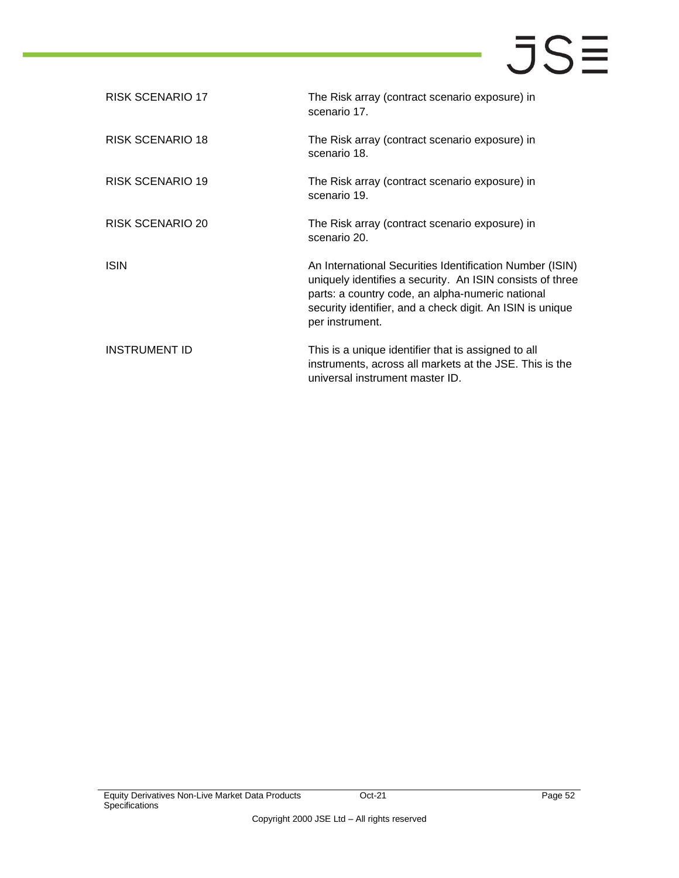| RISK SCENARIO 17     | The Risk array (contract scenario exposure) in<br>scenario 17.                                                                                                                                                                                            |
|----------------------|-----------------------------------------------------------------------------------------------------------------------------------------------------------------------------------------------------------------------------------------------------------|
| RISK SCENARIO 18     | The Risk array (contract scenario exposure) in<br>scenario 18.                                                                                                                                                                                            |
| RISK SCENARIO 19     | The Risk array (contract scenario exposure) in<br>scenario 19.                                                                                                                                                                                            |
| RISK SCENARIO 20     | The Risk array (contract scenario exposure) in<br>scenario 20.                                                                                                                                                                                            |
| ISIN                 | An International Securities Identification Number (ISIN)<br>uniquely identifies a security. An ISIN consists of three<br>parts: a country code, an alpha-numeric national<br>security identifier, and a check digit. An ISIN is unique<br>per instrument. |
| <b>INSTRUMENT ID</b> | This is a unique identifier that is assigned to all<br>instruments, across all markets at the JSE. This is the<br>universal instrument master ID.                                                                                                         |